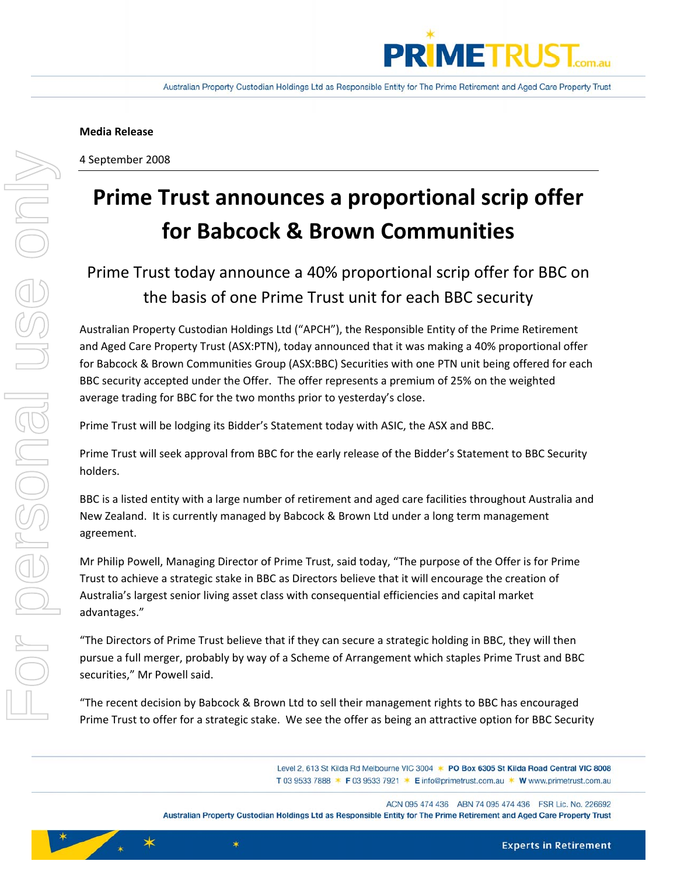

4 September 2008

# **Prime Trust announces a proportional scrip offer for Babcock & Brown Communities**

# Prime Trust today announce a 40% proportional scrip offer for BBC on the basis of one Prime Trust unit for each BBC security

Australian Property Custodian Holdings Ltd ("APCH"), the Responsible Entity of the Prime Retirement and Aged Care Property Trust (ASX:PTN), today announced that it was making a 40% proportional offer for Babcock & Brown Communities Group (ASX:BBC) Securities with one PTN unit being offered for each BBC security accepted under the Offer. The offer represents a premium of 25% on the weighted average trading for BBC for the two months prior to yesterday's close.

Prime Trust will be lodging its Bidder's Statement today with ASIC, the ASX and BBC.

Prime Trust will seek approval from BBC for the early release of the Bidder's Statement to BBC Security holders.

BBC is a listed entity with a large number of retirement and aged care facilities throughout Australia and New Zealand. It is currently managed by Babcock & Brown Ltd under a long term management agreement.

Mr Philip Powell, Managing Director of Prime Trust, said today, "The purpose of the Offer is for Prime Trust to achieve a strategic stake in BBC as Directors believe that it will encourage the creation of Australia's largest senior living asset class with consequential efficiencies and capital market advantages."

"The Directors of Prime Trust believe that if they can secure a strategic holding in BBC, they will then pursue a full merger, probably by way of a Scheme of Arrangement which staples Prime Trust and BBC securities," Mr Powell said.

"The recent decision by Babcock & Brown Ltd to sell their management rights to BBC has encouraged Prime Trust to offer for a strategic stake. We see the offer as being an attractive option for BBC Security

 $\star$ 

Level 2, 613 St Kilda Rd Melbourne VIC 3004 \* PO Box 6305 St Kilda Road Central VIC 8008 T 03 9533 7888 \* F 03 9533 7921 \* E info@primetrust.com.au \* W www.primetrust.com.au

Australian Property Custodian Holdings Ltd as Responsible Entity for The Prime Retirement and Aged Care Property Trust

**Experts in Retirement**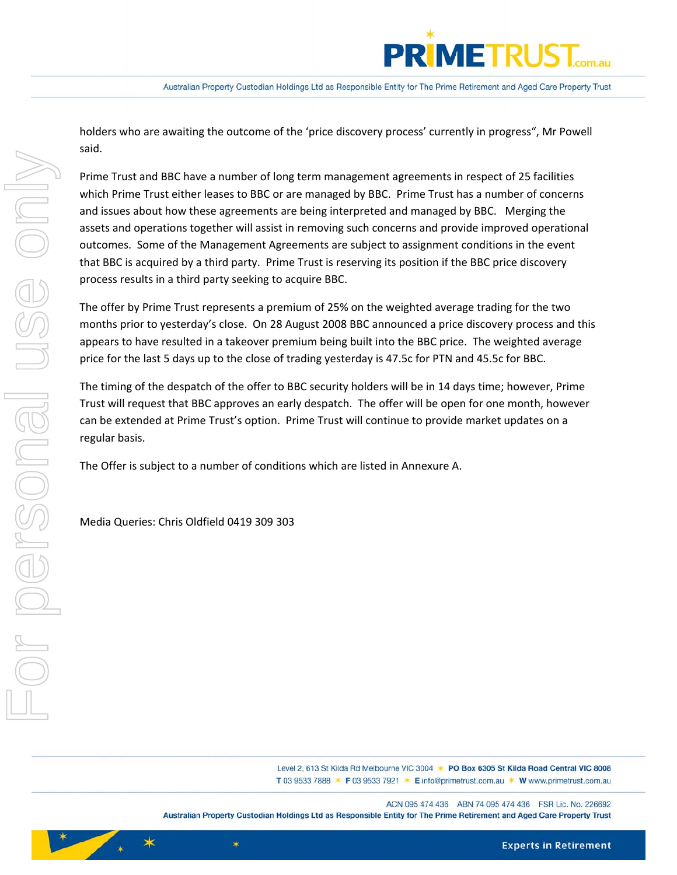

holders who are awaiting the outcome of the 'price discovery process' currently in progress", Mr Powell said.

Prime Trust and BBC have a number of long term management agreements in respect of 25 facilities which Prime Trust either leases to BBC or are managed by BBC. Prime Trust has a number of concerns and issues about how these agreements are being interpreted and managed by BBC. Merging the assets and operations together will assist in removing such concerns and provide improved operational outcomes. Some of the Management Agreements are subject to assignment conditions in the event that BBC is acquired by a third party. Prime Trust is reserving its position if the BBC price discovery process results in a third party seeking to acquire BBC.

The offer by Prime Trust represents a premium of 25% on the weighted average trading for the two months prior to yesterday's close. On 28 August 2008 BBC announced a price discovery process and this appears to have resulted in a takeover premium being built into the BBC price. The weighted average price for the last 5 days up to the close of trading yesterday is 47.5c for PTN and 45.5c for BBC.

The timing of the despatch of the offer to BBC security holders will be in 14 days time; however, Prime Trust will request that BBC approves an early despatch. The offer will be open for one month, however can be extended at Prime Trust's option. Prime Trust will continue to provide market updates on a regular basis.

The Offer is subject to a number of conditions which are listed in Annexure A.

Media Queries: Chris Oldfield 0419 309 303

∗

 $\star$ 

Level 2, 613 St Kilda Rd Melbourne VIC 3004 \* PO Box 6305 St Kilda Road Central VIC 8008 T 03 9533 7888 \* F 03 9533 7921 \* E info@primetrust.com.au \* W www.primetrust.com.au

ACN 095 474 436 ABN 74 095 474 436 FSR Lic. No. 226692 Australian Property Custodian Holdings Ltd as Responsible Entity for The Prime Retirement and Aged Care Property Trust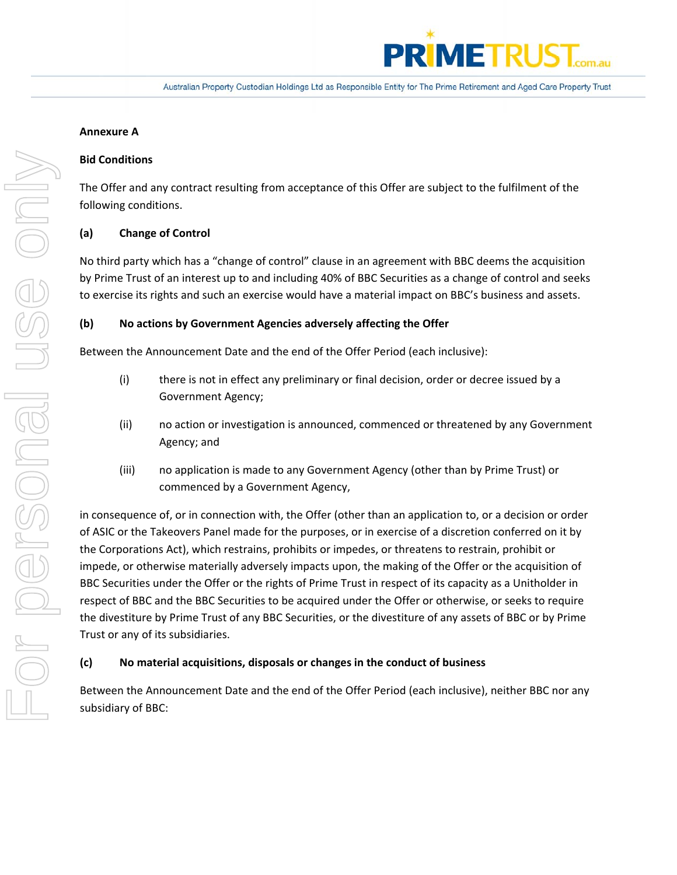

# **Annexure A**

# **Bid Conditions**

The Offer and any contract resulting from acceptance of this Offer are subject to the fulfilment of the following conditions.

# **(a) Change of Control**

No third party which has a "change of control" clause in an agreement with BBC deems the acquisition by Prime Trust of an interest up to and including 40% of BBC Securities as a change of control and seeks to exercise its rights and such an exercise would have a material impact on BBC's business and assets.

# **(b) No actions by Government Agencies adversely affecting the Offer**

Between the Announcement Date and the end of the Offer Period (each inclusive):

- (i) there is not in effect any preliminary or final decision, order or decree issued by a Government Agency;
- (ii) no action or investigation is announced, commenced or threatened by any Government Agency; and
- (iii) no application is made to any Government Agency (other than by Prime Trust) or commenced by a Government Agency,

in consequence of, or in connection with, the Offer (other than an application to, or a decision or order of ASIC or the Takeovers Panel made for the purposes, or in exercise of a discretion conferred on it by the Corporations Act), which restrains, prohibits or impedes, or threatens to restrain, prohibit or impede, or otherwise materially adversely impacts upon, the making of the Offer or the acquisition of BBC Securities under the Offer or the rights of Prime Trust in respect of its capacity as a Unitholder in respect of BBC and the BBC Securities to be acquired under the Offer or otherwise, or seeks to require the divestiture by Prime Trust of any BBC Securities, or the divestiture of any assets of BBC or by Prime Trust or any of its subsidiaries.

# **(c) No material acquisitions, disposals or changes in the conduct of business**

Between the Announcement Date and the end of the Offer Period (each inclusive), neither BBC nor any subsidiary of BBC: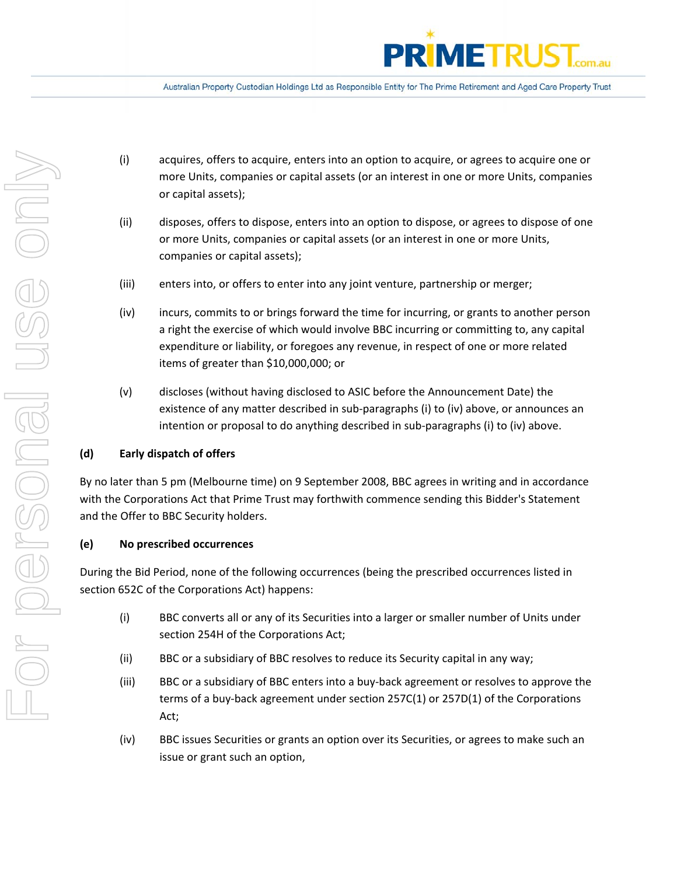

- (i) acquires, offers to acquire, enters into an option to acquire, or agrees to acquire one or more Units, companies or capital assets (or an interest in one or more Units, companies or capital assets);
- (ii) disposes, offers to dispose, enters into an option to dispose, or agrees to dispose of one or more Units, companies or capital assets (or an interest in one or more Units, companies or capital assets);
- (iii) enters into, or offers to enter into any joint venture, partnership or merger;
- (iv) incurs, commits to or brings forward the time for incurring, or grants to another person a right the exercise of which would involve BBC incurring or committing to, any capital expenditure or liability, or foregoes any revenue, in respect of one or more related items of greater than \$10,000,000; or
- (v) discloses (without having disclosed to ASIC before the Announcement Date) the existence of any matter described in sub‐paragraphs (i) to (iv) above, or announces an intention or proposal to do anything described in sub-paragraphs (i) to (iv) above.

# **(d) Early dispatch of offers**

By no later than 5 pm (Melbourne time) on 9 September 2008, BBC agrees in writing and in accordance with the Corporations Act that Prime Trust may forthwith commence sending this Bidder's Statement and the Offer to BBC Security holders.

# **(e) No prescribed occurrences**

During the Bid Period, none of the following occurrences (being the prescribed occurrences listed in section 652C of the Corporations Act) happens:

- (i) BBC converts all or any of its Securities into a larger or smaller number of Units under section 254H of the Corporations Act;
- (ii) BBC or a subsidiary of BBC resolves to reduce its Security capital in any way;
- (iii) BBC or a subsidiary of BBC enters into a buy‐back agreement or resolves to approve the terms of a buy‐back agreement under section 257C(1) or 257D(1) of the Corporations Act;
- (iv) BBC issues Securities or grants an option over its Securities, or agrees to make such an issue or grant such an option,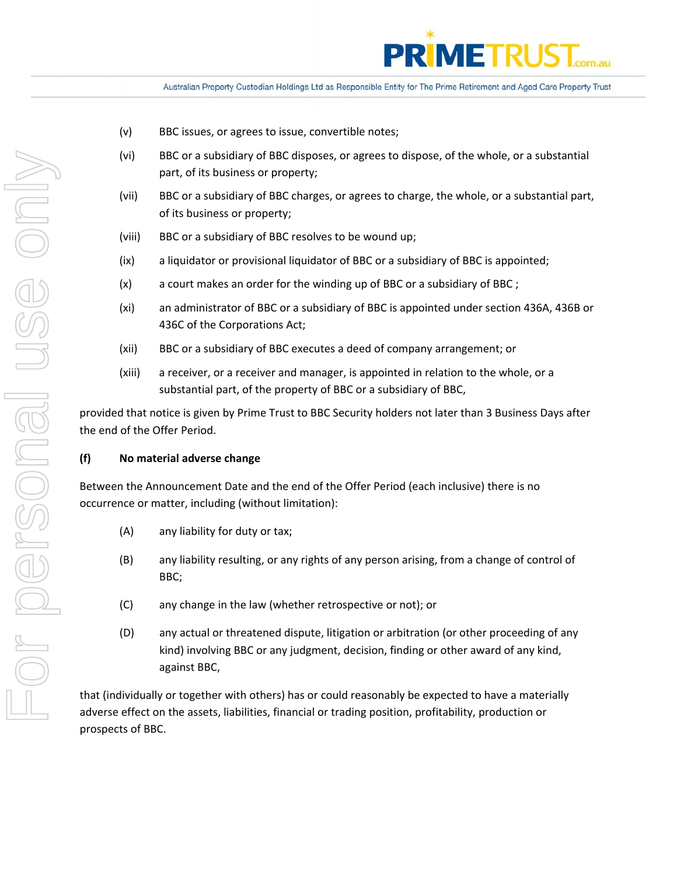

- (v) BBC issues, or agrees to issue, convertible notes;
- (vi) BBC or a subsidiary of BBC disposes, or agrees to dispose, of the whole, or a substantial part, of its business or property;
- (vii) BBC or a subsidiary of BBC charges, or agrees to charge, the whole, or a substantial part, of its business or property;
- (viii) BBC or a subsidiary of BBC resolves to be wound up;
- (ix) a liquidator or provisional liquidator of BBC or a subsidiary of BBC is appointed;
- (x) a court makes an order for the winding up of BBC or a subsidiary of BBC ;
- (xi) an administrator of BBC or a subsidiary of BBC is appointed under section 436A, 436B or 436C of the Corporations Act;
- (xii) BBC or a subsidiary of BBC executes a deed of company arrangement; or
- (xiii) a receiver, or a receiver and manager, is appointed in relation to the whole, or a substantial part, of the property of BBC or a subsidiary of BBC,

provided that notice is given by Prime Trust to BBC Security holders not later than 3 Business Days after the end of the Offer Period.

# **(f) No material adverse change**

Between the Announcement Date and the end of the Offer Period (each inclusive) there is no occurrence or matter, including (without limitation):

- (A) any liability for duty or tax;
- (B) any liability resulting, or any rights of any person arising, from a change of control of BBC;
- (C) any change in the law (whether retrospective or not); or
- (D) any actual or threatened dispute, litigation or arbitration (or other proceeding of any kind) involving BBC or any judgment, decision, finding or other award of any kind, against BBC,

that (individually or together with others) has or could reasonably be expected to have a materially adverse effect on the assets, liabilities, financial or trading position, profitability, production or prospects of BBC.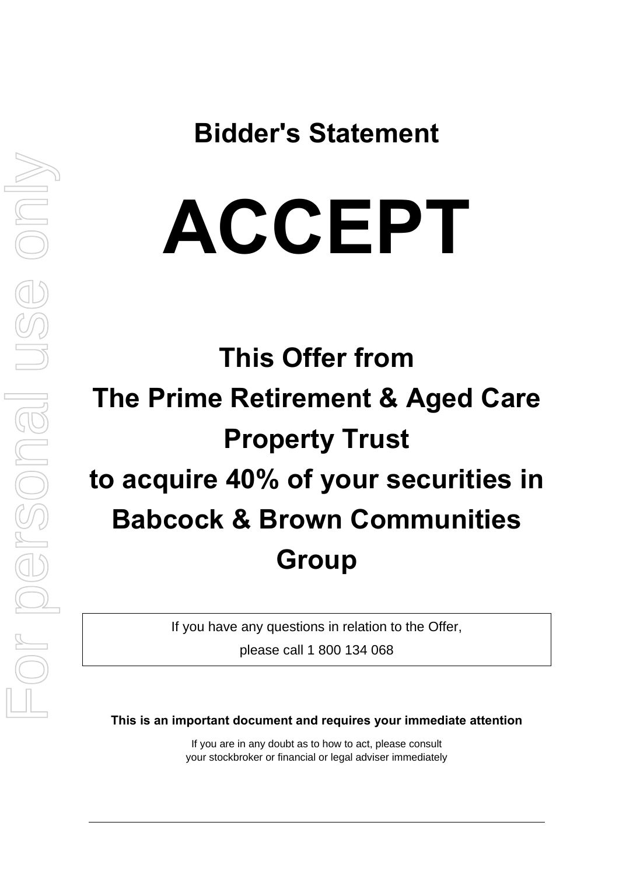**Bidder's Statement** 

# **ACCEPT**

# **This Offer from The Prime Retirement & Aged Care Property Trust to acquire 40% of your securities in Babcock & Brown Communities Group**

If you have any questions in relation to the Offer,

please call 1 800 134 068

**This is an important document and requires your immediate attention** 

If you are in any doubt as to how to act, please consult your stockbroker or financial or legal adviser immediately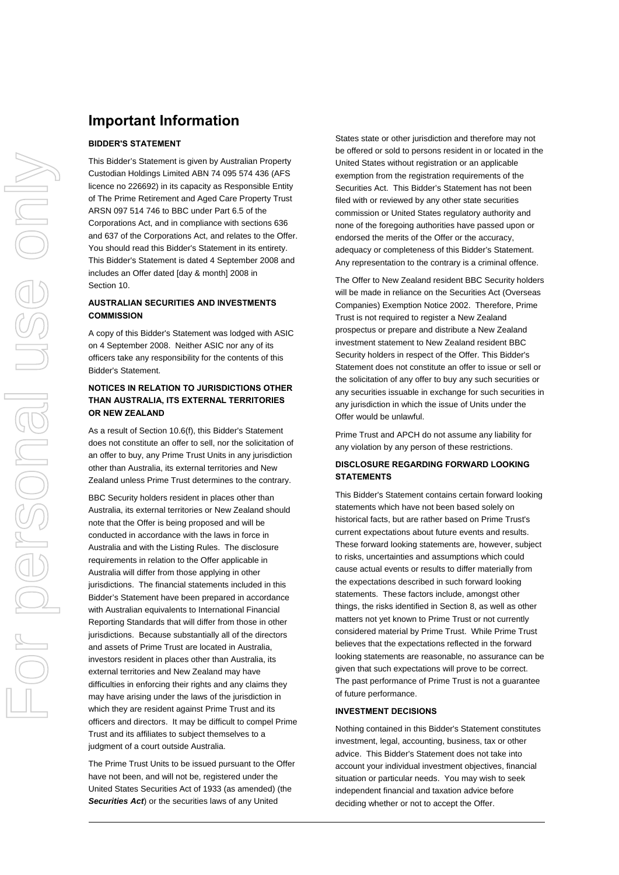# **Important Information**

## **BIDDER'S STATEMENT**

This Bidder's Statement is given by Australian Property Custodian Holdings Limited ABN 74 095 574 436 (AFS licence no 226692) in its capacity as Responsible Entity of The Prime Retirement and Aged Care Property Trust ARSN 097 514 746 to BBC under Part 6.5 of the Corporations Act, and in compliance with sections 636 and 637 of the Corporations Act, and relates to the Offer. You should read this Bidder's Statement in its entirety. This Bidder's Statement is dated 4 September 2008 and includes an Offer dated [day & month] 2008 in Section [10.](#page-50-0)

## **AUSTRALIAN SECURITIES AND INVESTMENTS COMMISSION**

A copy of this Bidder's Statement was lodged with ASIC on 4 September 2008. Neither ASIC nor any of its officers take any responsibility for the contents of this Bidder's Statement.

# **NOTICES IN RELATION TO JURISDICTIONS OTHER THAN AUSTRALIA, ITS EXTERNAL TERRITORIES OR NEW ZEALAND**

As a result of Section [10.6\(f\),](#page-61-0) this Bidder's Statement does not constitute an offer to sell, nor the solicitation of an offer to buy, any Prime Trust Units in any jurisdiction other than Australia, its external territories and New Zealand unless Prime Trust determines to the contrary.

BBC Security holders resident in places other than Australia, its external territories or New Zealand should note that the Offer is being proposed and will be conducted in accordance with the laws in force in Australia and with the Listing Rules. The disclosure requirements in relation to the Offer applicable in Australia will differ from those applying in other jurisdictions. The financial statements included in this Bidder's Statement have been prepared in accordance with Australian equivalents to International Financial Reporting Standards that will differ from those in other jurisdictions. Because substantially all of the directors and assets of Prime Trust are located in Australia, investors resident in places other than Australia, its external territories and New Zealand may have difficulties in enforcing their rights and any claims they may have arising under the laws of the jurisdiction in which they are resident against Prime Trust and its officers and directors. It may be difficult to compel Prime Trust and its affiliates to subject themselves to a judgment of a court outside Australia.

The Prime Trust Units to be issued pursuant to the Offer have not been, and will not be, registered under the United States Securities Act of 1933 (as amended) (the *Securities Act*) or the securities laws of any United

States state or other jurisdiction and therefore may not be offered or sold to persons resident in or located in the United States without registration or an applicable exemption from the registration requirements of the Securities Act. This Bidder's Statement has not been filed with or reviewed by any other state securities commission or United States regulatory authority and none of the foregoing authorities have passed upon or endorsed the merits of the Offer or the accuracy, adequacy or completeness of this Bidder's Statement. Any representation to the contrary is a criminal offence.

The Offer to New Zealand resident BBC Security holders will be made in reliance on the Securities Act (Overseas Companies) Exemption Notice 2002. Therefore, Prime Trust is not required to register a New Zealand prospectus or prepare and distribute a New Zealand investment statement to New Zealand resident BBC Security holders in respect of the Offer. This Bidder's Statement does not constitute an offer to issue or sell or the solicitation of any offer to buy any such securities or any securities issuable in exchange for such securities in any jurisdiction in which the issue of Units under the Offer would be unlawful.

Prime Trust and APCH do not assume any liability for any violation by any person of these restrictions.

# **DISCLOSURE REGARDING FORWARD LOOKING STATEMENTS**

This Bidder's Statement contains certain forward looking statements which have not been based solely on historical facts, but are rather based on Prime Trust's current expectations about future events and results. These forward looking statements are, however, subject to risks, uncertainties and assumptions which could cause actual events or results to differ materially from the expectations described in such forward looking statements. These factors include, amongst other things, the risks identified in Section [8](#page-41-0), as well as other matters not yet known to Prime Trust or not currently considered material by Prime Trust. While Prime Trust believes that the expectations reflected in the forward looking statements are reasonable, no assurance can be given that such expectations will prove to be correct. The past performance of Prime Trust is not a guarantee of future performance.

#### **INVESTMENT DECISIONS**

Nothing contained in this Bidder's Statement constitutes investment, legal, accounting, business, tax or other advice. This Bidder's Statement does not take into account your individual investment objectives, financial situation or particular needs. You may wish to seek independent financial and taxation advice before deciding whether or not to accept the Offer.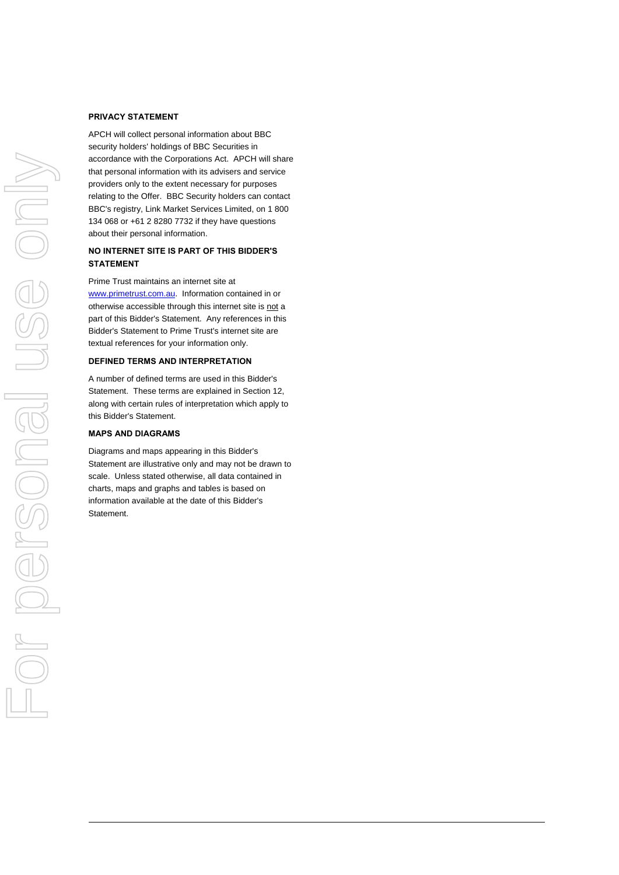#### **PRIVACY STATEMENT**

APCH will collect personal information about BBC security holders' holdings of BBC Securities in accordance with the Corporations Act. APCH will share that personal information with its advisers and service providers only to the extent necessary for purposes relating to the Offer. BBC Security holders can contact BBC's registry, Link Market Services Limited, on 1 800 134 068 or +61 2 8280 7732 if they have questions about their personal information.

### **NO INTERNET SITE IS PART OF THIS BIDDER'S STATEMENT**

Prime Trust maintains an internet site at [www.primetrust.com.au.](http://www.primetrust.com.au/) Information contained in or otherwise accessible through this internet site is not a part of this Bidder's Statement. Any references in this Bidder's Statement to Prime Trust's internet site are textual references for your information only.

#### **DEFINED TERMS AND INTERPRETATION**

A number of defined terms are used in this Bidder's Statement. These terms are explained in Section [12](#page-74-0), along with certain rules of interpretation which apply to this Bidder's Statement.

#### **MAPS AND DIAGRAMS**

Diagrams and maps appearing in this Bidder's Statement are illustrative only and may not be drawn to scale. Unless stated otherwise, all data contained in charts, maps and graphs and tables is based on information available at the date of this Bidder's Statement.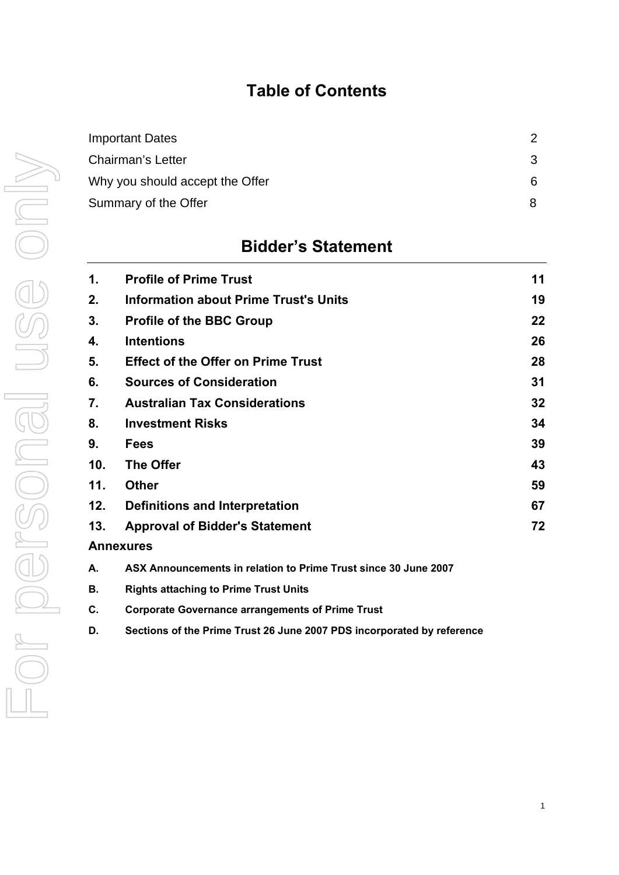# **Table of Contents**

| $\mathcal{P}$ |
|---------------|
| 3             |
| 6.            |
| 8             |
|               |

# **Bidder's Statement**

| 1.  | <b>Profile of Prime Trust</b>                | 11 |
|-----|----------------------------------------------|----|
| 2.  | <b>Information about Prime Trust's Units</b> | 19 |
| 3.  | <b>Profile of the BBC Group</b>              | 22 |
| 4.  | <b>Intentions</b>                            | 26 |
| 5.  | <b>Effect of the Offer on Prime Trust</b>    | 28 |
| 6.  | <b>Sources of Consideration</b>              | 31 |
| 7.  | <b>Australian Tax Considerations</b>         | 32 |
| 8.  | <b>Investment Risks</b>                      | 34 |
| 9.  | <b>Fees</b>                                  | 39 |
| 10. | <b>The Offer</b>                             | 43 |
| 11. | <b>Other</b>                                 | 59 |
| 12. | Definitions and Interpretation               | 67 |
| 13. | <b>Approval of Bidder's Statement</b>        | 72 |
|     | <b>Annexures</b>                             |    |
|     |                                              |    |

- **A. ASX Announcements in relation to Prime Trust since 30 June 2007**
- **B. Rights attaching to Prime Trust Units**
- **C. Corporate Governance arrangements of Prime Trust**
- **D. Sections of the Prime Trust 26 June 2007 PDS incorporated by reference**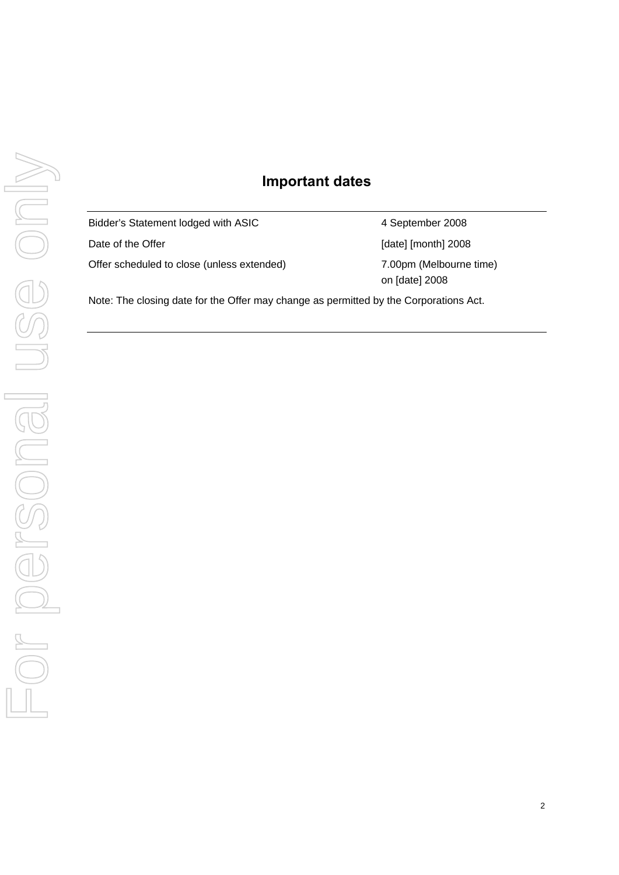# **Important dates**

Bidder's Statement lodged with ASIC 4 September 2008 Date of the Offer **Date of the Offer Contract Contract Contract Contract Contract Contract Contract Contract Contract Contract Contract Contract Contract Contract Contract Contract Contract Contract Contract Contract Contr** Offer scheduled to close (unless extended) 7.00pm (Melbourne time)

on [date] 2008

Note: The closing date for the Offer may change as permitted by the Corporations Act.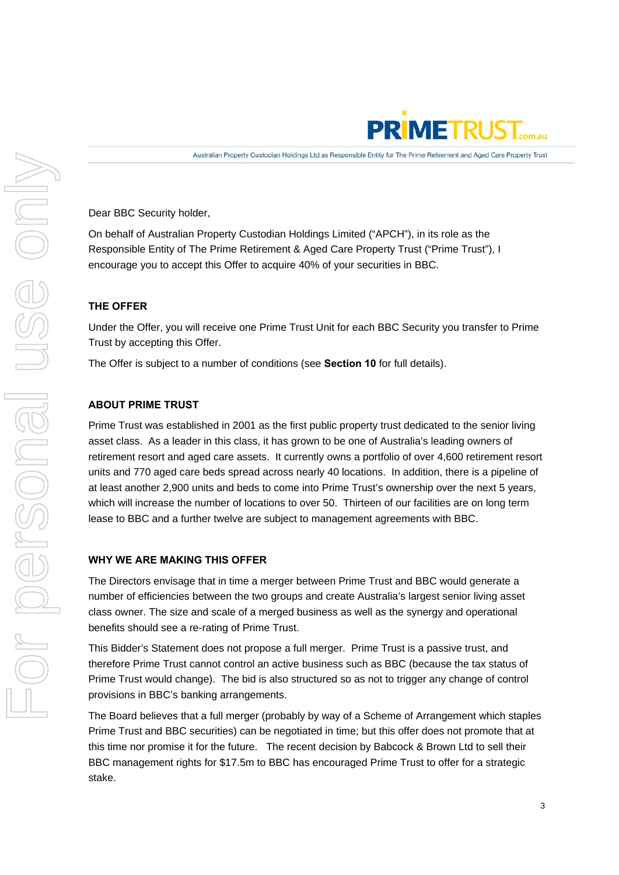

Dear BBC Security holder,

On behalf of Australian Property Custodian Holdings Limited ("APCH"), in its role as the Responsible Entity of The Prime Retirement & Aged Care Property Trust ("Prime Trust"), I encourage you to accept this Offer to acquire 40% of your securities in BBC.

# **THE OFFER**

Under the Offer, you will receive one Prime Trust Unit for each BBC Security you transfer to Prime Trust by accepting this Offer.

The Offer is subject to a number of conditions (see **Section 10** for full details).

# **ABOUT PRIME TRUST**

Prime Trust was established in 2001 as the first public property trust dedicated to the senior living asset class. As a leader in this class, it has grown to be one of Australia's leading owners of retirement resort and aged care assets. It currently owns a portfolio of over 4,600 retirement resort units and 770 aged care beds spread across nearly 40 locations. In addition, there is a pipeline of at least another 2,900 units and beds to come into Prime Trust's ownership over the next 5 years, which will increase the number of locations to over 50. Thirteen of our facilities are on long term lease to BBC and a further twelve are subject to management agreements with BBC.

# **WHY WE ARE MAKING THIS OFFER**

The Directors envisage that in time a merger between Prime Trust and BBC would generate a number of efficiencies between the two groups and create Australia's largest senior living asset class owner. The size and scale of a merged business as well as the synergy and operational benefits should see a re-rating of Prime Trust.

This Bidder's Statement does not propose a full merger. Prime Trust is a passive trust, and therefore Prime Trust cannot control an active business such as BBC (because the tax status of Prime Trust would change). The bid is also structured so as not to trigger any change of control provisions in BBC's banking arrangements.

The Board believes that a full merger (probably by way of a Scheme of Arrangement which staples Prime Trust and BBC securities) can be negotiated in time; but this offer does not promote that at this time nor promise it for the future. The recent decision by Babcock & Brown Ltd to sell their BBC management rights for \$17.5m to BBC has encouraged Prime Trust to offer for a strategic stake.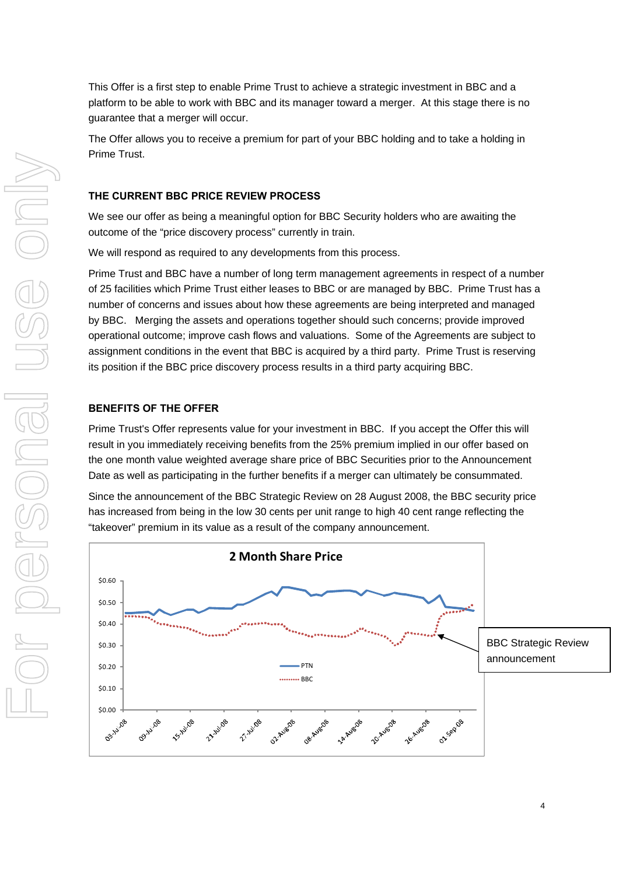This Offer is a first step to enable Prime Trust to achieve a strategic investment in BBC and a platform to be able to work with BBC and its manager toward a merger. At this stage there is no guarantee that a merger will occur.

The Offer allows you to receive a premium for part of your BBC holding and to take a holding in Prime Trust.

# **THE CURRENT BBC PRICE REVIEW PROCESS**

We see our offer as being a meaningful option for BBC Security holders who are awaiting the outcome of the "price discovery process" currently in train.

We will respond as required to any developments from this process.

Prime Trust and BBC have a number of long term management agreements in respect of a number of 25 facilities which Prime Trust either leases to BBC or are managed by BBC. Prime Trust has a number of concerns and issues about how these agreements are being interpreted and managed by BBC. Merging the assets and operations together should such concerns; provide improved operational outcome; improve cash flows and valuations. Some of the Agreements are subject to assignment conditions in the event that BBC is acquired by a third party. Prime Trust is reserving its position if the BBC price discovery process results in a third party acquiring BBC.

# **BENEFITS OF THE OFFER**

Prime Trust's Offer represents value for your investment in BBC. If you accept the Offer this will result in you immediately receiving benefits from the 25% premium implied in our offer based on the one month value weighted average share price of BBC Securities prior to the Announcement Date as well as participating in the further benefits if a merger can ultimately be consummated.

Since the announcement of the BBC Strategic Review on 28 August 2008, the BBC security price has increased from being in the low 30 cents per unit range to high 40 cent range reflecting the "takeover" premium in its value as a result of the company announcement.

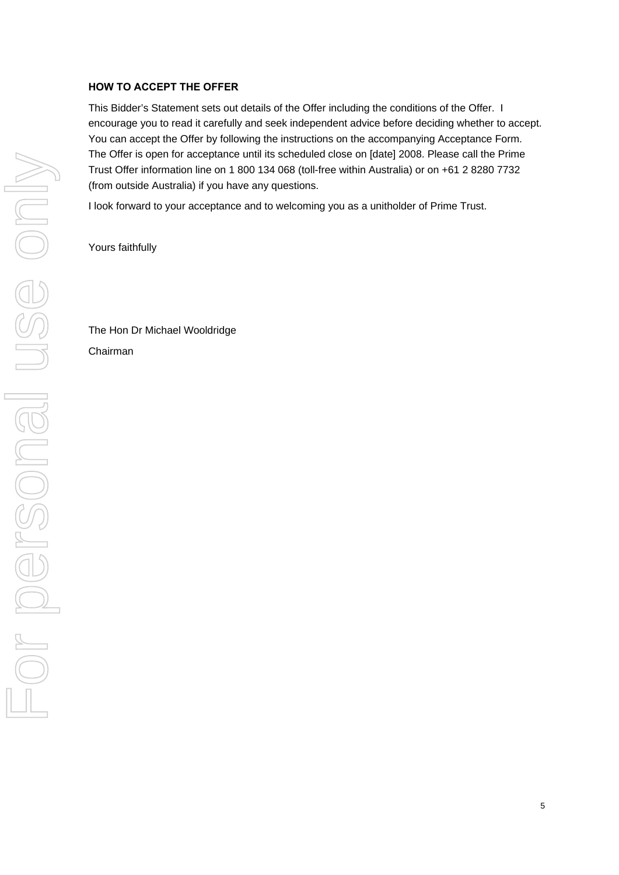# **HOW TO ACCEPT THE OFFER**

This Bidder's Statement sets out details of the Offer including the conditions of the Offer. I encourage you to read it carefully and seek independent advice before deciding whether to accept. You can accept the Offer by following the instructions on the accompanying Acceptance Form. The Offer is open for acceptance until its scheduled close on [date] 2008. Please call the Prime Trust Offer information line on 1 800 134 068 (toll-free within Australia) or on +61 2 8280 7732 (from outside Australia) if you have any questions.

I look forward to your acceptance and to welcoming you as a unitholder of Prime Trust.

Yours faithfully

The Hon Dr Michael Wooldridge Chairman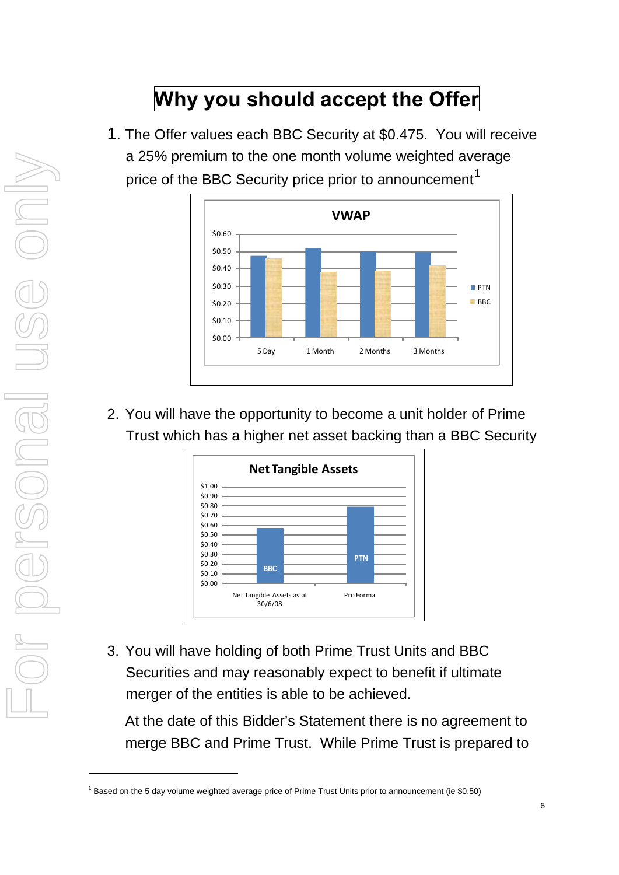# **Why you should accept the Offer**

1. The Offer values each BBC Security at \$0.475. You will receive a 25% premium to the one month volume weighted average price of the BBC Security price prior to announcement<sup>[1](#page-13-0)</sup>



2. You will have the opportunity to become a unit holder of Prime Trust which has a higher net asset backing than a BBC Security



3. You will have holding of both Prime Trust Units and BBC Securities and may reasonably expect to benefit if ultimate merger of the entities is able to be achieved.

At the date of this Bidder's Statement there is no agreement to merge BBC and Prime Trust. While Prime Trust is prepared to

1

<span id="page-13-0"></span><sup>&</sup>lt;sup>1</sup> Based on the 5 day volume weighted average price of Prime Trust Units prior to announcement (ie \$0.50)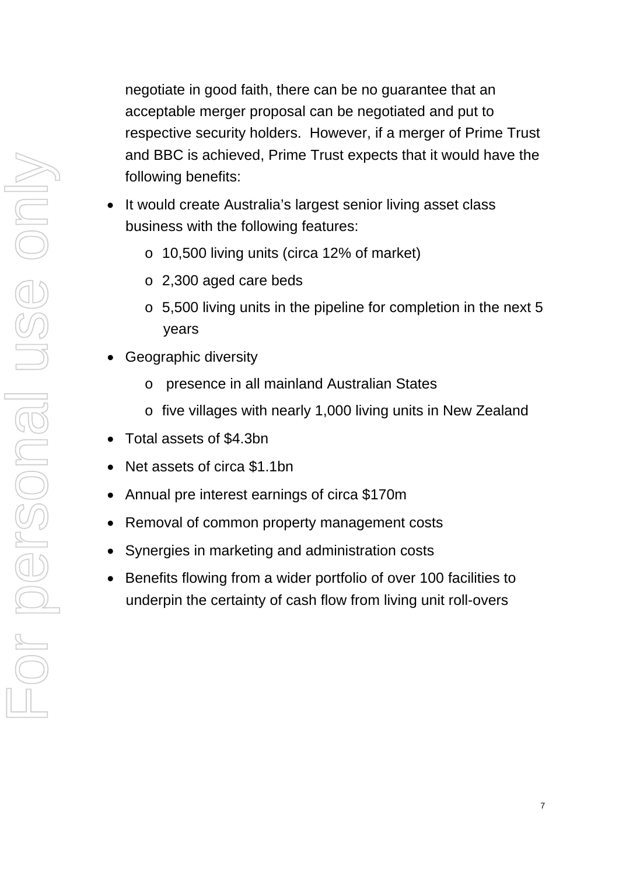negotiate in good faith, there can be no guarantee that an acceptable merger proposal can be negotiated and put to respective security holders. However, if a merger of Prime Trust and BBC is achieved, Prime Trust expects that it would have the following benefits:

- It would create Australia's largest senior living asset class business with the following features:
	- o 10,500 living units (circa 12% of market)
	- o 2,300 aged care beds
	- o 5,500 living units in the pipeline for completion in the next 5 years
- Geographic diversity
	- o presence in all mainland Australian States
	- o five villages with nearly 1,000 living units in New Zealand
- Total assets of \$4.3bn
- Net assets of circa \$1.1bn
- Annual pre interest earnings of circa \$170m
- Removal of common property management costs
- Synergies in marketing and administration costs
- Benefits flowing from a wider portfolio of over 100 facilities to underpin the certainty of cash flow from living unit roll-overs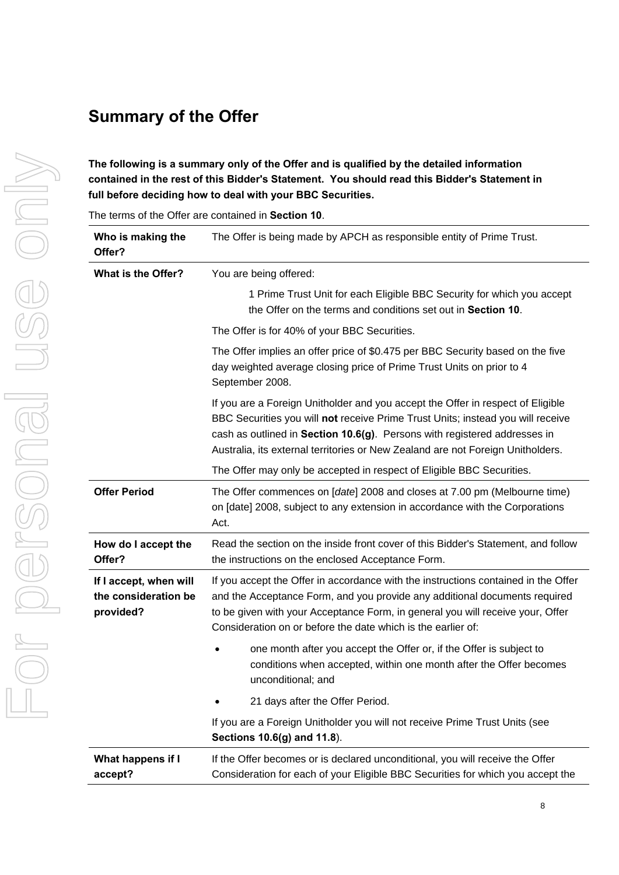# **Summary of the Offer**

**The following is a summary only of the Offer and is qualified by the detailed information contained in the rest of this Bidder's Statement. You should read this Bidder's Statement in full before deciding how to deal with your BBC Securities.** 

The terms of the Offer are contained in **Section [10](#page-50-0)**.

| Who is making the<br>Offer?                                 | The Offer is being made by APCH as responsible entity of Prime Trust.                                                                                                                                                                                                                                                              |  |  |  |
|-------------------------------------------------------------|------------------------------------------------------------------------------------------------------------------------------------------------------------------------------------------------------------------------------------------------------------------------------------------------------------------------------------|--|--|--|
| What is the Offer?                                          | You are being offered:                                                                                                                                                                                                                                                                                                             |  |  |  |
|                                                             | 1 Prime Trust Unit for each Eligible BBC Security for which you accept<br>the Offer on the terms and conditions set out in Section 10.                                                                                                                                                                                             |  |  |  |
|                                                             | The Offer is for 40% of your BBC Securities.                                                                                                                                                                                                                                                                                       |  |  |  |
|                                                             | The Offer implies an offer price of \$0.475 per BBC Security based on the five<br>day weighted average closing price of Prime Trust Units on prior to 4<br>September 2008.                                                                                                                                                         |  |  |  |
|                                                             | If you are a Foreign Unitholder and you accept the Offer in respect of Eligible<br>BBC Securities you will not receive Prime Trust Units; instead you will receive<br>cash as outlined in Section 10.6(g). Persons with registered addresses in<br>Australia, its external territories or New Zealand are not Foreign Unitholders. |  |  |  |
|                                                             | The Offer may only be accepted in respect of Eligible BBC Securities.                                                                                                                                                                                                                                                              |  |  |  |
| <b>Offer Period</b>                                         | The Offer commences on [date] 2008 and closes at 7.00 pm (Melbourne time)<br>on [date] 2008, subject to any extension in accordance with the Corporations<br>Act.                                                                                                                                                                  |  |  |  |
| How do I accept the<br>Offer?                               | Read the section on the inside front cover of this Bidder's Statement, and follow<br>the instructions on the enclosed Acceptance Form.                                                                                                                                                                                             |  |  |  |
| If I accept, when will<br>the consideration be<br>provided? | If you accept the Offer in accordance with the instructions contained in the Offer<br>and the Acceptance Form, and you provide any additional documents required<br>to be given with your Acceptance Form, in general you will receive your, Offer<br>Consideration on or before the date which is the earlier of:                 |  |  |  |
|                                                             | one month after you accept the Offer or, if the Offer is subject to<br>conditions when accepted, within one month after the Offer becomes<br>unconditional; and                                                                                                                                                                    |  |  |  |
|                                                             | 21 days after the Offer Period.                                                                                                                                                                                                                                                                                                    |  |  |  |
|                                                             | If you are a Foreign Unitholder you will not receive Prime Trust Units (see<br>Sections 10.6(g) and 11.8).                                                                                                                                                                                                                         |  |  |  |
| What happens if I<br>accept?                                | If the Offer becomes or is declared unconditional, you will receive the Offer<br>Consideration for each of your Eligible BBC Securities for which you accept the                                                                                                                                                                   |  |  |  |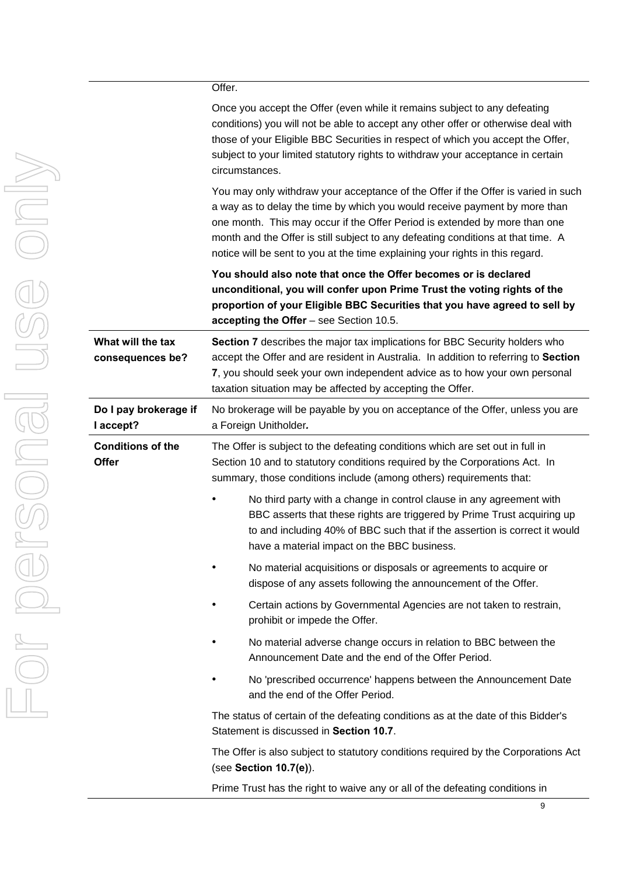|                                          | Once you accept the O<br>conditions) you will not<br>those of your Eligible B<br>subject to your limited s<br>circumstances.      |
|------------------------------------------|-----------------------------------------------------------------------------------------------------------------------------------|
|                                          | You may only withdraw<br>a way as to delay the ti<br>one month. This may o<br>month and the Offer is<br>notice will be sent to yo |
|                                          | You should also note<br>unconditional, you wi<br>proportion of your Eli<br>accepting the Offer -                                  |
| What will the tax<br>consequences be?    | Section 7 describes th<br>accept the Offer and ar<br>7, you should seek you<br>taxation situation may I                           |
| Do I pay brokerage if<br>I accept?       | No brokerage will be pa<br>a Foreign Unitholder.                                                                                  |
| <b>Conditions of the</b><br><b>Offer</b> | The Offer is subject to<br>Section 10 and to statu<br>summary, those condit                                                       |
|                                          | No third party v<br><b>BBC</b> asserts th<br>to and including<br>have a materia                                                   |
|                                          | No material ac<br>dispose of any                                                                                                  |
|                                          | Certain actions<br>prohibit or impe                                                                                               |
|                                          | No material ad<br>Announcement                                                                                                    |
|                                          | No 'prescribed<br>and the end of                                                                                                  |
|                                          | The status of certain of                                                                                                          |

Offer (even while it remains subject to any defeating be able to accept any other offer or otherwise deal with BBC Securities in respect of which you accept the Offer, statutory rights to withdraw your acceptance in certain

y your acceptance of the Offer if the Offer is varied in such ime by which you would receive payment by more than occur if the Offer Period is extended by more than one still subject to any defeating conditions at that time. A bu at the time explaining your rights in this regard.

that once the Offer becomes or is declared **unconditional, you will confer upon Prime Trust the voting rights of the proportion BBC Securities that you have agreed to sell by** see Section 10.5.

**Be major tax implications for BBC Security holders who** re resident in Australia. In addition to referring to **Section 7**, you should seek your own independent advice as to how your own personal be affected by accepting the Offer.

ayable by you on acceptance of the Offer, unless you are

the defeating conditions which are set out in full in Itory conditions required by the Corporations Act. In ions include (among others) requirements that:

- with a change in control clause in any agreement with at these rights are triggered by Prime Trust acquiring up g 40% of BBC such that if the assertion is correct it would I impact on the BBC business.
- quisitions or disposals or agreements to acquire or assets following the announcement of the Offer.
- by Governmental Agencies are not taken to restrain, ede the Offer.
- verse change occurs in relation to BBC between the Date and the end of the Offer Period.
- occurrence' happens between the Announcement Date the Offer Period.

the defeating conditions as at the date of this Bidder's Statement is discussed in **Section 10.7**.

The Offer is also subject to statutory conditions required by the Corporations Act (see **Section 10.7(e)**).

Prime Trust has the right to waive any or all of the defeating conditions in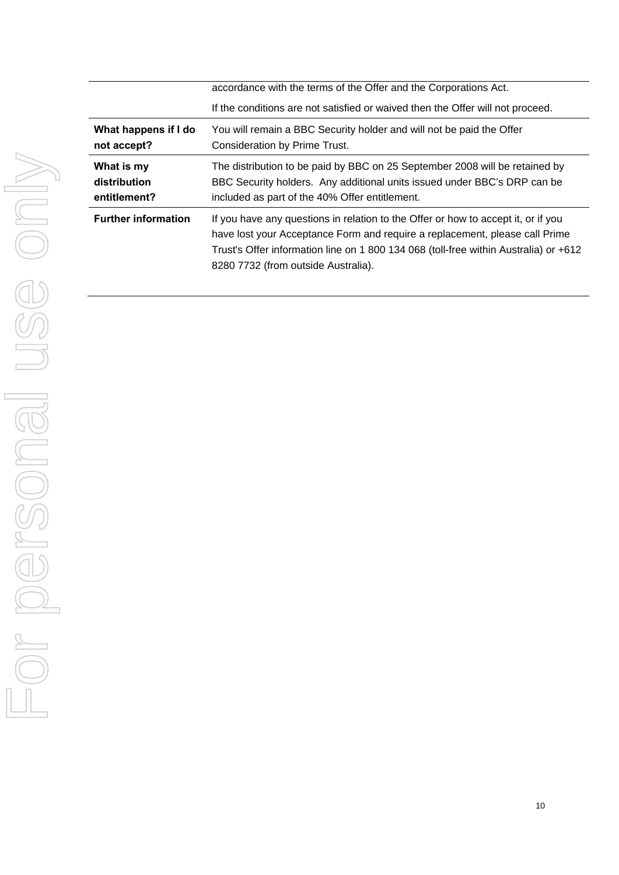|                            | accordance with the terms of the Offer and the Corporations Act.<br>If the conditions are not satisfied or waived then the Offer will not proceed.                                                                                                                                              |  |  |
|----------------------------|-------------------------------------------------------------------------------------------------------------------------------------------------------------------------------------------------------------------------------------------------------------------------------------------------|--|--|
| What happens if I do       | You will remain a BBC Security holder and will not be paid the Offer                                                                                                                                                                                                                            |  |  |
| not accept?                | Consideration by Prime Trust.                                                                                                                                                                                                                                                                   |  |  |
| What is my                 | The distribution to be paid by BBC on 25 September 2008 will be retained by                                                                                                                                                                                                                     |  |  |
| distribution               | BBC Security holders. Any additional units issued under BBC's DRP can be                                                                                                                                                                                                                        |  |  |
| entitlement?               | included as part of the 40% Offer entitlement.                                                                                                                                                                                                                                                  |  |  |
| <b>Further information</b> | If you have any questions in relation to the Offer or how to accept it, or if you<br>have lost your Acceptance Form and require a replacement, please call Prime<br>Trust's Offer information line on 1 800 134 068 (toll-free within Australia) or +612<br>8280 7732 (from outside Australia). |  |  |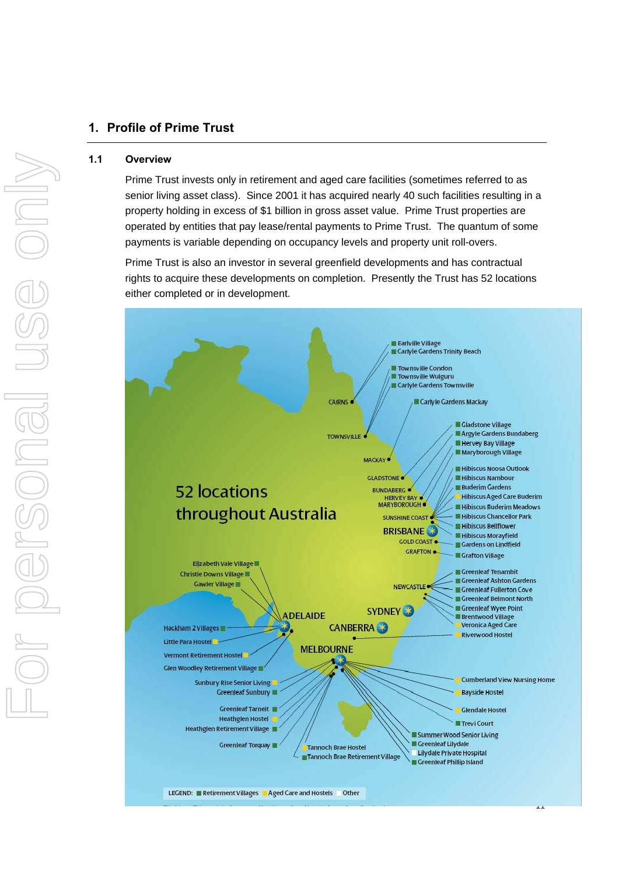# <span id="page-18-0"></span>**1. Profile of Prime Trust**

# **1.1 Overview**

For personal use only

r personal

ISS ON

Prime Trust invests only in retirement and aged care facilities (sometimes referred to as senior living asset class). Since 2001 it has acquired nearly 40 such facilities resulting in a property holding in excess of \$1 billion in gross asset value. Prime Trust properties are operated by entities that pay lease/rental payments to Prime Trust. The quantum of some payments is variable depending on occupancy levels and property unit roll-overs.

Prime Trust is also an investor in several greenfield developments and has contractual rights to acquire these developments on completion. Presently the Trust has 52 locations either completed or in development.

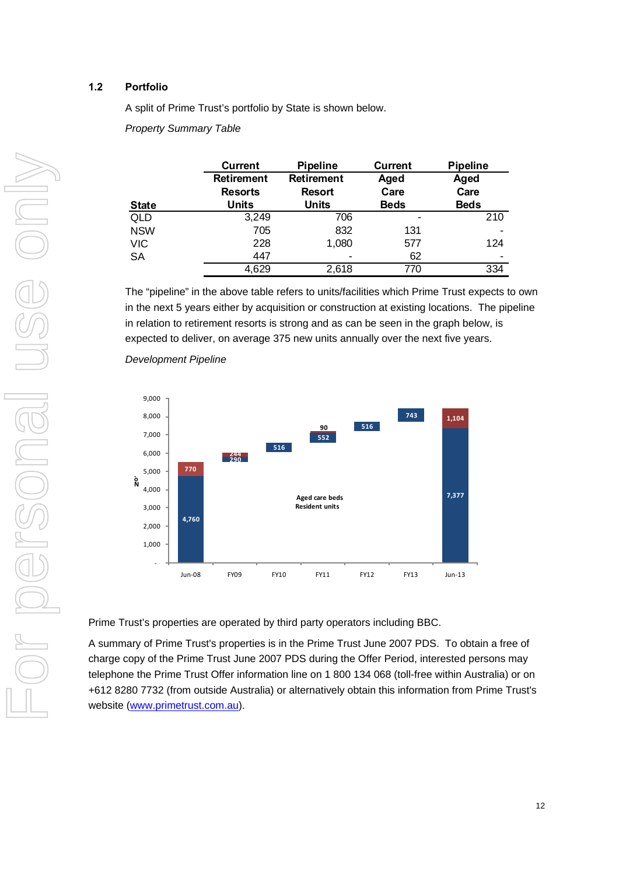# **1.2 Portfolio**

A split of Prime Trust's portfolio by State is shown below.

*Property Summary Table* 

|              | <b>Current</b>    | <b>Pipeline</b>   | <b>Current</b> | <b>Pipeline</b> |
|--------------|-------------------|-------------------|----------------|-----------------|
|              | <b>Retirement</b> | <b>Retirement</b> | Aged           | Aged            |
|              | <b>Resorts</b>    | <b>Resort</b>     | Care           | Care            |
| <b>State</b> | Units             | <b>Units</b>      | <b>Beds</b>    | <b>Beds</b>     |
| QLD          | 3,249             | 706               |                | 210             |
| <b>NSW</b>   | 705               | 832               | 131            | ٠               |
| <b>VIC</b>   | 228               | 1,080             | 577            | 124             |
| <b>SA</b>    | 447               | -                 | 62             | $\blacksquare$  |
|              | 4,629             | 2,618             | 770            | 334             |

The "pipeline" in the above table refers to units/facilities which Prime Trust expects to own in the next 5 years either by acquisition or construction at existing locations. The pipeline in relation to retirement resorts is strong and as can be seen in the graph below, is expected to deliver, on average 375 new units annually over the next five years.



*Development Pipeline*

Prime Trust's properties are operated by third party operators including BBC.

A summary of Prime Trust's properties is in the Prime Trust June 2007 PDS. To obtain a free of charge copy of the Prime Trust June 2007 PDS during the Offer Period, interested persons may telephone the Prime Trust Offer information line on 1 800 134 068 (toll-free within Australia) or on +612 8280 7732 (from outside Australia) or alternatively obtain this information from Prime Trust's website [\(www.primetrust.com.au\)](http://www.primetrust.com.au/).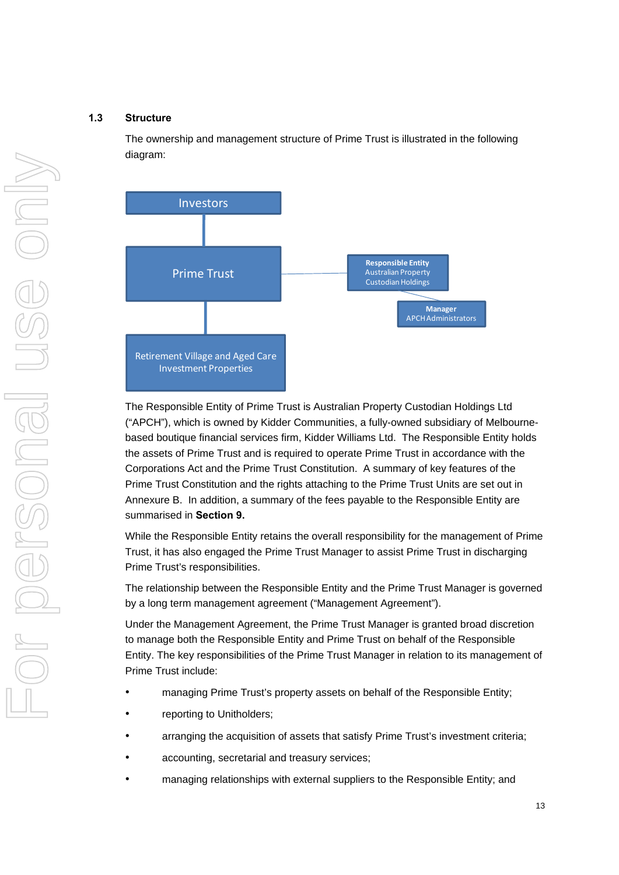# **1.3 Structure**

The ownership and management structure of Prime Trust is illustrated in the following diagram:



The Responsible Entity of Prime Trust is Australian Property Custodian Holdings Ltd ("APCH"), which is owned by Kidder Communities, a fully-owned subsidiary of Melbournebased boutique financial services firm, Kidder Williams Ltd. The Responsible Entity holds the assets of Prime Trust and is required to operate Prime Trust in accordance with the Corporations Act and the Prime Trust Constitution. A summary of key features of the Prime Trust Constitution and the rights attaching to the Prime Trust Units are set out in Annexure B. In addition, a summary of the fees payable to the Responsible Entity are summarised in **Section 9.**

While the Responsible Entity retains the overall responsibility for the management of Prime Trust, it has also engaged the Prime Trust Manager to assist Prime Trust in discharging Prime Trust's responsibilities.

The relationship between the Responsible Entity and the Prime Trust Manager is governed by a long term management agreement ("Management Agreement").

Under the Management Agreement, the Prime Trust Manager is granted broad discretion to manage both the Responsible Entity and Prime Trust on behalf of the Responsible Entity. The key responsibilities of the Prime Trust Manager in relation to its management of Prime Trust include:

- managing Prime Trust's property assets on behalf of the Responsible Entity;
- reporting to Unitholders;
- arranging the acquisition of assets that satisfy Prime Trust's investment criteria;
- accounting, secretarial and treasury services;
- managing relationships with external suppliers to the Responsible Entity; and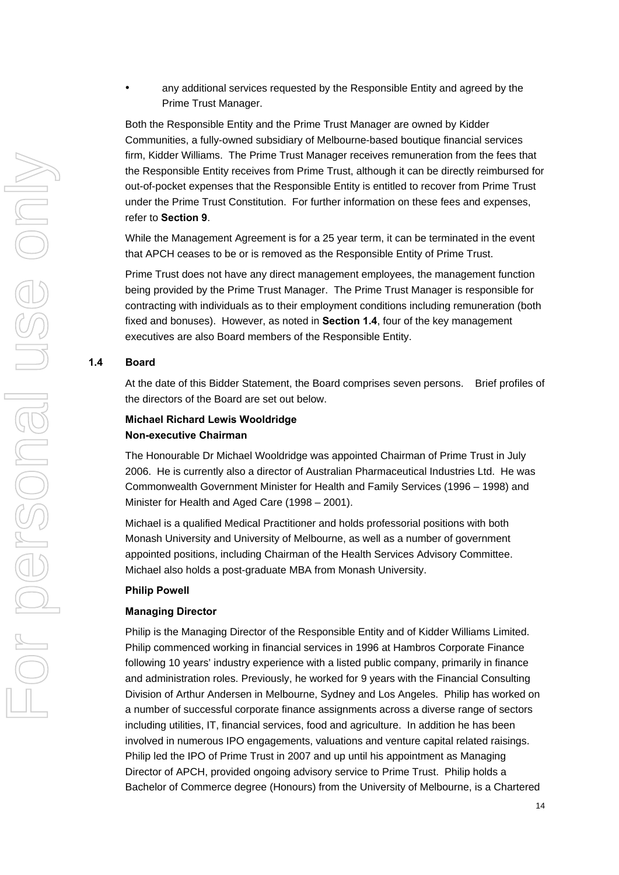• any additional services requested by the Responsible Entity and agreed by the Prime Trust Manager.

Both the Responsible Entity and the Prime Trust Manager are owned by Kidder Communities, a fully-owned subsidiary of Melbourne-based boutique financial services firm, Kidder Williams. The Prime Trust Manager receives remuneration from the fees that the Responsible Entity receives from Prime Trust, although it can be directly reimbursed for out-of-pocket expenses that the Responsible Entity is entitled to recover from Prime Trust under the Prime Trust Constitution. For further information on these fees and expenses, refer to **Section 9**.

While the Management Agreement is for a 25 year term, it can be terminated in the event that APCH ceases to be or is removed as the Responsible Entity of Prime Trust.

Prime Trust does not have any direct management employees, the management function being provided by the Prime Trust Manager. The Prime Trust Manager is responsible for contracting with individuals as to their employment conditions including remuneration (both fixed and bonuses). However, as noted in **Section 1.4**, four of the key management executives are also Board members of the Responsible Entity.

# **1.4 Board**

At the date of this Bidder Statement, the Board comprises seven persons. Brief profiles of the directors of the Board are set out below.

# **Michael Richard Lewis Wooldridge Non-executive Chairman**

The Honourable Dr Michael Wooldridge was appointed Chairman of Prime Trust in July 2006. He is currently also a director of Australian Pharmaceutical Industries Ltd. He was Commonwealth Government Minister for Health and Family Services (1996 – 1998) and Minister for Health and Aged Care (1998 – 2001).

Michael is a qualified Medical Practitioner and holds professorial positions with both Monash University and University of Melbourne, as well as a number of government appointed positions, including Chairman of the Health Services Advisory Committee. Michael also holds a post-graduate MBA from Monash University.

### **Philip Powell**

#### **Managing Director**

Philip is the Managing Director of the Responsible Entity and of Kidder Williams Limited. Philip commenced working in financial services in 1996 at Hambros Corporate Finance following 10 years' industry experience with a listed public company, primarily in finance and administration roles. Previously, he worked for 9 years with the Financial Consulting Division of Arthur Andersen in Melbourne, Sydney and Los Angeles. Philip has worked on a number of successful corporate finance assignments across a diverse range of sectors including utilities, IT, financial services, food and agriculture. In addition he has been involved in numerous IPO engagements, valuations and venture capital related raisings. Philip led the IPO of Prime Trust in 2007 and up until his appointment as Managing Director of APCH, provided ongoing advisory service to Prime Trust. Philip holds a Bachelor of Commerce degree (Honours) from the University of Melbourne, is a Chartered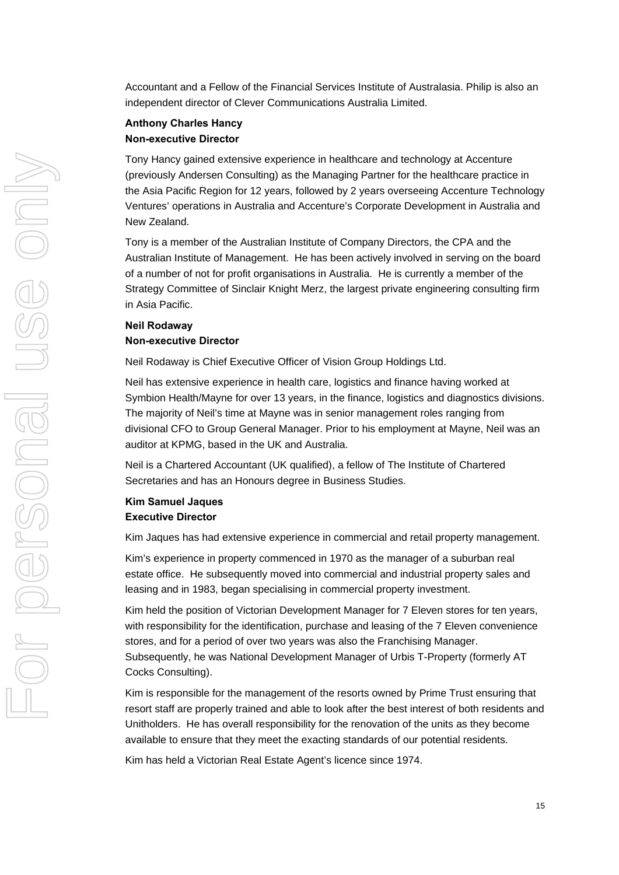Accountant and a Fellow of the Financial Services Institute of Australasia. Philip is also an independent director of Clever Communications Australia Limited.

# **Anthony Charles Hancy Non-executive Director**

Tony Hancy gained extensive experience in healthcare and technology at Accenture (previously Andersen Consulting) as the Managing Partner for the healthcare practice in the Asia Pacific Region for 12 years, followed by 2 years overseeing Accenture Technology Ventures' operations in Australia and Accenture's Corporate Development in Australia and New Zealand.

Tony is a member of the Australian Institute of Company Directors, the CPA and the Australian Institute of Management. He has been actively involved in serving on the board of a number of not for profit organisations in Australia. He is currently a member of the Strategy Committee of Sinclair Knight Merz, the largest private engineering consulting firm in Asia Pacific.

# **Neil Rodaway Non-executive Director**

Neil Rodaway is Chief Executive Officer of Vision Group Holdings Ltd.

Neil has extensive experience in health care, logistics and finance having worked at Symbion Health/Mayne for over 13 years, in the finance, logistics and diagnostics divisions. The majority of Neil's time at Mayne was in senior management roles ranging from divisional CFO to Group General Manager. Prior to his employment at Mayne, Neil was an auditor at KPMG, based in the UK and Australia.

Neil is a Chartered Accountant (UK qualified), a fellow of The Institute of Chartered Secretaries and has an Honours degree in Business Studies.

# **Kim Samuel Jaques Executive Director**

Kim Jaques has had extensive experience in commercial and retail property management.

Kim's experience in property commenced in 1970 as the manager of a suburban real estate office. He subsequently moved into commercial and industrial property sales and leasing and in 1983, began specialising in commercial property investment.

Kim held the position of Victorian Development Manager for 7 Eleven stores for ten years, with responsibility for the identification, purchase and leasing of the 7 Eleven convenience stores, and for a period of over two years was also the Franchising Manager. Subsequently, he was National Development Manager of Urbis T-Property (formerly AT Cocks Consulting).

Kim is responsible for the management of the resorts owned by Prime Trust ensuring that resort staff are properly trained and able to look after the best interest of both residents and Unitholders. He has overall responsibility for the renovation of the units as they become available to ensure that they meet the exacting standards of our potential residents.

Kim has held a Victorian Real Estate Agent's licence since 1974.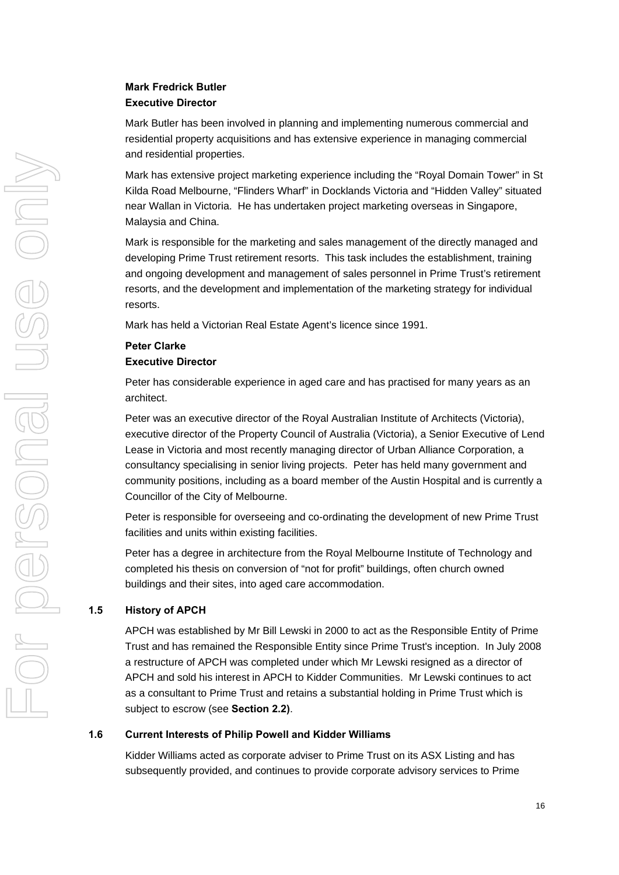# **Mark Fredrick Butler Executive Director**

Mark Butler has been involved in planning and implementing numerous commercial and residential property acquisitions and has extensive experience in managing commercial and residential properties.

Mark has extensive project marketing experience including the "Royal Domain Tower" in St Kilda Road Melbourne, "Flinders Wharf" in Docklands Victoria and "Hidden Valley" situated near Wallan in Victoria. He has undertaken project marketing overseas in Singapore, Malaysia and China.

Mark is responsible for the marketing and sales management of the directly managed and developing Prime Trust retirement resorts. This task includes the establishment, training and ongoing development and management of sales personnel in Prime Trust's retirement resorts, and the development and implementation of the marketing strategy for individual resorts.

Mark has held a Victorian Real Estate Agent's licence since 1991.

# **Peter Clarke Executive Director**

Peter has considerable experience in aged care and has practised for many years as an architect.

Peter was an executive director of the Royal Australian Institute of Architects (Victoria), executive director of the Property Council of Australia (Victoria), a Senior Executive of Lend Lease in Victoria and most recently managing director of Urban Alliance Corporation, a consultancy specialising in senior living projects. Peter has held many government and community positions, including as a board member of the Austin Hospital and is currently a Councillor of the City of Melbourne.

Peter is responsible for overseeing and co-ordinating the development of new Prime Trust facilities and units within existing facilities.

Peter has a degree in architecture from the Royal Melbourne Institute of Technology and completed his thesis on conversion of "not for profit" buildings, often church owned buildings and their sites, into aged care accommodation.

# **1.5 History of APCH**

APCH was established by Mr Bill Lewski in 2000 to act as the Responsible Entity of Prime Trust and has remained the Responsible Entity since Prime Trust's inception. In July 2008 a restructure of APCH was completed under which Mr Lewski resigned as a director of APCH and sold his interest in APCH to Kidder Communities. Mr Lewski continues to act as a consultant to Prime Trust and retains a substantial holding in Prime Trust which is subject to escrow (see **Section 2.2)**.

# **1.6 Current Interests of Philip Powell and Kidder Williams**

Kidder Williams acted as corporate adviser to Prime Trust on its ASX Listing and has subsequently provided, and continues to provide corporate advisory services to Prime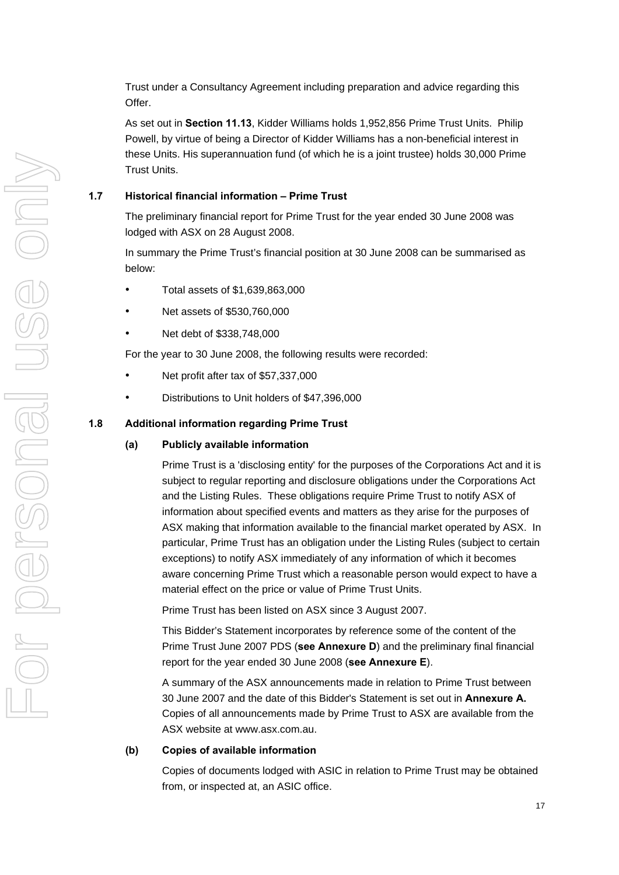Trust under a Consultancy Agreement including preparation and advice regarding this Offer.

As set out in **Section [11.13](#page-69-0)**, Kidder Williams holds 1,952,856 Prime Trust Units. Philip Powell, by virtue of being a Director of Kidder Williams has a non-beneficial interest in these Units. His superannuation fund (of which he is a joint trustee) holds 30,000 Prime Trust Units.

# **1.7 Historical financial information – Prime Trust**

The preliminary financial report for Prime Trust for the year ended 30 June 2008 was lodged with ASX on 28 August 2008.

In summary the Prime Trust's financial position at 30 June 2008 can be summarised as below:

- Total assets of \$1,639,863,000
- Net assets of \$530,760,000
- Net debt of \$338,748,000

For the year to 30 June 2008, the following results were recorded:

- Net profit after tax of \$57,337,000
- Distributions to Unit holders of \$47,396,000

# **1.8 Additional information regarding Prime Trust**

# **(a) Publicly available information**

Prime Trust is a 'disclosing entity' for the purposes of the Corporations Act and it is subject to regular reporting and disclosure obligations under the Corporations Act and the Listing Rules. These obligations require Prime Trust to notify ASX of information about specified events and matters as they arise for the purposes of ASX making that information available to the financial market operated by ASX. In particular, Prime Trust has an obligation under the Listing Rules (subject to certain exceptions) to notify ASX immediately of any information of which it becomes aware concerning Prime Trust which a reasonable person would expect to have a material effect on the price or value of Prime Trust Units.

Prime Trust has been listed on ASX since 3 August 2007.

This Bidder's Statement incorporates by reference some of the content of the Prime Trust June 2007 PDS (**see Annexure D**) and the preliminary final financial report for the year ended 30 June 2008 (**see Annexure E**).

A summary of the ASX announcements made in relation to Prime Trust between 30 June 2007 and the date of this Bidder's Statement is set out in **Annexure A.** Copies of all announcements made by Prime Trust to ASX are available from the ASX website at www.asx.com.au.

# **(b) Copies of available information**

Copies of documents lodged with ASIC in relation to Prime Trust may be obtained from, or inspected at, an ASIC office.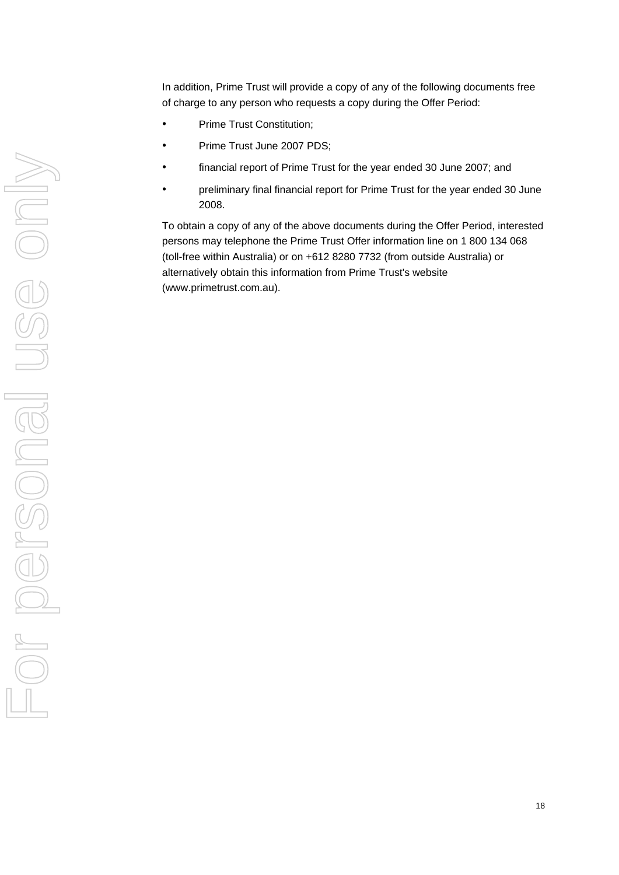In addition, Prime Trust will provide a copy of any of the following documents free of charge to any person who requests a copy during the Offer Period:

- Prime Trust Constitution;
- Prime Trust June 2007 PDS;
- financial report of Prime Trust for the year ended 30 June 2007; and
- preliminary final financial report for Prime Trust for the year ended 30 June 2008.

To obtain a copy of any of the above documents during the Offer Period, interested persons may telephone the Prime Trust Offer information line on 1 800 134 068 (toll-free within Australia) or on +612 8280 7732 (from outside Australia) or alternatively obtain this information from Prime Trust's website (www.primetrust.com.au).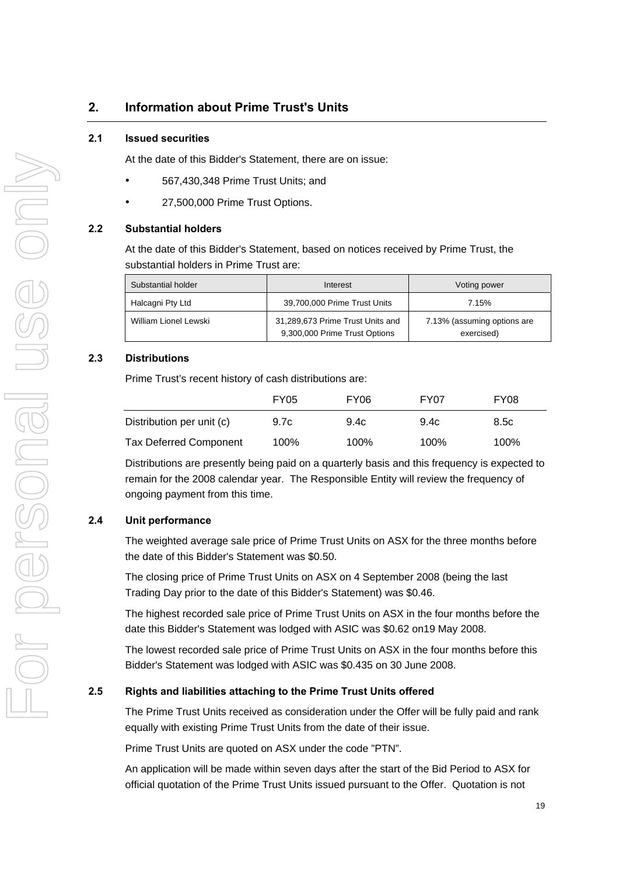# <span id="page-26-0"></span>**2. Information about Prime Trust's Units**

# **2.1 Issued securities**

At the date of this Bidder's Statement, there are on issue:

- 567,430,348 Prime Trust Units; and
- 27,500,000 Prime Trust Options.

# **2.2 Substantial holders**

At the date of this Bidder's Statement, based on notices received by Prime Trust, the substantial holders in Prime Trust are:

| Substantial holder    | Interest                                                          | Voting power                              |  |
|-----------------------|-------------------------------------------------------------------|-------------------------------------------|--|
| Halcagni Pty Ltd      | 39,700,000 Prime Trust Units                                      | 7.15%                                     |  |
| William Lionel Lewski | 31,289,673 Prime Trust Units and<br>9,300,000 Prime Trust Options | 7.13% (assuming options are<br>exercised) |  |

# **2.3 Distributions**

Prime Trust's recent history of cash distributions are:

|                               | <b>FY05</b> | FY <sub>06</sub> | FY07 | FY <sub>08</sub> |
|-------------------------------|-------------|------------------|------|------------------|
| Distribution per unit (c)     | 9.7c        | 9.4c             | 9.4c | 8.5c             |
| <b>Tax Deferred Component</b> | 100%        | 100%             | 100% | 100%             |

Distributions are presently being paid on a quarterly basis and this frequency is expected to remain for the 2008 calendar year. The Responsible Entity will review the frequency of ongoing payment from this time.

# **2.4 Unit performance**

The weighted average sale price of Prime Trust Units on ASX for the three months before the date of this Bidder's Statement was \$0.50.

The closing price of Prime Trust Units on ASX on 4 September 2008 (being the last Trading Day prior to the date of this Bidder's Statement) was \$0.46.

The highest recorded sale price of Prime Trust Units on ASX in the four months before the date this Bidder's Statement was lodged with ASIC was \$0.62 on19 May 2008.

The lowest recorded sale price of Prime Trust Units on ASX in the four months before this Bidder's Statement was lodged with ASIC was \$0.435 on 30 June 2008.

# **2.5 Rights and liabilities attaching to the Prime Trust Units offered**

The Prime Trust Units received as consideration under the Offer will be fully paid and rank equally with existing Prime Trust Units from the date of their issue.

Prime Trust Units are quoted on ASX under the code "PTN".

An application will be made within seven days after the start of the Bid Period to ASX for official quotation of the Prime Trust Units issued pursuant to the Offer. Quotation is not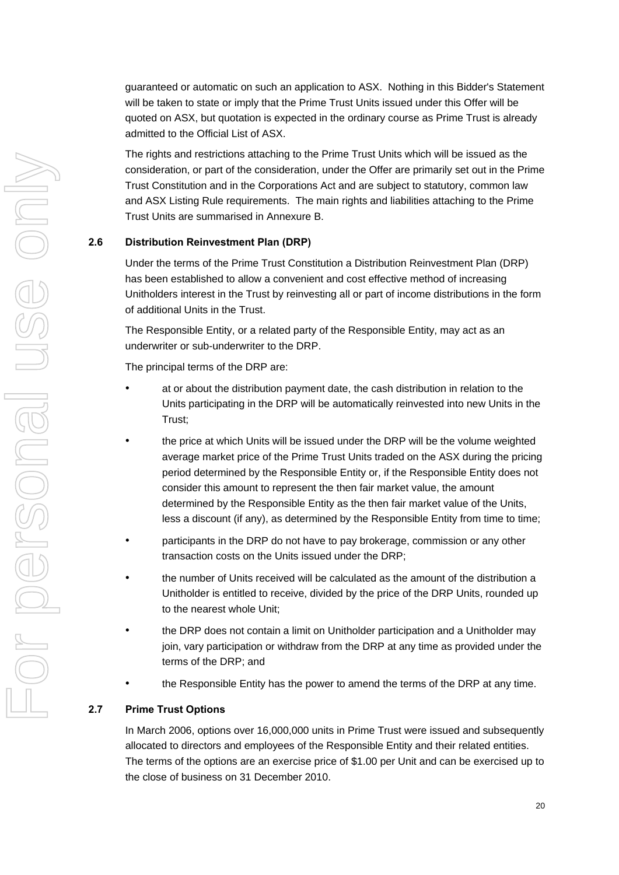guaranteed or automatic on such an application to ASX. Nothing in this Bidder's Statement will be taken to state or imply that the Prime Trust Units issued under this Offer will be quoted on ASX, but quotation is expected in the ordinary course as Prime Trust is already admitted to the Official List of ASX.

The rights and restrictions attaching to the Prime Trust Units which will be issued as the consideration, or part of the consideration, under the Offer are primarily set out in the Prime Trust Constitution and in the Corporations Act and are subject to statutory, common law and ASX Listing Rule requirements. The main rights and liabilities attaching to the Prime Trust Units are summarised in Annexure B.

# **2.6 Distribution Reinvestment Plan (DRP)**

Under the terms of the Prime Trust Constitution a Distribution Reinvestment Plan (DRP) has been established to allow a convenient and cost effective method of increasing Unitholders interest in the Trust by reinvesting all or part of income distributions in the form of additional Units in the Trust.

The Responsible Entity, or a related party of the Responsible Entity, may act as an underwriter or sub-underwriter to the DRP.

The principal terms of the DRP are:

- at or about the distribution payment date, the cash distribution in relation to the Units participating in the DRP will be automatically reinvested into new Units in the Trust;
- the price at which Units will be issued under the DRP will be the volume weighted average market price of the Prime Trust Units traded on the ASX during the pricing period determined by the Responsible Entity or, if the Responsible Entity does not consider this amount to represent the then fair market value, the amount determined by the Responsible Entity as the then fair market value of the Units, less a discount (if any), as determined by the Responsible Entity from time to time;
- participants in the DRP do not have to pay brokerage, commission or any other transaction costs on the Units issued under the DRP;
- the number of Units received will be calculated as the amount of the distribution a Unitholder is entitled to receive, divided by the price of the DRP Units, rounded up to the nearest whole Unit;
- the DRP does not contain a limit on Unitholder participation and a Unitholder may join, vary participation or withdraw from the DRP at any time as provided under the terms of the DRP; and
- the Responsible Entity has the power to amend the terms of the DRP at any time.

# **2.7 Prime Trust Options**

In March 2006, options over 16,000,000 units in Prime Trust were issued and subsequently allocated to directors and employees of the Responsible Entity and their related entities. The terms of the options are an exercise price of \$1.00 per Unit and can be exercised up to the close of business on 31 December 2010.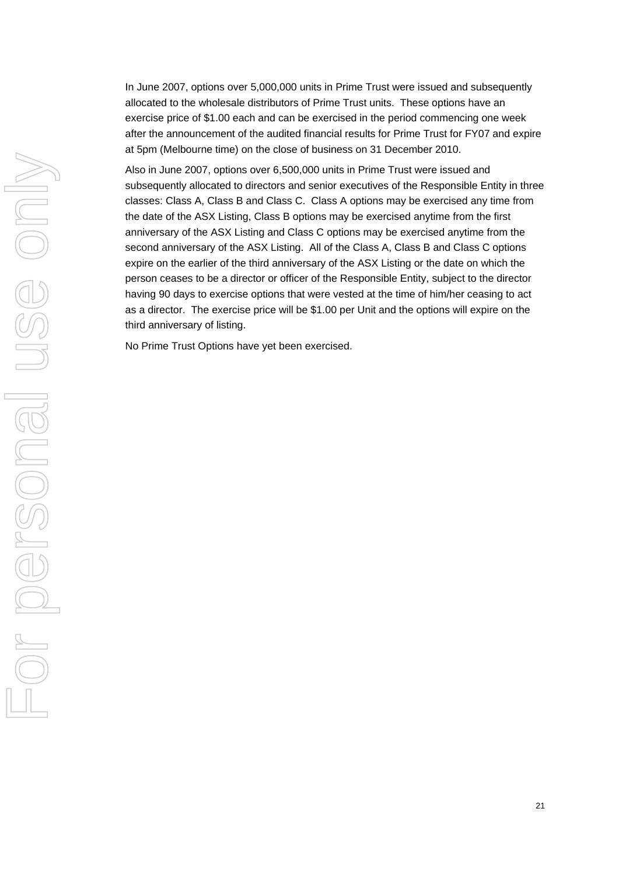In June 2007, options over 5,000,000 units in Prime Trust were issued and subsequently allocated to the wholesale distributors of Prime Trust units. These options have an exercise price of \$1.00 each and can be exercised in the period commencing one week after the announcement of the audited financial results for Prime Trust for FY07 and expire at 5pm (Melbourne time) on the close of business on 31 December 2010.

Also in June 2007, options over 6,500,000 units in Prime Trust were issued and subsequently allocated to directors and senior executives of the Responsible Entity in three classes: Class A, Class B and Class C. Class A options may be exercised any time from the date of the ASX Listing, Class B options may be exercised anytime from the first anniversary of the ASX Listing and Class C options may be exercised anytime from the second anniversary of the ASX Listing. All of the Class A, Class B and Class C options expire on the earlier of the third anniversary of the ASX Listing or the date on which the person ceases to be a director or officer of the Responsible Entity, subject to the director having 90 days to exercise options that were vested at the time of him/her ceasing to act as a director. The exercise price will be \$1.00 per Unit and the options will expire on the third anniversary of listing.

No Prime Trust Options have yet been exercised.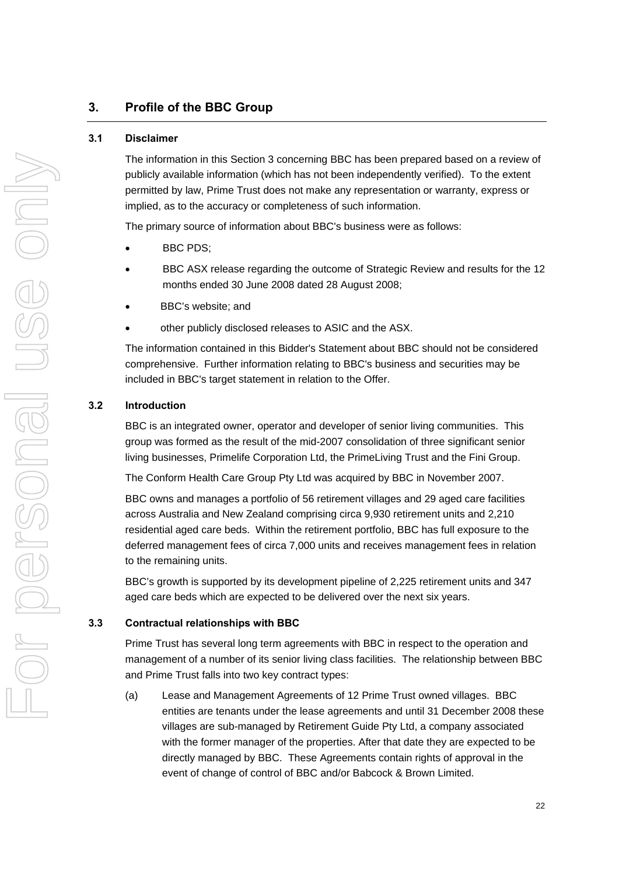# <span id="page-29-0"></span>**3. Profile of the BBC Group**

# **3.1 Disclaimer**

The information in this Section 3 concerning BBC has been prepared based on a review of publicly available information (which has not been independently verified). To the extent permitted by law, Prime Trust does not make any representation or warranty, express or implied, as to the accuracy or completeness of such information.

The primary source of information about BBC's business were as follows:

- BBC PDS;
- BBC ASX release regarding the outcome of Strategic Review and results for the 12 months ended 30 June 2008 dated 28 August 2008;
- BBC's website; and
- other publicly disclosed releases to ASIC and the ASX.

The information contained in this Bidder's Statement about BBC should not be considered comprehensive. Further information relating to BBC's business and securities may be included in BBC's target statement in relation to the Offer.

# **3.2 Introduction**

BBC is an integrated owner, operator and developer of senior living communities. This group was formed as the result of the mid-2007 consolidation of three significant senior living businesses, Primelife Corporation Ltd, the PrimeLiving Trust and the Fini Group.

The Conform Health Care Group Pty Ltd was acquired by BBC in November 2007.

BBC owns and manages a portfolio of 56 retirement villages and 29 aged care facilities across Australia and New Zealand comprising circa 9,930 retirement units and 2,210 residential aged care beds. Within the retirement portfolio, BBC has full exposure to the deferred management fees of circa 7,000 units and receives management fees in relation to the remaining units.

BBC's growth is supported by its development pipeline of 2,225 retirement units and 347 aged care beds which are expected to be delivered over the next six years.

# **3.3 Contractual relationships with BBC**

Prime Trust has several long term agreements with BBC in respect to the operation and management of a number of its senior living class facilities. The relationship between BBC and Prime Trust falls into two key contract types:

(a) Lease and Management Agreements of 12 Prime Trust owned villages. BBC entities are tenants under the lease agreements and until 31 December 2008 these villages are sub-managed by Retirement Guide Pty Ltd, a company associated with the former manager of the properties. After that date they are expected to be directly managed by BBC. These Agreements contain rights of approval in the event of change of control of BBC and/or Babcock & Brown Limited.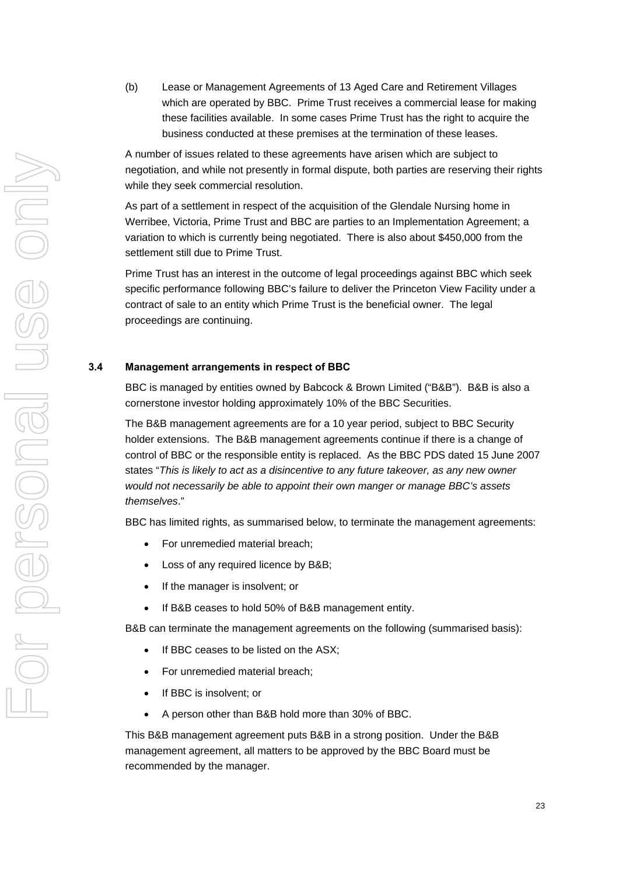(b) Lease or Management Agreements of 13 Aged Care and Retirement Villages which are operated by BBC. Prime Trust receives a commercial lease for making these facilities available. In some cases Prime Trust has the right to acquire the business conducted at these premises at the termination of these leases.

A number of issues related to these agreements have arisen which are subject to negotiation, and while not presently in formal dispute, both parties are reserving their rights while they seek commercial resolution.

As part of a settlement in respect of the acquisition of the Glendale Nursing home in Werribee, Victoria, Prime Trust and BBC are parties to an Implementation Agreement; a variation to which is currently being negotiated. There is also about \$450,000 from the settlement still due to Prime Trust.

Prime Trust has an interest in the outcome of legal proceedings against BBC which seek specific performance following BBC's failure to deliver the Princeton View Facility under a contract of sale to an entity which Prime Trust is the beneficial owner. The legal proceedings are continuing.

# **3.4 Management arrangements in respect of BBC**

BBC is managed by entities owned by Babcock & Brown Limited ("B&B"). B&B is also a cornerstone investor holding approximately 10% of the BBC Securities.

The B&B management agreements are for a 10 year period, subject to BBC Security holder extensions. The B&B management agreements continue if there is a change of control of BBC or the responsible entity is replaced. As the BBC PDS dated 15 June 2007 states "*This is likely to act as a disincentive to any future takeover, as any new owner would not necessarily be able to appoint their own manger or manage BBC's assets themselves*."

BBC has limited rights, as summarised below, to terminate the management agreements:

- For unremedied material breach;
- Loss of any required licence by B&B;
- If the manager is insolvent; or
- If B&B ceases to hold 50% of B&B management entity.

B&B can terminate the management agreements on the following (summarised basis):

- If BBC ceases to be listed on the ASX;
- For unremedied material breach;
- If BBC is insolvent; or
- A person other than B&B hold more than 30% of BBC.

This B&B management agreement puts B&B in a strong position. Under the B&B management agreement, all matters to be approved by the BBC Board must be recommended by the manager.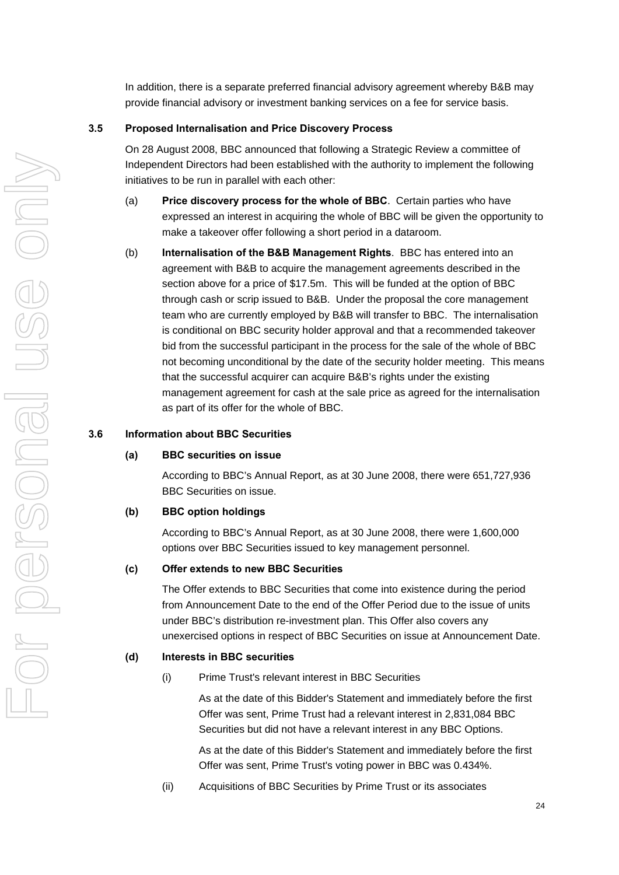In addition, there is a separate preferred financial advisory agreement whereby B&B may provide financial advisory or investment banking services on a fee for service basis.

# <span id="page-31-0"></span>**3.5 Proposed Internalisation and Price Discovery Process**

On 28 August 2008, BBC announced that following a Strategic Review a committee of Independent Directors had been established with the authority to implement the following initiatives to be run in parallel with each other:

- (a) **Price discovery process for the whole of BBC**. Certain parties who have expressed an interest in acquiring the whole of BBC will be given the opportunity to make a takeover offer following a short period in a dataroom.
- (b) **Internalisation of the B&B Management Rights**. BBC has entered into an agreement with B&B to acquire the management agreements described in the section above for a price of \$17.5m. This will be funded at the option of BBC through cash or scrip issued to B&B. Under the proposal the core management team who are currently employed by B&B will transfer to BBC. The internalisation is conditional on BBC security holder approval and that a recommended takeover bid from the successful participant in the process for the sale of the whole of BBC not becoming unconditional by the date of the security holder meeting. This means that the successful acquirer can acquire B&B's rights under the existing management agreement for cash at the sale price as agreed for the internalisation as part of its offer for the whole of BBC.

# **3.6 Information about BBC Securities**

# **(a) BBC securities on issue**

According to BBC's Annual Report, as at 30 June 2008, there were 651,727,936 BBC Securities on issue.

# **(b) BBC option holdings**

According to BBC's Annual Report, as at 30 June 2008, there were 1,600,000 options over BBC Securities issued to key management personnel.

# **(c) Offer extends to new BBC Securities**

The Offer extends to BBC Securities that come into existence during the period from Announcement Date to the end of the Offer Period due to the issue of units under BBC's distribution re-investment plan. This Offer also covers any unexercised options in respect of BBC Securities on issue at Announcement Date.

# **(d) Interests in BBC securities**

(i) Prime Trust's relevant interest in BBC Securities

As at the date of this Bidder's Statement and immediately before the first Offer was sent, Prime Trust had a relevant interest in 2,831,084 BBC Securities but did not have a relevant interest in any BBC Options.

As at the date of this Bidder's Statement and immediately before the first Offer was sent, Prime Trust's voting power in BBC was 0.434%.

(ii) Acquisitions of BBC Securities by Prime Trust or its associates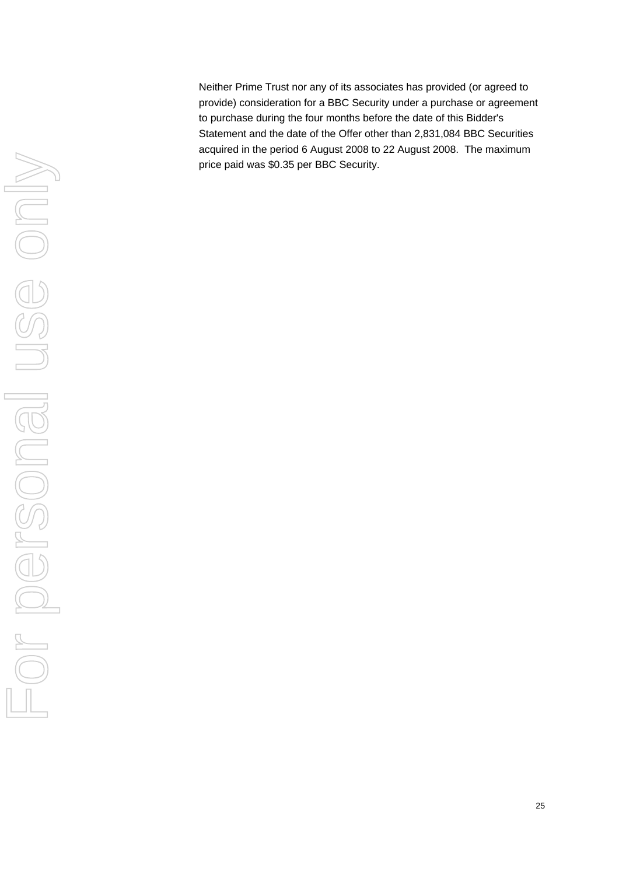Neither Prime Trust nor any of its associates has provided (or agreed to provide) consideration for a BBC Security under a purchase or agreement to purchase during the four months before the date of this Bidder's Statement and the date of the Offer other than 2,831,084 BBC Securities acquired in the period 6 August 2008 to 22 August 2008. The maximum price paid was \$0.35 per BBC Security.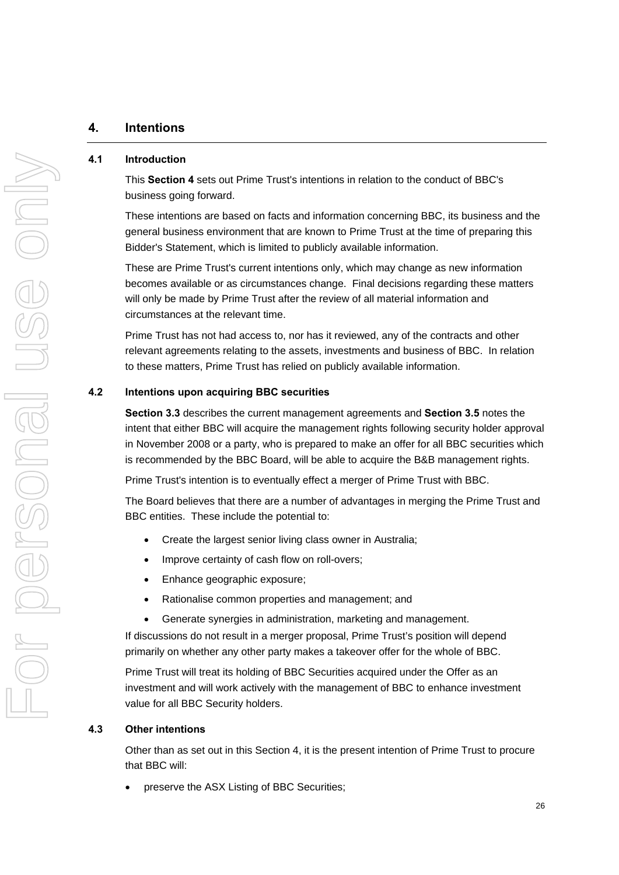# <span id="page-33-1"></span><span id="page-33-0"></span>**4. Intentions**

# **4.1 Introduction**

This **Section 4** sets out Prime Trust's intentions in relation to the conduct of BBC's business going forward.

These intentions are based on facts and information concerning BBC, its business and the general business environment that are known to Prime Trust at the time of preparing this Bidder's Statement, which is limited to publicly available information.

These are Prime Trust's current intentions only, which may change as new information becomes available or as circumstances change. Final decisions regarding these matters will only be made by Prime Trust after the review of all material information and circumstances at the relevant time.

Prime Trust has not had access to, nor has it reviewed, any of the contracts and other relevant agreements relating to the assets, investments and business of BBC. In relation to these matters, Prime Trust has relied on publicly available information.

# **4.2 Intentions upon acquiring BBC securities**

**Section 3.3** describes the current management agreements and **Section [3.5](#page-31-0)** notes the intent that either BBC will acquire the management rights following security holder approval in November 2008 or a party, who is prepared to make an offer for all BBC securities which is recommended by the BBC Board, will be able to acquire the B&B management rights.

Prime Trust's intention is to eventually effect a merger of Prime Trust with BBC.

The Board believes that there are a number of advantages in merging the Prime Trust and BBC entities. These include the potential to:

- Create the largest senior living class owner in Australia;
- Improve certainty of cash flow on roll-overs;
- Enhance geographic exposure;
- Rationalise common properties and management; and
- Generate synergies in administration, marketing and management.

If discussions do not result in a merger proposal, Prime Trust's position will depend primarily on whether any other party makes a takeover offer for the whole of BBC.

Prime Trust will treat its holding of BBC Securities acquired under the Offer as an investment and will work actively with the management of BBC to enhance investment value for all BBC Security holders.

# **4.3 Other intentions**

Other than as set out in this Section 4, it is the present intention of Prime Trust to procure that BBC will:

preserve the ASX Listing of BBC Securities;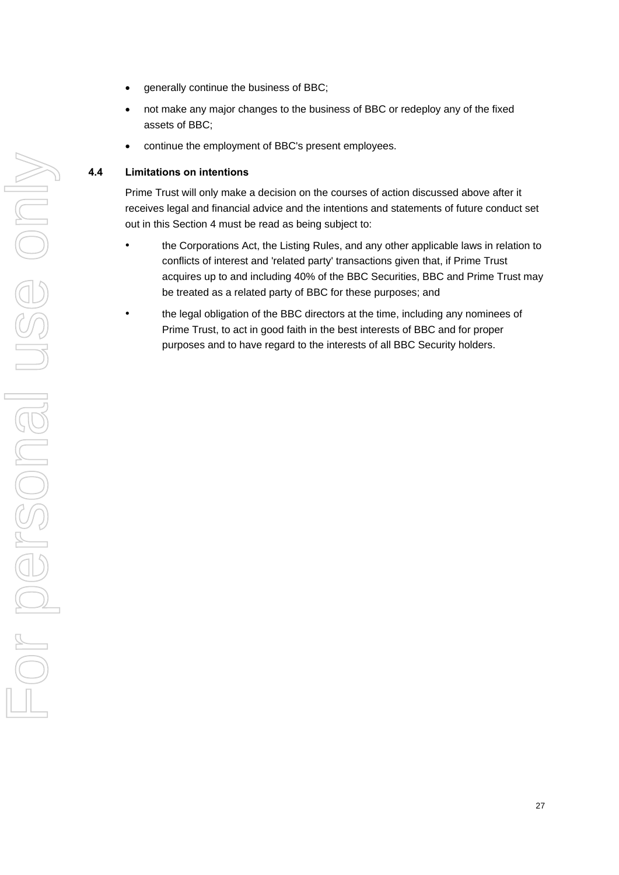- generally continue the business of BBC:
- not make any major changes to the business of BBC or redeploy any of the fixed assets of BBC;
- continue the employment of BBC's present employees.

# **4.4 Limitations on intentions**

Prime Trust will only make a decision on the courses of action discussed above after it receives legal and financial advice and the intentions and statements of future conduct set out in this Section [4](#page-33-1) must be read as being subject to:

- the Corporations Act, the Listing Rules, and any other applicable laws in relation to conflicts of interest and 'related party' transactions given that, if Prime Trust acquires up to and including 40% of the BBC Securities, BBC and Prime Trust may be treated as a related party of BBC for these purposes; and
- the legal obligation of the BBC directors at the time, including any nominees of Prime Trust, to act in good faith in the best interests of BBC and for proper purposes and to have regard to the interests of all BBC Security holders.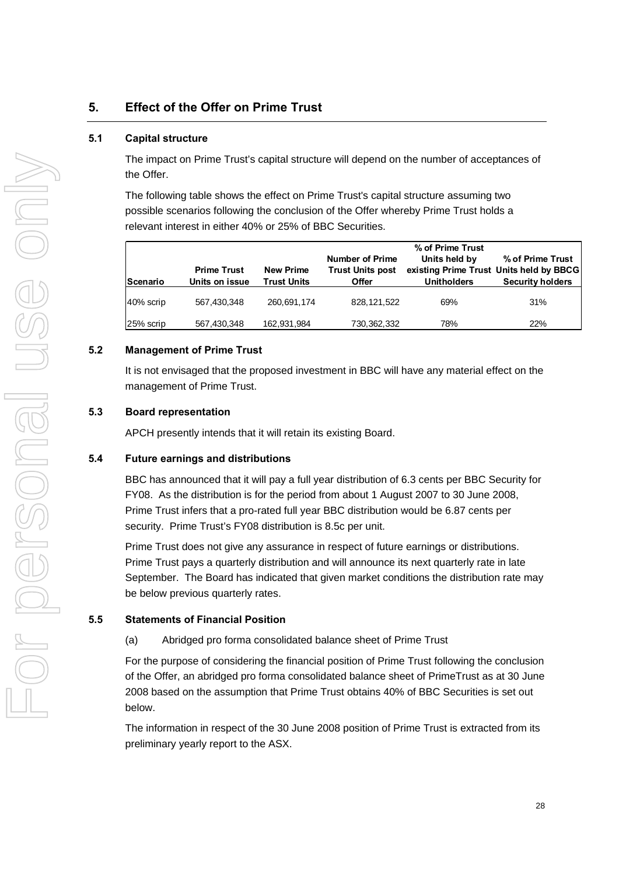# <span id="page-35-0"></span>**5. Effect of the Offer on Prime Trust**

# **5.1 Capital structure**

The impact on Prime Trust's capital structure will depend on the number of acceptances of the Offer.

The following table shows the effect on Prime Trust's capital structure assuming two possible scenarios following the conclusion of the Offer whereby Prime Trust holds a relevant interest in either 40% or 25% of BBC Securities.

| <b>Prime Trust</b><br><b>New Prime</b><br><b>Trust Units</b><br>Units on issue<br><b>Scenario</b> |             | <b>Number of Prime</b><br><b>Trust Units post</b><br>Offer | % of Prime Trust<br>Units held by<br><b>Unitholders</b> | % of Prime Trust<br>existing Prime Trust Units held by BBCG<br><b>Security holders</b> |     |
|---------------------------------------------------------------------------------------------------|-------------|------------------------------------------------------------|---------------------------------------------------------|----------------------------------------------------------------------------------------|-----|
| 40% scrip                                                                                         | 567,430,348 | 260,691,174                                                | 828, 121, 522                                           | 69%                                                                                    | 31% |
| 25% scrip                                                                                         | 567,430,348 | 162,931,984                                                | 730,362,332                                             | 78%                                                                                    | 22% |

# **5.2 Management of Prime Trust**

It is not envisaged that the proposed investment in BBC will have any material effect on the management of Prime Trust.

# **5.3 Board representation**

APCH presently intends that it will retain its existing Board.

# **5.4 Future earnings and distributions**

BBC has announced that it will pay a full year distribution of 6.3 cents per BBC Security for FY08. As the distribution is for the period from about 1 August 2007 to 30 June 2008, Prime Trust infers that a pro-rated full year BBC distribution would be 6.87 cents per security. Prime Trust's FY08 distribution is 8.5c per unit.

Prime Trust does not give any assurance in respect of future earnings or distributions. Prime Trust pays a quarterly distribution and will announce its next quarterly rate in late September. The Board has indicated that given market conditions the distribution rate may be below previous quarterly rates.

# **5.5 Statements of Financial Position**

(a) Abridged pro forma consolidated balance sheet of Prime Trust

For the purpose of considering the financial position of Prime Trust following the conclusion of the Offer, an abridged pro forma consolidated balance sheet of PrimeTrust as at 30 June 2008 based on the assumption that Prime Trust obtains 40% of BBC Securities is set out below.

The information in respect of the 30 June 2008 position of Prime Trust is extracted from its preliminary yearly report to the ASX.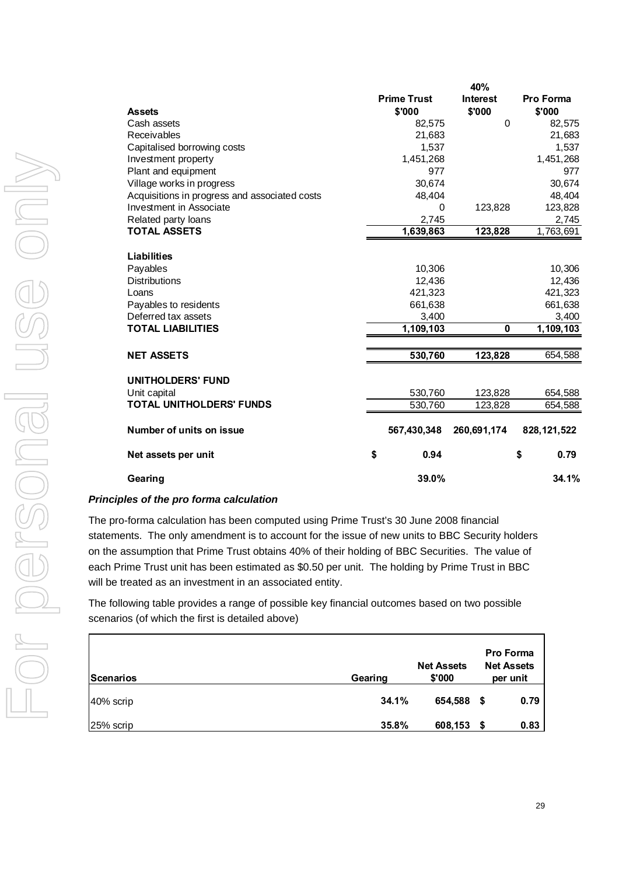|                                               |                              | 40%                       |                            |
|-----------------------------------------------|------------------------------|---------------------------|----------------------------|
| <b>Assets</b>                                 | <b>Prime Trust</b><br>\$'000 | <b>Interest</b><br>\$'000 | <b>Pro Forma</b><br>\$'000 |
| Cash assets                                   | 82,575                       | $\Omega$                  | 82,575                     |
| Receivables                                   | 21,683                       |                           | 21,683                     |
| Capitalised borrowing costs                   | 1,537                        |                           | 1,537                      |
| Investment property                           | 1,451,268                    |                           | 1,451,268                  |
| Plant and equipment                           | 977                          |                           | 977                        |
| Village works in progress                     | 30,674                       |                           | 30,674                     |
| Acquisitions in progress and associated costs | 48,404                       |                           | 48,404                     |
| Investment in Associate                       | 0                            | 123,828                   | 123,828                    |
| Related party loans                           | 2,745                        |                           | 2,745                      |
| <b>TOTAL ASSETS</b>                           | 1,639,863                    | 123,828                   | 1,763,691                  |
| Liabilities                                   |                              |                           |                            |
| Payables                                      | 10,306                       |                           | 10,306                     |
| <b>Distributions</b>                          | 12,436                       |                           | 12,436                     |
| Loans                                         | 421,323                      |                           | 421,323                    |
| Payables to residents<br>Deferred tax assets  | 661,638<br>3,400             |                           | 661,638<br>3,400           |
| <b>TOTAL LIABILITIES</b>                      | 1,109,103                    | $\mathbf 0$               | 1,109,103                  |
|                                               |                              |                           |                            |
| <b>NET ASSETS</b>                             | 530,760                      | 123,828                   | 654,588                    |
| <b>UNITHOLDERS' FUND</b><br>Unit capital      | 530,760                      | 123,828                   | 654,588                    |
| <b>TOTAL UNITHOLDERS' FUNDS</b>               | 530,760                      | 123,828                   | 654,588                    |
|                                               |                              |                           |                            |
| Number of units on issue                      | 567,430,348                  | 260,691,174               | 828, 121, 522              |
| Net assets per unit                           | \$<br>0.94                   |                           | 0.79<br>\$                 |
| Gearing                                       | 39.0%                        |                           | 34.1%                      |

# *Principles of the pro forma calculation*

The pro-forma calculation has been computed using Prime Trust's 30 June 2008 financial statements. The only amendment is to account for the issue of new units to BBC Security holders on the assumption that Prime Trust obtains 40% of their holding of BBC Securities. The value of each Prime Trust unit has been estimated as \$0.50 per unit. The holding by Prime Trust in BBC will be treated as an investment in an associated entity.

The following table provides a range of possible key financial outcomes based on two possible scenarios (of which the first is detailed above)

| Scenarios | Gearing | <b>Net Assets</b><br>\$'000 | <b>Pro Forma</b><br><b>Net Assets</b><br>per unit |
|-----------|---------|-----------------------------|---------------------------------------------------|
| 40% scrip | 34.1%   | 654,588                     | 0.79<br>\$                                        |
| 25% scrip | 35.8%   | 608,153                     | 0.83                                              |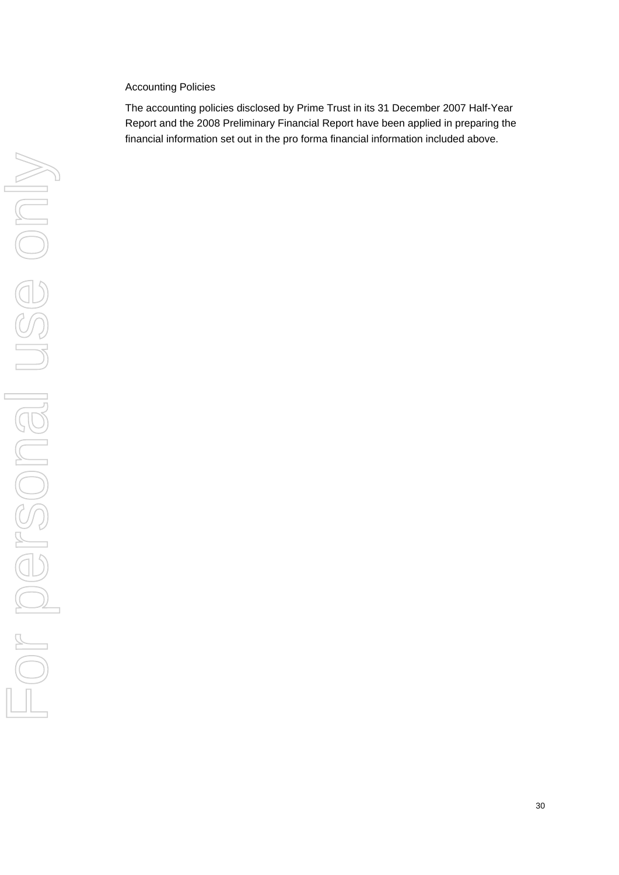# Accounting Policies

The accounting policies disclosed by Prime Trust in its 31 December 2007 Half-Year Report and the 2008 Preliminary Financial Report have been applied in preparing the financial information set out in the pro forma financial information included above.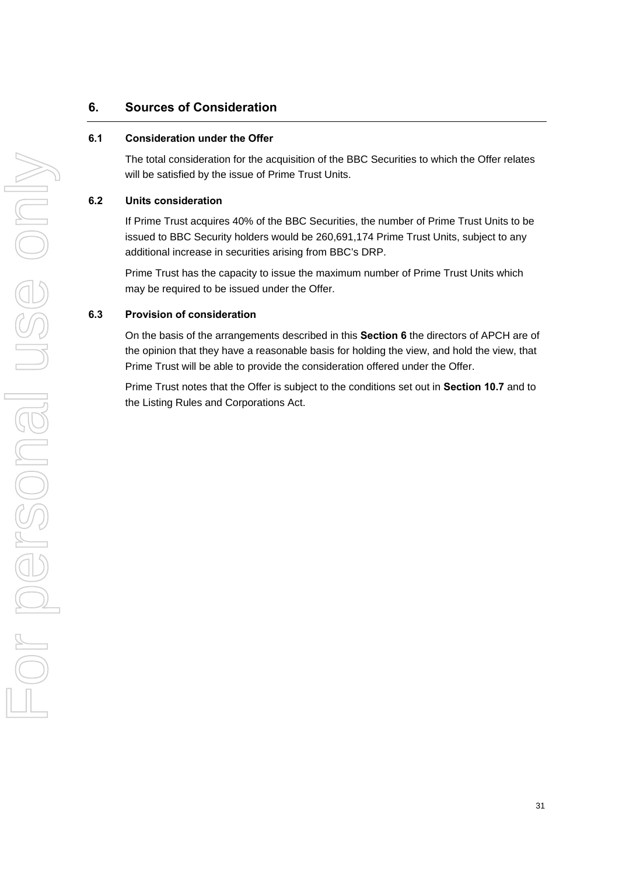# **6. Sources of Consideration**

# **6.1 Consideration under the Offer**

The total consideration for the acquisition of the BBC Securities to which the Offer relates will be satisfied by the issue of Prime Trust Units.

# **6.2 Units consideration**

If Prime Trust acquires 40% of the BBC Securities, the number of Prime Trust Units to be issued to BBC Security holders would be 260,691,174 Prime Trust Units, subject to any additional increase in securities arising from BBC's DRP.

Prime Trust has the capacity to issue the maximum number of Prime Trust Units which may be required to be issued under the Offer.

# **6.3 Provision of consideration**

On the basis of the arrangements described in this **Section 6** the directors of APCH are of the opinion that they have a reasonable basis for holding the view, and hold the view, that Prime Trust will be able to provide the consideration offered under the Offer.

Prime Trust notes that the Offer is subject to the conditions set out in **Section 10.7** and to the Listing Rules and Corporations Act.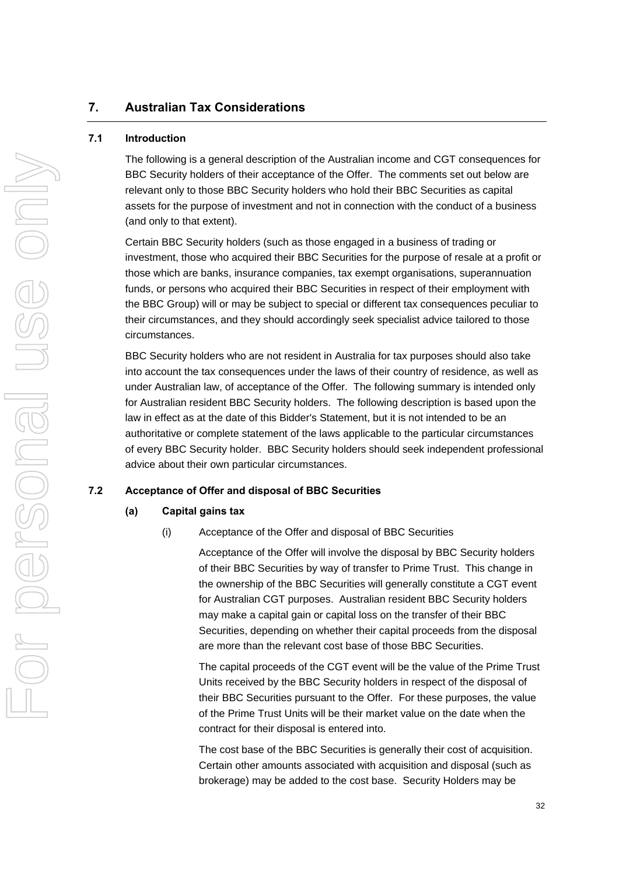# **7. Australian Tax Considerations**

# **7.1 Introduction**

The following is a general description of the Australian income and CGT consequences for BBC Security holders of their acceptance of the Offer. The comments set out below are relevant only to those BBC Security holders who hold their BBC Securities as capital assets for the purpose of investment and not in connection with the conduct of a business (and only to that extent).

Certain BBC Security holders (such as those engaged in a business of trading or investment, those who acquired their BBC Securities for the purpose of resale at a profit or those which are banks, insurance companies, tax exempt organisations, superannuation funds, or persons who acquired their BBC Securities in respect of their employment with the BBC Group) will or may be subject to special or different tax consequences peculiar to their circumstances, and they should accordingly seek specialist advice tailored to those circumstances.

BBC Security holders who are not resident in Australia for tax purposes should also take into account the tax consequences under the laws of their country of residence, as well as under Australian law, of acceptance of the Offer. The following summary is intended only for Australian resident BBC Security holders. The following description is based upon the law in effect as at the date of this Bidder's Statement, but it is not intended to be an authoritative or complete statement of the laws applicable to the particular circumstances of every BBC Security holder. BBC Security holders should seek independent professional advice about their own particular circumstances.

#### **7.2 Acceptance of Offer and disposal of BBC Securities**

#### **(a) Capital gains tax**

(i) Acceptance of the Offer and disposal of BBC Securities

Acceptance of the Offer will involve the disposal by BBC Security holders of their BBC Securities by way of transfer to Prime Trust. This change in the ownership of the BBC Securities will generally constitute a CGT event for Australian CGT purposes. Australian resident BBC Security holders may make a capital gain or capital loss on the transfer of their BBC Securities, depending on whether their capital proceeds from the disposal are more than the relevant cost base of those BBC Securities.

The capital proceeds of the CGT event will be the value of the Prime Trust Units received by the BBC Security holders in respect of the disposal of their BBC Securities pursuant to the Offer. For these purposes, the value of the Prime Trust Units will be their market value on the date when the contract for their disposal is entered into.

The cost base of the BBC Securities is generally their cost of acquisition. Certain other amounts associated with acquisition and disposal (such as brokerage) may be added to the cost base. Security Holders may be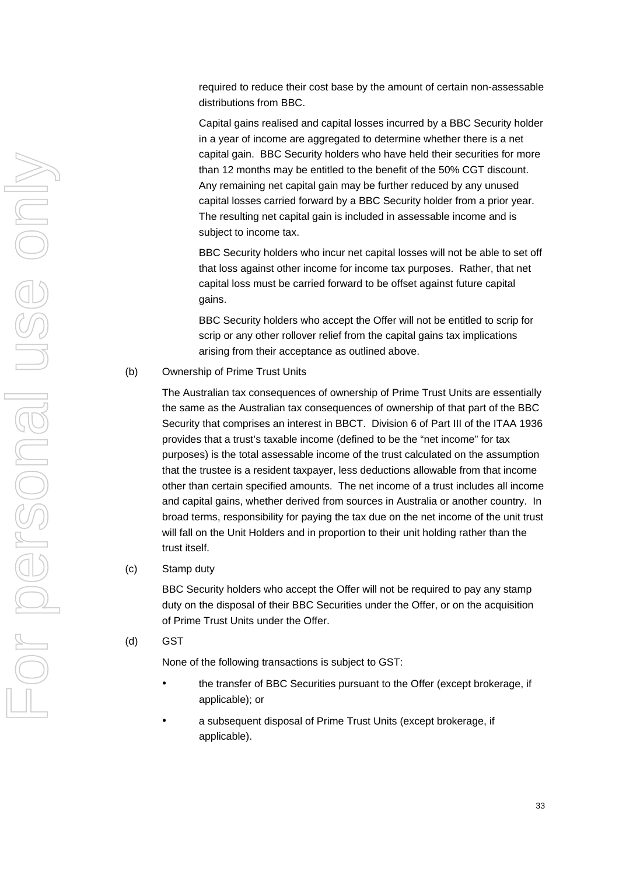required to reduce their cost base by the amount of certain non-assessable distributions from BBC.

Capital gains realised and capital losses incurred by a BBC Security holder in a year of income are aggregated to determine whether there is a net capital gain. BBC Security holders who have held their securities for more than 12 months may be entitled to the benefit of the 50% CGT discount. Any remaining net capital gain may be further reduced by any unused capital losses carried forward by a BBC Security holder from a prior year. The resulting net capital gain is included in assessable income and is subject to income tax.

BBC Security holders who incur net capital losses will not be able to set off that loss against other income for income tax purposes. Rather, that net capital loss must be carried forward to be offset against future capital gains.

BBC Security holders who accept the Offer will not be entitled to scrip for scrip or any other rollover relief from the capital gains tax implications arising from their acceptance as outlined above.

#### (b) Ownership of Prime Trust Units

The Australian tax consequences of ownership of Prime Trust Units are essentially the same as the Australian tax consequences of ownership of that part of the BBC Security that comprises an interest in BBCT. Division 6 of Part III of the ITAA 1936 provides that a trust's taxable income (defined to be the "net income" for tax purposes) is the total assessable income of the trust calculated on the assumption that the trustee is a resident taxpayer, less deductions allowable from that income other than certain specified amounts. The net income of a trust includes all income and capital gains, whether derived from sources in Australia or another country. In broad terms, responsibility for paying the tax due on the net income of the unit trust will fall on the Unit Holders and in proportion to their unit holding rather than the trust itself.

# (c) Stamp duty

BBC Security holders who accept the Offer will not be required to pay any stamp duty on the disposal of their BBC Securities under the Offer, or on the acquisition of Prime Trust Units under the Offer.

(d) GST

None of the following transactions is subject to GST:

- the transfer of BBC Securities pursuant to the Offer (except brokerage, if applicable); or
- a subsequent disposal of Prime Trust Units (except brokerage, if applicable).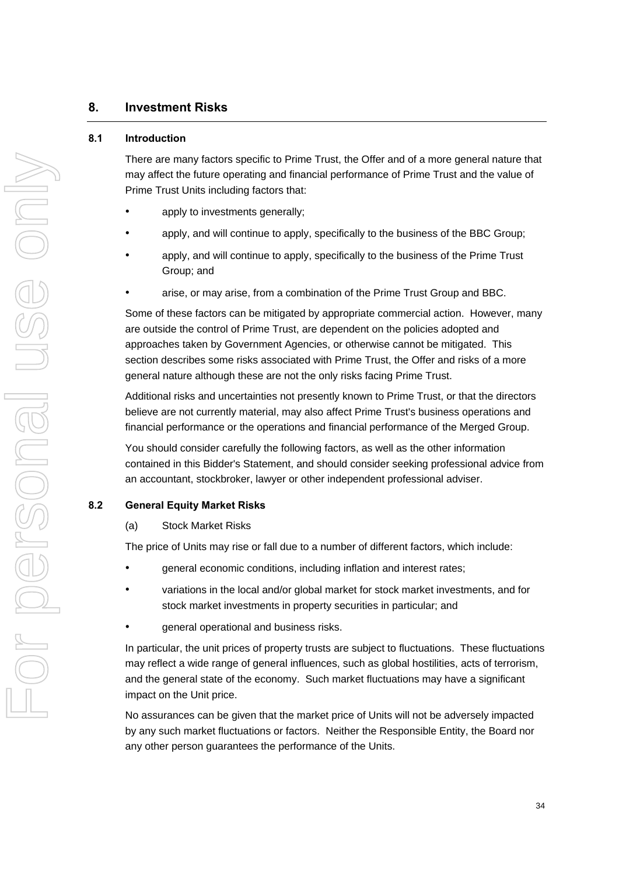# **8. Investment Risks**

# **8.1 Introduction**

There are many factors specific to Prime Trust, the Offer and of a more general nature that may affect the future operating and financial performance of Prime Trust and the value of Prime Trust Units including factors that:

- apply to investments generally;
- apply, and will continue to apply, specifically to the business of the BBC Group;
- apply, and will continue to apply, specifically to the business of the Prime Trust Group; and
- arise, or may arise, from a combination of the Prime Trust Group and BBC.

Some of these factors can be mitigated by appropriate commercial action. However, many are outside the control of Prime Trust, are dependent on the policies adopted and approaches taken by Government Agencies, or otherwise cannot be mitigated. This section describes some risks associated with Prime Trust, the Offer and risks of a more general nature although these are not the only risks facing Prime Trust.

Additional risks and uncertainties not presently known to Prime Trust, or that the directors believe are not currently material, may also affect Prime Trust's business operations and financial performance or the operations and financial performance of the Merged Group.

You should consider carefully the following factors, as well as the other information contained in this Bidder's Statement, and should consider seeking professional advice from an accountant, stockbroker, lawyer or other independent professional adviser.

# **8.2 General Equity Market Risks**

(a) Stock Market Risks

The price of Units may rise or fall due to a number of different factors, which include:

- general economic conditions, including inflation and interest rates;
- variations in the local and/or global market for stock market investments, and for stock market investments in property securities in particular; and
- general operational and business risks.

In particular, the unit prices of property trusts are subject to fluctuations. These fluctuations may reflect a wide range of general influences, such as global hostilities, acts of terrorism, and the general state of the economy. Such market fluctuations may have a significant impact on the Unit price.

No assurances can be given that the market price of Units will not be adversely impacted by any such market fluctuations or factors. Neither the Responsible Entity, the Board nor any other person guarantees the performance of the Units.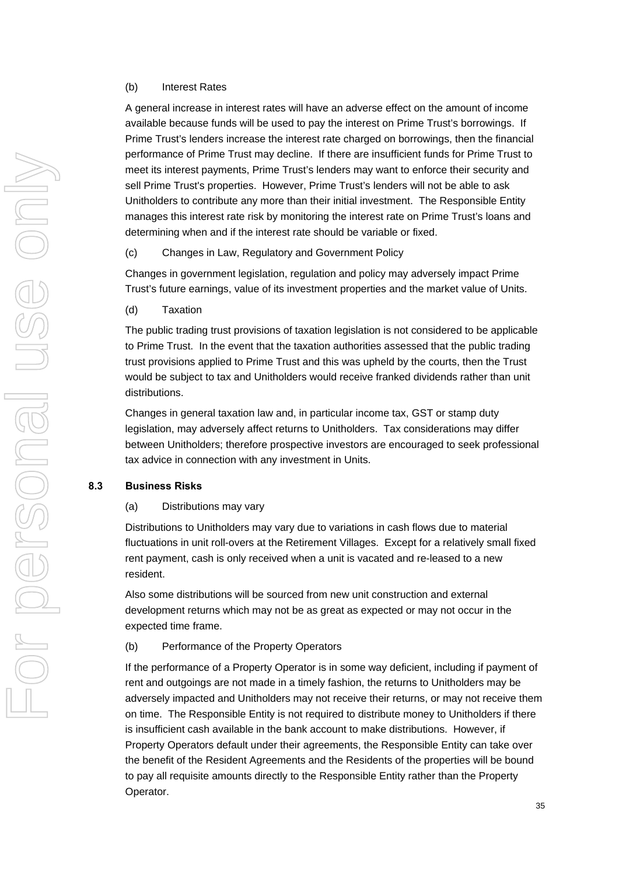# (b) Interest Rates

A general increase in interest rates will have an adverse effect on the amount of income available because funds will be used to pay the interest on Prime Trust's borrowings. If Prime Trust's lenders increase the interest rate charged on borrowings, then the financial performance of Prime Trust may decline. If there are insufficient funds for Prime Trust to meet its interest payments, Prime Trust's lenders may want to enforce their security and sell Prime Trust's properties. However, Prime Trust's lenders will not be able to ask Unitholders to contribute any more than their initial investment. The Responsible Entity manages this interest rate risk by monitoring the interest rate on Prime Trust's loans and determining when and if the interest rate should be variable or fixed.

(c) Changes in Law, Regulatory and Government Policy

Changes in government legislation, regulation and policy may adversely impact Prime Trust's future earnings, value of its investment properties and the market value of Units.

(d) Taxation

The public trading trust provisions of taxation legislation is not considered to be applicable to Prime Trust. In the event that the taxation authorities assessed that the public trading trust provisions applied to Prime Trust and this was upheld by the courts, then the Trust would be subject to tax and Unitholders would receive franked dividends rather than unit distributions.

Changes in general taxation law and, in particular income tax, GST or stamp duty legislation, may adversely affect returns to Unitholders. Tax considerations may differ between Unitholders; therefore prospective investors are encouraged to seek professional tax advice in connection with any investment in Units.

# **8.3 Business Risks**

#### (a) Distributions may vary

Distributions to Unitholders may vary due to variations in cash flows due to material fluctuations in unit roll-overs at the Retirement Villages. Except for a relatively small fixed rent payment, cash is only received when a unit is vacated and re-leased to a new resident.

Also some distributions will be sourced from new unit construction and external development returns which may not be as great as expected or may not occur in the expected time frame.

#### (b) Performance of the Property Operators

If the performance of a Property Operator is in some way deficient, including if payment of rent and outgoings are not made in a timely fashion, the returns to Unitholders may be adversely impacted and Unitholders may not receive their returns, or may not receive them on time. The Responsible Entity is not required to distribute money to Unitholders if there is insufficient cash available in the bank account to make distributions. However, if Property Operators default under their agreements, the Responsible Entity can take over the benefit of the Resident Agreements and the Residents of the properties will be bound to pay all requisite amounts directly to the Responsible Entity rather than the Property Operator.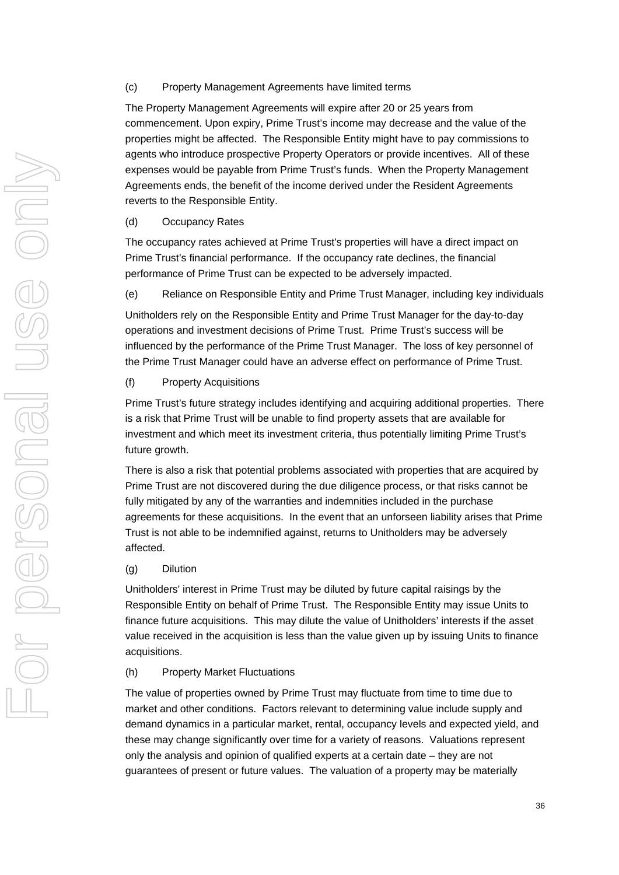# (c) Property Management Agreements have limited terms

The Property Management Agreements will expire after 20 or 25 years from commencement. Upon expiry, Prime Trust's income may decrease and the value of the properties might be affected. The Responsible Entity might have to pay commissions to agents who introduce prospective Property Operators or provide incentives. All of these expenses would be payable from Prime Trust's funds. When the Property Management Agreements ends, the benefit of the income derived under the Resident Agreements reverts to the Responsible Entity.

(d) Occupancy Rates

The occupancy rates achieved at Prime Trust's properties will have a direct impact on Prime Trust's financial performance. If the occupancy rate declines, the financial performance of Prime Trust can be expected to be adversely impacted.

(e) Reliance on Responsible Entity and Prime Trust Manager, including key individuals

Unitholders rely on the Responsible Entity and Prime Trust Manager for the day-to-day operations and investment decisions of Prime Trust. Prime Trust's success will be influenced by the performance of the Prime Trust Manager. The loss of key personnel of the Prime Trust Manager could have an adverse effect on performance of Prime Trust.

(f) Property Acquisitions

Prime Trust's future strategy includes identifying and acquiring additional properties. There is a risk that Prime Trust will be unable to find property assets that are available for investment and which meet its investment criteria, thus potentially limiting Prime Trust's future growth.

There is also a risk that potential problems associated with properties that are acquired by Prime Trust are not discovered during the due diligence process, or that risks cannot be fully mitigated by any of the warranties and indemnities included in the purchase agreements for these acquisitions. In the event that an unforseen liability arises that Prime Trust is not able to be indemnified against, returns to Unitholders may be adversely affected.

# (g) Dilution

Unitholders' interest in Prime Trust may be diluted by future capital raisings by the Responsible Entity on behalf of Prime Trust. The Responsible Entity may issue Units to finance future acquisitions. This may dilute the value of Unitholders' interests if the asset value received in the acquisition is less than the value given up by issuing Units to finance acquisitions.

(h) Property Market Fluctuations

The value of properties owned by Prime Trust may fluctuate from time to time due to market and other conditions. Factors relevant to determining value include supply and demand dynamics in a particular market, rental, occupancy levels and expected yield, and these may change significantly over time for a variety of reasons. Valuations represent only the analysis and opinion of qualified experts at a certain date – they are not guarantees of present or future values. The valuation of a property may be materially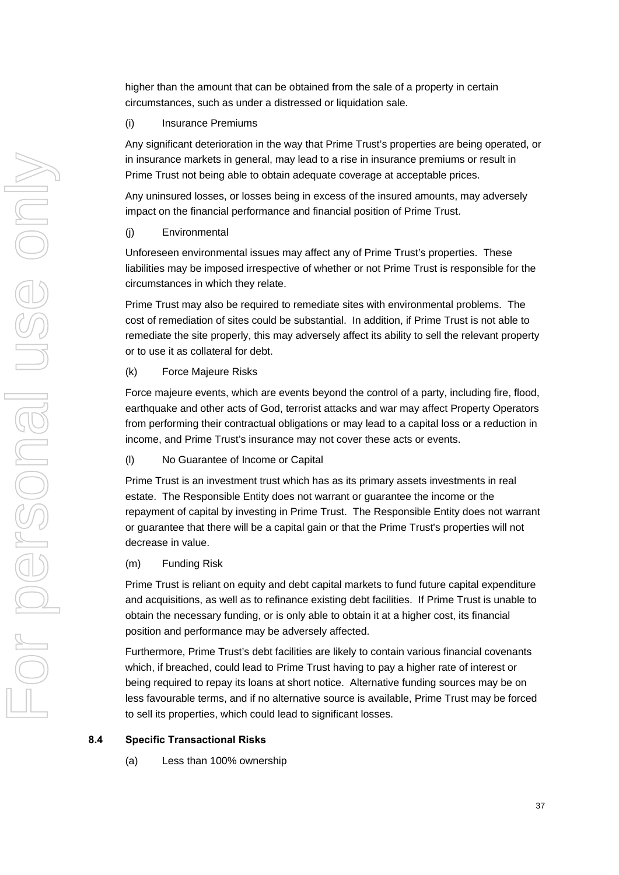higher than the amount that can be obtained from the sale of a property in certain circumstances, such as under a distressed or liquidation sale.

# (i) Insurance Premiums

Any significant deterioration in the way that Prime Trust's properties are being operated, or in insurance markets in general, may lead to a rise in insurance premiums or result in Prime Trust not being able to obtain adequate coverage at acceptable prices.

Any uninsured losses, or losses being in excess of the insured amounts, may adversely impact on the financial performance and financial position of Prime Trust.

(j) Environmental

Unforeseen environmental issues may affect any of Prime Trust's properties. These liabilities may be imposed irrespective of whether or not Prime Trust is responsible for the circumstances in which they relate.

Prime Trust may also be required to remediate sites with environmental problems. The cost of remediation of sites could be substantial. In addition, if Prime Trust is not able to remediate the site properly, this may adversely affect its ability to sell the relevant property or to use it as collateral for debt.

# (k) Force Majeure Risks

Force majeure events, which are events beyond the control of a party, including fire, flood, earthquake and other acts of God, terrorist attacks and war may affect Property Operators from performing their contractual obligations or may lead to a capital loss or a reduction in income, and Prime Trust's insurance may not cover these acts or events.

(l) No Guarantee of Income or Capital

Prime Trust is an investment trust which has as its primary assets investments in real estate. The Responsible Entity does not warrant or guarantee the income or the repayment of capital by investing in Prime Trust. The Responsible Entity does not warrant or guarantee that there will be a capital gain or that the Prime Trust's properties will not decrease in value.

(m) Funding Risk

Prime Trust is reliant on equity and debt capital markets to fund future capital expenditure and acquisitions, as well as to refinance existing debt facilities. If Prime Trust is unable to obtain the necessary funding, or is only able to obtain it at a higher cost, its financial position and performance may be adversely affected.

Furthermore, Prime Trust's debt facilities are likely to contain various financial covenants which, if breached, could lead to Prime Trust having to pay a higher rate of interest or being required to repay its loans at short notice. Alternative funding sources may be on less favourable terms, and if no alternative source is available, Prime Trust may be forced to sell its properties, which could lead to significant losses.

# **8.4 Specific Transactional Risks**

(a) Less than 100% ownership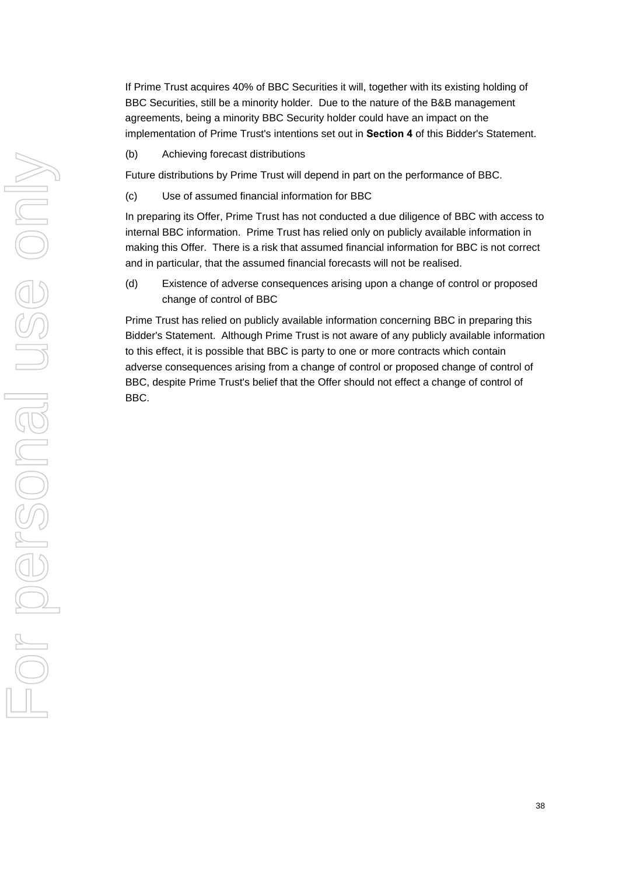If Prime Trust acquires 40% of BBC Securities it will, together with its existing holding of BBC Securities, still be a minority holder. Due to the nature of the B&B management agreements, being a minority BBC Security holder could have an impact on the implementation of Prime Trust's intentions set out in **Section 4** of this Bidder's Statement.

(b) Achieving forecast distributions

Future distributions by Prime Trust will depend in part on the performance of BBC.

(c) Use of assumed financial information for BBC

In preparing its Offer, Prime Trust has not conducted a due diligence of BBC with access to internal BBC information. Prime Trust has relied only on publicly available information in making this Offer. There is a risk that assumed financial information for BBC is not correct and in particular, that the assumed financial forecasts will not be realised.

(d) Existence of adverse consequences arising upon a change of control or proposed change of control of BBC

Prime Trust has relied on publicly available information concerning BBC in preparing this Bidder's Statement. Although Prime Trust is not aware of any publicly available information to this effect, it is possible that BBC is party to one or more contracts which contain adverse consequences arising from a change of control or proposed change of control of BBC, despite Prime Trust's belief that the Offer should not effect a change of control of BBC.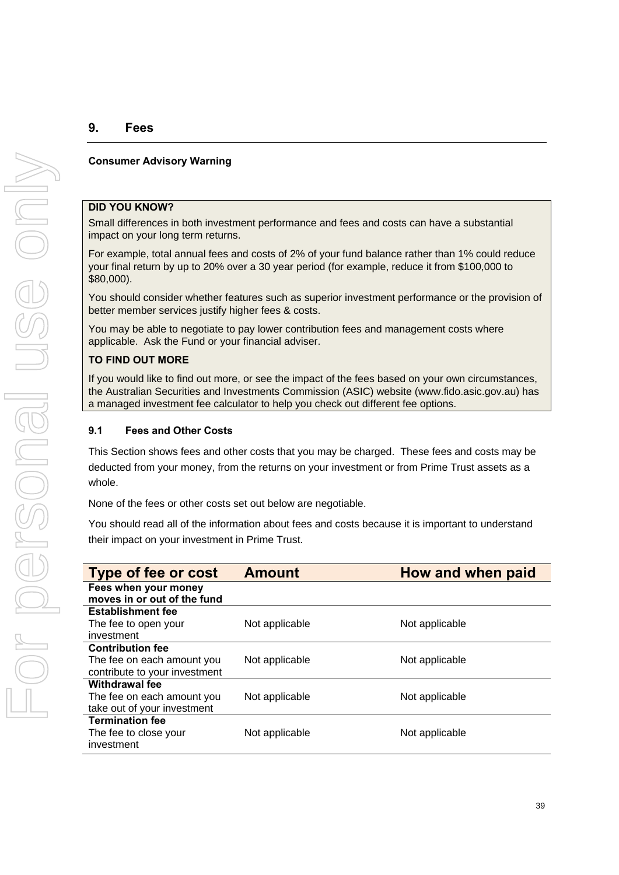# **9. Fees**

# **Consumer Advisory Warning**

#### **DID YOU KNOW?**

Small differences in both investment performance and fees and costs can have a substantial impact on your long term returns.

For example, total annual fees and costs of 2% of your fund balance rather than 1% could reduce your final return by up to 20% over a 30 year period (for example, reduce it from \$100,000 to \$80,000).

You should consider whether features such as superior investment performance or the provision of better member services justify higher fees & costs.

You may be able to negotiate to pay lower contribution fees and management costs where applicable. Ask the Fund or your financial adviser.

# **TO FIND OUT MORE**

If you would like to find out more, or see the impact of the fees based on your own circumstances, the Australian Securities and Investments Commission (ASIC) website [\(www.fido](http://www.fido/).asic.gov.au) has a managed investment fee calculator to help you check out different fee options.

# **9.1 Fees and Other Costs**

This Section shows fees and other costs that you may be charged. These fees and costs may be deducted from your money, from the returns on your investment or from Prime Trust assets as a whole.

None of the fees or other costs set out below are negotiable.

You should read all of the information about fees and costs because it is important to understand their impact on your investment in Prime Trust.

| <b>Type of fee or cost</b>                          | <b>Amount</b>  | How and when paid |
|-----------------------------------------------------|----------------|-------------------|
| Fees when your money<br>moves in or out of the fund |                |                   |
|                                                     |                |                   |
| <b>Establishment fee</b>                            |                |                   |
| The fee to open your                                | Not applicable | Not applicable    |
| investment                                          |                |                   |
| <b>Contribution fee</b>                             |                |                   |
| The fee on each amount you                          | Not applicable | Not applicable    |
| contribute to your investment                       |                |                   |
| <b>Withdrawal fee</b>                               |                |                   |
| The fee on each amount you                          | Not applicable | Not applicable    |
| take out of your investment                         |                |                   |
| <b>Termination fee</b>                              |                |                   |
|                                                     |                |                   |
| investment                                          |                |                   |
| The fee to close your                               | Not applicable | Not applicable    |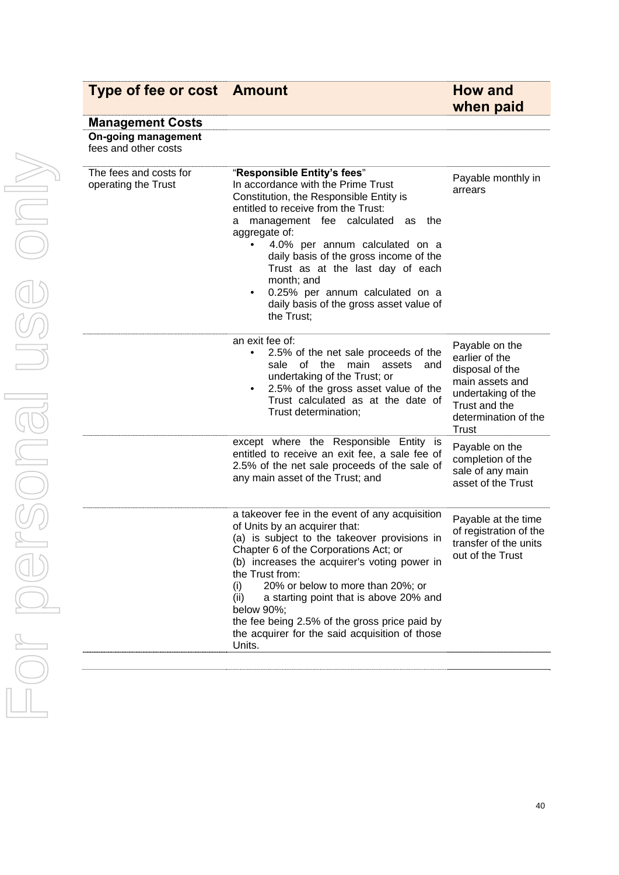# **Type of fee or cost Amount Type of fee or cost Amount**

# **when paid**

| <b>Management Costs</b>                            |                                                                                                                                                                                                                                                                                                                                                                                                                                                                      |                                                                                                                                                       |
|----------------------------------------------------|----------------------------------------------------------------------------------------------------------------------------------------------------------------------------------------------------------------------------------------------------------------------------------------------------------------------------------------------------------------------------------------------------------------------------------------------------------------------|-------------------------------------------------------------------------------------------------------------------------------------------------------|
| <b>On-going management</b><br>fees and other costs |                                                                                                                                                                                                                                                                                                                                                                                                                                                                      |                                                                                                                                                       |
| The fees and costs for<br>operating the Trust      | "Responsible Entity's fees"<br>In accordance with the Prime Trust<br>Constitution, the Responsible Entity is<br>entitled to receive from the Trust:<br>management fee calculated as the<br>а<br>aggregate of:<br>4.0% per annum calculated on a<br>daily basis of the gross income of the<br>Trust as at the last day of each<br>month; and<br>0.25% per annum calculated on a<br>$\bullet$<br>daily basis of the gross asset value of<br>the Trust;                 | Payable monthly in<br>arrears                                                                                                                         |
|                                                    | an exit fee of:<br>2.5% of the net sale proceeds of the<br>of<br>the<br>main<br>sale<br>assets<br>and<br>undertaking of the Trust; or<br>2.5% of the gross asset value of the<br>Trust calculated as at the date of<br>Trust determination;                                                                                                                                                                                                                          | Payable on the<br>earlier of the<br>disposal of the<br>main assets and<br>undertaking of the<br>Trust and the<br>determination of the<br><b>Trust</b> |
|                                                    | except where the Responsible Entity is<br>entitled to receive an exit fee, a sale fee of<br>2.5% of the net sale proceeds of the sale of<br>any main asset of the Trust; and                                                                                                                                                                                                                                                                                         | Payable on the<br>completion of the<br>sale of any main<br>asset of the Trust                                                                         |
|                                                    | a takeover fee in the event of any acquisition<br>of Units by an acquirer that:<br>(a) is subject to the takeover provisions in<br>Chapter 6 of the Corporations Act; or<br>(b) increases the acquirer's voting power in<br>the Trust from:<br>20% or below to more than 20%; or<br>(i)<br>a starting point that is above 20% and<br>(ii)<br>below 90%;<br>the fee being 2.5% of the gross price paid by<br>the acquirer for the said acquisition of those<br>Units. | Payable at the time<br>of registration of the<br>transfer of the units<br>out of the Trust                                                            |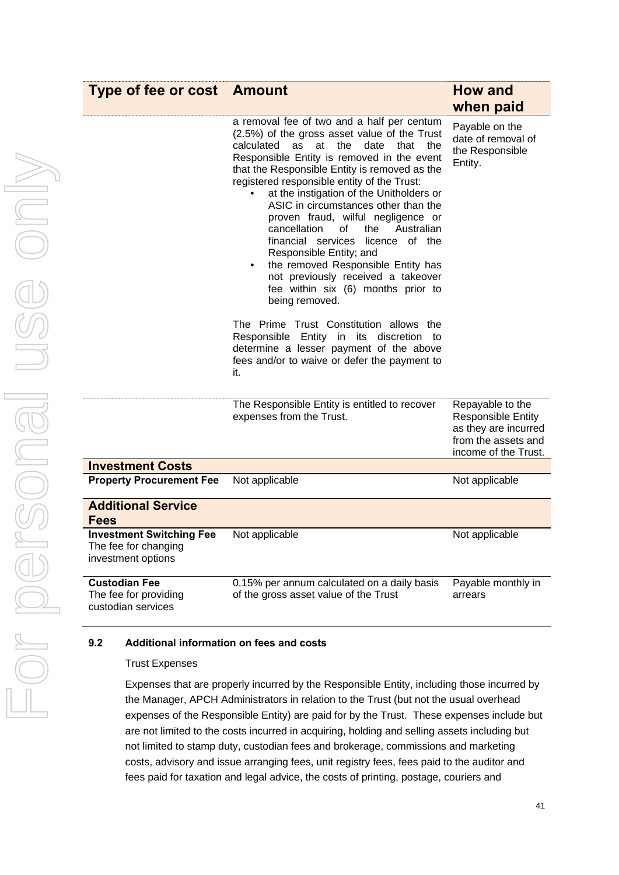| <b>Type of fee or cost Amount</b>                                             |                                                                                                                                                                                                                                                                                                                                                                                                                                                                                                                                                                                                                                                                                                                                                                                                                                                                | <b>How and</b><br>when paid                                                                                          |
|-------------------------------------------------------------------------------|----------------------------------------------------------------------------------------------------------------------------------------------------------------------------------------------------------------------------------------------------------------------------------------------------------------------------------------------------------------------------------------------------------------------------------------------------------------------------------------------------------------------------------------------------------------------------------------------------------------------------------------------------------------------------------------------------------------------------------------------------------------------------------------------------------------------------------------------------------------|----------------------------------------------------------------------------------------------------------------------|
|                                                                               | a removal fee of two and a half per centum<br>(2.5%) of the gross asset value of the Trust<br>calculated<br>at<br>the<br>date<br>as<br>that the<br>Responsible Entity is removed in the event<br>that the Responsible Entity is removed as the<br>registered responsible entity of the Trust:<br>at the instigation of the Unitholders or<br>ASIC in circumstances other than the<br>proven fraud, wilful negligence or<br>cancellation<br>οf<br>the<br>Australian<br>financial services licence of the<br>Responsible Entity; and<br>the removed Responsible Entity has<br>not previously received a takeover<br>fee within six (6) months prior to<br>being removed.<br>The Prime Trust Constitution allows the<br>Responsible Entity in its discretion to<br>determine a lesser payment of the above<br>fees and/or to waive or defer the payment to<br>it. | Payable on the<br>date of removal of<br>the Responsible<br>Entity.                                                   |
|                                                                               | The Responsible Entity is entitled to recover<br>expenses from the Trust.                                                                                                                                                                                                                                                                                                                                                                                                                                                                                                                                                                                                                                                                                                                                                                                      | Repayable to the<br><b>Responsible Entity</b><br>as they are incurred<br>from the assets and<br>income of the Trust. |
| <b>Investment Costs</b>                                                       |                                                                                                                                                                                                                                                                                                                                                                                                                                                                                                                                                                                                                                                                                                                                                                                                                                                                |                                                                                                                      |
| <b>Property Procurement Fee</b>                                               | Not applicable                                                                                                                                                                                                                                                                                                                                                                                                                                                                                                                                                                                                                                                                                                                                                                                                                                                 | Not applicable                                                                                                       |
| <b>Additional Service</b><br><b>Fees</b>                                      |                                                                                                                                                                                                                                                                                                                                                                                                                                                                                                                                                                                                                                                                                                                                                                                                                                                                |                                                                                                                      |
| <b>Investment Switching Fee</b><br>The fee for changing<br>investment options | Not applicable                                                                                                                                                                                                                                                                                                                                                                                                                                                                                                                                                                                                                                                                                                                                                                                                                                                 | Not applicable                                                                                                       |
| <b>Custodian Fee</b><br>The fee for providing<br>custodian services           | 0.15% per annum calculated on a daily basis<br>of the gross asset value of the Trust                                                                                                                                                                                                                                                                                                                                                                                                                                                                                                                                                                                                                                                                                                                                                                           | Payable monthly in<br>arrears                                                                                        |

# **9.2 Additional information on fees and costs**

#### Trust Expenses

Expenses that are properly incurred by the Responsible Entity, including those incurred by the Manager, APCH Administrators in relation to the Trust (but not the usual overhead expenses of the Responsible Entity) are paid for by the Trust. These expenses include but are not limited to the costs incurred in acquiring, holding and selling assets including but not limited to stamp duty, custodian fees and brokerage, commissions and marketing costs, advisory and issue arranging fees, unit registry fees, fees paid to the auditor and fees paid for taxation and legal advice, the costs of printing, postage, couriers and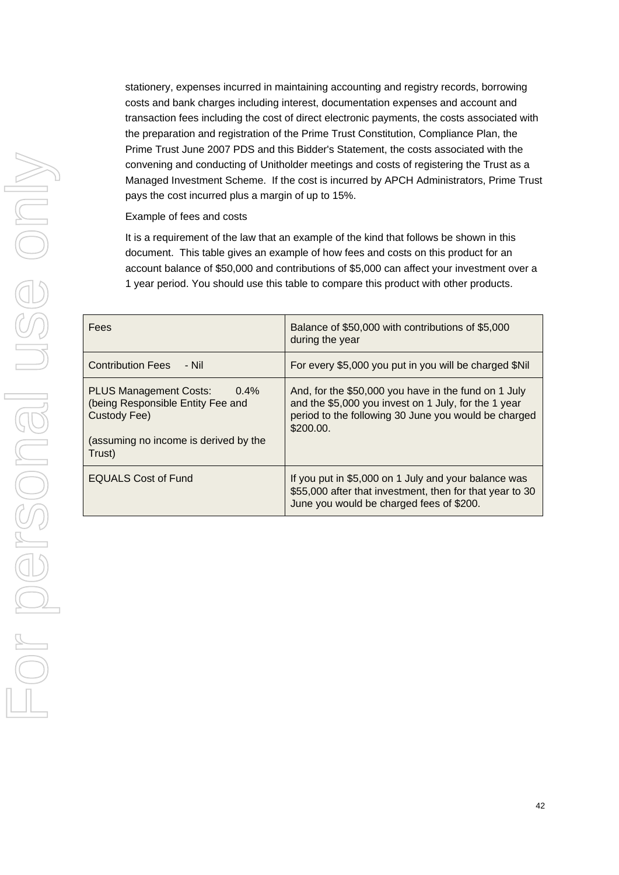stationery, expenses incurred in maintaining accounting and registry records, borrowing costs and bank charges including interest, documentation expenses and account and transaction fees including the cost of direct electronic payments, the costs associated with the preparation and registration of the Prime Trust Constitution, Compliance Plan, the Prime Trust June 2007 PDS and this Bidder's Statement, the costs associated with the convening and conducting of Unitholder meetings and costs of registering the Trust as a Managed Investment Scheme. If the cost is incurred by APCH Administrators, Prime Trust pays the cost incurred plus a margin of up to 15%.

Example of fees and costs

It is a requirement of the law that an example of the kind that follows be shown in this document. This table gives an example of how fees and costs on this product for an account balance of \$50,000 and contributions of \$5,000 can affect your investment over a 1 year period. You should use this table to compare this product with other products.

| Fees                                                                                                                                             | Balance of \$50,000 with contributions of \$5,000<br>during the year                                                                                                              |
|--------------------------------------------------------------------------------------------------------------------------------------------------|-----------------------------------------------------------------------------------------------------------------------------------------------------------------------------------|
| <b>Contribution Fees</b><br>- Nil                                                                                                                | For every \$5,000 you put in you will be charged \$Nil                                                                                                                            |
| <b>PLUS Management Costs:</b><br>$0.4\%$<br>(being Responsible Entity Fee and<br>Custody Fee)<br>(assuming no income is derived by the<br>Trust) | And, for the \$50,000 you have in the fund on 1 July<br>and the \$5,000 you invest on 1 July, for the 1 year<br>period to the following 30 June you would be charged<br>\$200.00. |
| <b>EQUALS Cost of Fund</b>                                                                                                                       | If you put in \$5,000 on 1 July and your balance was<br>\$55,000 after that investment, then for that year to 30<br>June you would be charged fees of \$200.                      |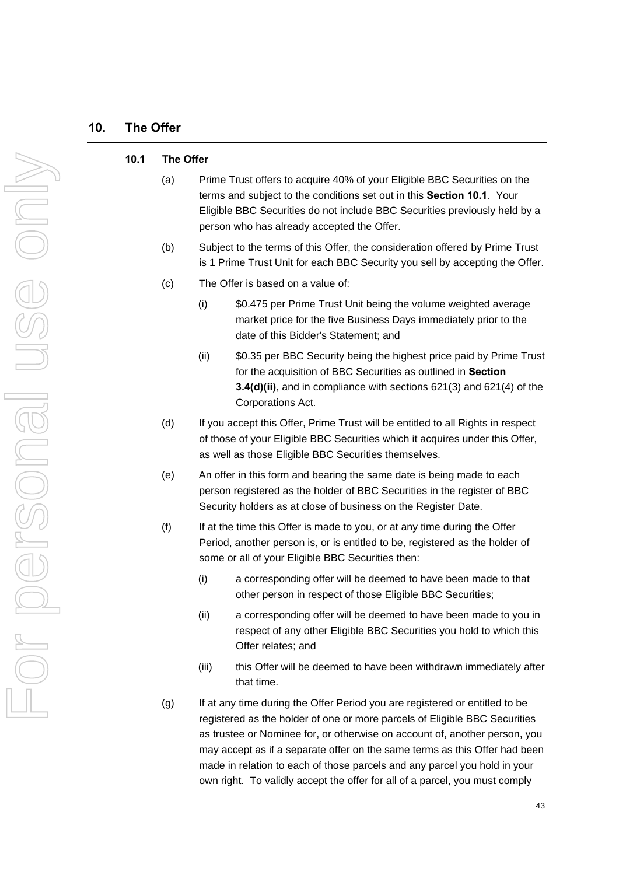#### **10.1 The Offer**

- (a) Prime Trust offers to acquire 40% of your Eligible BBC Securities on the terms and subject to the conditions set out in this **Section 10.1**. Your Eligible BBC Securities do not include BBC Securities previously held by a person who has already accepted the Offer.
- (b) Subject to the terms of this Offer, the consideration offered by Prime Trust is 1 Prime Trust Unit for each BBC Security you sell by accepting the Offer.
- (c) The Offer is based on a value of:
	- (i) \$0.475 per Prime Trust Unit being the volume weighted average market price for the five Business Days immediately prior to the date of this Bidder's Statement; and
	- (ii) \$0.35 per BBC Security being the highest price paid by Prime Trust for the acquisition of BBC Securities as outlined in **Section 3.4(d)(ii)**, and in compliance with sections 621(3) and 621(4) of the Corporations Act.
- (d) If you accept this Offer, Prime Trust will be entitled to all Rights in respect of those of your Eligible BBC Securities which it acquires under this Offer, as well as those Eligible BBC Securities themselves.
- (e) An offer in this form and bearing the same date is being made to each person registered as the holder of BBC Securities in the register of BBC Security holders as at close of business on the Register Date.
- (f) If at the time this Offer is made to you, or at any time during the Offer Period, another person is, or is entitled to be, registered as the holder of some or all of your Eligible BBC Securities then:
	- (i) a corresponding offer will be deemed to have been made to that other person in respect of those Eligible BBC Securities;
	- (ii) a corresponding offer will be deemed to have been made to you in respect of any other Eligible BBC Securities you hold to which this Offer relates; and
	- (iii) this Offer will be deemed to have been withdrawn immediately after that time.
- (g) If at any time during the Offer Period you are registered or entitled to be registered as the holder of one or more parcels of Eligible BBC Securities as trustee or Nominee for, or otherwise on account of, another person, you may accept as if a separate offer on the same terms as this Offer had been made in relation to each of those parcels and any parcel you hold in your own right. To validly accept the offer for all of a parcel, you must comply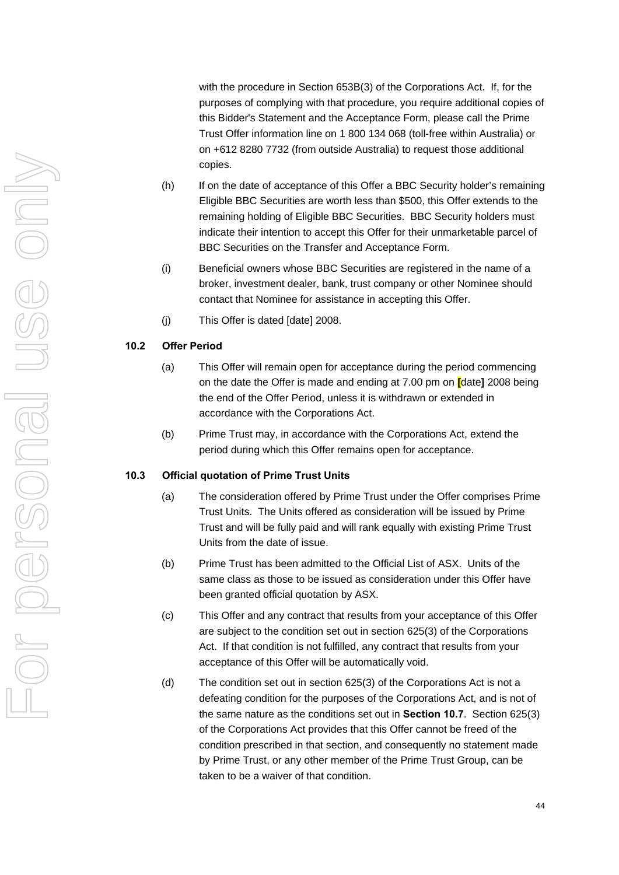with the procedure in Section 653B(3) of the Corporations Act. If, for the purposes of complying with that procedure, you require additional copies of this Bidder's Statement and the Acceptance Form, please call the Prime Trust Offer information line on 1 800 134 068 (toll-free within Australia) or on +612 8280 7732 (from outside Australia) to request those additional copies.

- (h) If on the date of acceptance of this Offer a BBC Security holder's remaining Eligible BBC Securities are worth less than \$500, this Offer extends to the remaining holding of Eligible BBC Securities. BBC Security holders must indicate their intention to accept this Offer for their unmarketable parcel of BBC Securities on the Transfer and Acceptance Form.
- (i) Beneficial owners whose BBC Securities are registered in the name of a broker, investment dealer, bank, trust company or other Nominee should contact that Nominee for assistance in accepting this Offer.
- (j) This Offer is dated [date] 2008.

# **10.2 Offer Period**

- (a) This Offer will remain open for acceptance during the period commencing on the date the Offer is made and ending at 7.00 pm on **[**date**]** 2008 being the end of the Offer Period, unless it is withdrawn or extended in accordance with the Corporations Act.
- (b) Prime Trust may, in accordance with the Corporations Act, extend the period during which this Offer remains open for acceptance.

#### **10.3 Official quotation of Prime Trust Units**

- (a) The consideration offered by Prime Trust under the Offer comprises Prime Trust Units. The Units offered as consideration will be issued by Prime Trust and will be fully paid and will rank equally with existing Prime Trust Units from the date of issue.
- (b) Prime Trust has been admitted to the Official List of ASX. Units of the same class as those to be issued as consideration under this Offer have been granted official quotation by ASX.
- (c) This Offer and any contract that results from your acceptance of this Offer are subject to the condition set out in section 625(3) of the Corporations Act. If that condition is not fulfilled, any contract that results from your acceptance of this Offer will be automatically void.
- (d) The condition set out in section 625(3) of the Corporations Act is not a defeating condition for the purposes of the Corporations Act, and is not of the same nature as the conditions set out in **Section [10.7](#page-62-0)**. Section 625(3) of the Corporations Act provides that this Offer cannot be freed of the condition prescribed in that section, and consequently no statement made by Prime Trust, or any other member of the Prime Trust Group, can be taken to be a waiver of that condition.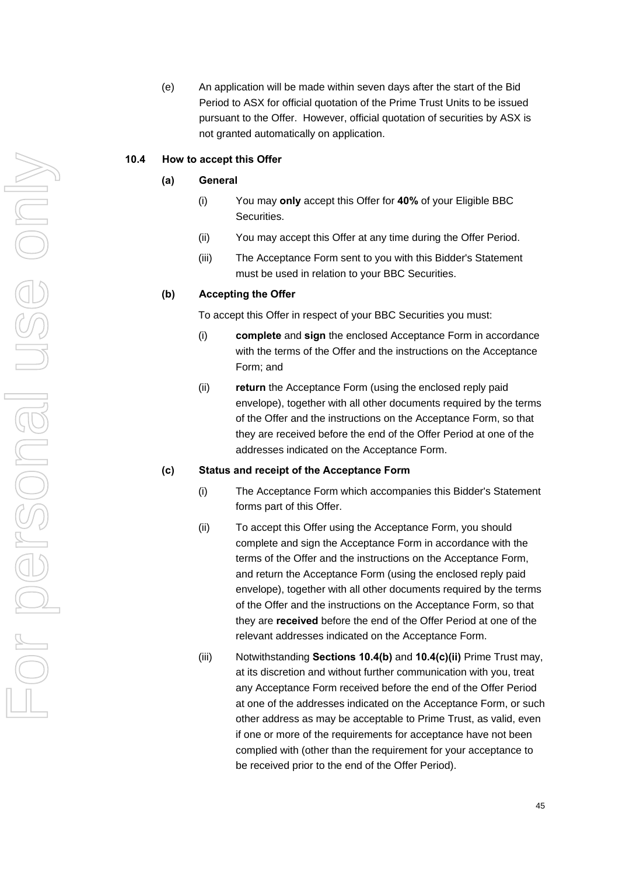(e) An application will be made within seven days after the start of the Bid Period to ASX for official quotation of the Prime Trust Units to be issued pursuant to the Offer. However, official quotation of securities by ASX is not granted automatically on application.

#### <span id="page-52-1"></span>**10.4 How to accept this Offer**

# **(a) General**

- (i) You may **only** accept this Offer for **40%** of your Eligible BBC Securities.
- (ii) You may accept this Offer at any time during the Offer Period.
- (iii) The Acceptance Form sent to you with this Bidder's Statement must be used in relation to your BBC Securities.

#### **(b) Accepting the Offer**

To accept this Offer in respect of your BBC Securities you must:

- (i) **complete** and **sign** the enclosed Acceptance Form in accordance with the terms of the Offer and the instructions on the Acceptance Form; and
- (ii) **return** the Acceptance Form (using the enclosed reply paid envelope), together with all other documents required by the terms of the Offer and the instructions on the Acceptance Form, so that they are received before the end of the Offer Period at one of the addresses indicated on the Acceptance Form.

#### <span id="page-52-0"></span>**(c) Status and receipt of the Acceptance Form**

- (i) The Acceptance Form which accompanies this Bidder's Statement forms part of this Offer.
- (ii) To accept this Offer using the Acceptance Form, you should complete and sign the Acceptance Form in accordance with the terms of the Offer and the instructions on the Acceptance Form, and return the Acceptance Form (using the enclosed reply paid envelope), together with all other documents required by the terms of the Offer and the instructions on the Acceptance Form, so that they are **received** before the end of the Offer Period at one of the relevant addresses indicated on the Acceptance Form.
- (iii) Notwithstanding **Sections 10.4(b)** and **[10.4\(c\)\(ii\)](#page-52-0)** Prime Trust may, at its discretion and without further communication with you, treat any Acceptance Form received before the end of the Offer Period at one of the addresses indicated on the Acceptance Form, or such other address as may be acceptable to Prime Trust, as valid, even if one or more of the requirements for acceptance have not been complied with (other than the requirement for your acceptance to be received prior to the end of the Offer Period).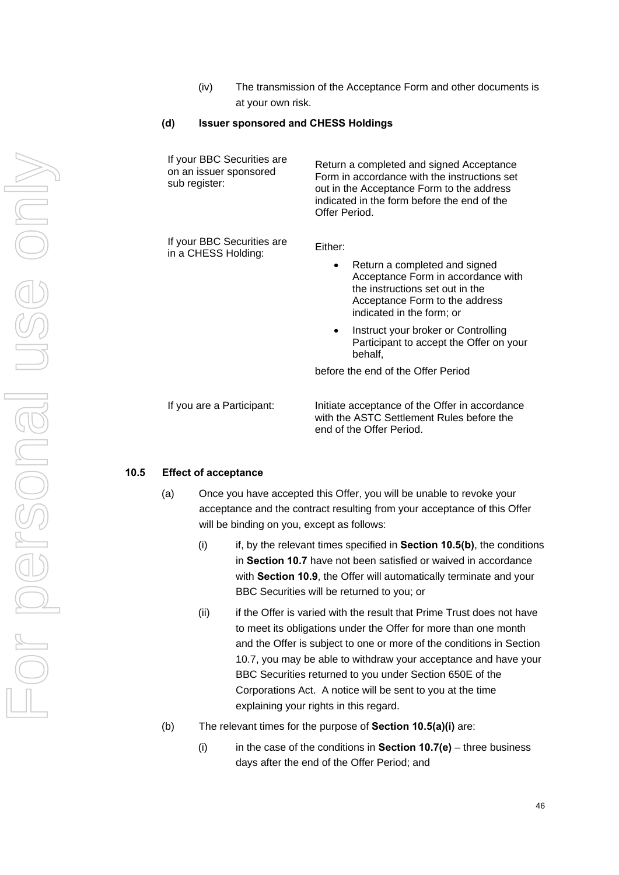(iv) The transmission of the Acceptance Form and other documents is at your own risk.

# **(d) Issuer sponsored and CHESS Holdings**

| If your BBC Securities are<br>on an issuer sponsored<br>sub register: | Return a completed and signed Acceptance<br>Form in accordance with the instructions set<br>out in the Acceptance Form to the address<br>indicated in the form before the end of the<br>Offer Period.                   |  |
|-----------------------------------------------------------------------|-------------------------------------------------------------------------------------------------------------------------------------------------------------------------------------------------------------------------|--|
| If your BBC Securities are<br>in a CHESS Holding:                     | Either:<br>Return a completed and signed<br>Acceptance Form in accordance with<br>the instructions set out in the<br>Acceptance Form to the address<br>indicated in the form; or<br>Instruct your broker or Controlling |  |
|                                                                       | Participant to accept the Offer on your<br>behalf,<br>before the end of the Offer Period                                                                                                                                |  |
| If you are a Participant:                                             | Initiate acceptance of the Offer in accordance<br>with the ASTC Settlement Rules before the<br>end of the Offer Period.                                                                                                 |  |

#### <span id="page-53-1"></span>**10.5 Effect of acceptance**

- (a) Once you have accepted this Offer, you will be unable to revoke your acceptance and the contract resulting from your acceptance of this Offer will be binding on you, except as follows:
	- (i) if, by the relevant times specified in **Section [10.5\(b\)](#page-53-0)**, the conditions in **Section [10.7](#page-62-0)** have not been satisfied or waived in accordance with **Section [10.9](#page-64-0)**, the Offer will automatically terminate and your BBC Securities will be returned to you; or
	- (ii) if the Offer is varied with the result that Prime Trust does not have to meet its obligations under the Offer for more than one month and the Offer is subject to one or more of the conditions in Section 10.7, you may be able to withdraw your acceptance and have your BBC Securities returned to you under Section 650E of the Corporations Act. A notice will be sent to you at the time explaining your rights in this regard.
- <span id="page-53-0"></span>(b) The relevant times for the purpose of **Section [10.5\(a\)\(i\)](#page-53-1)** are:
	- (i) in the case of the conditions in **Section [10.7\(e\)](#page-63-0)** three business days after the end of the Offer Period; and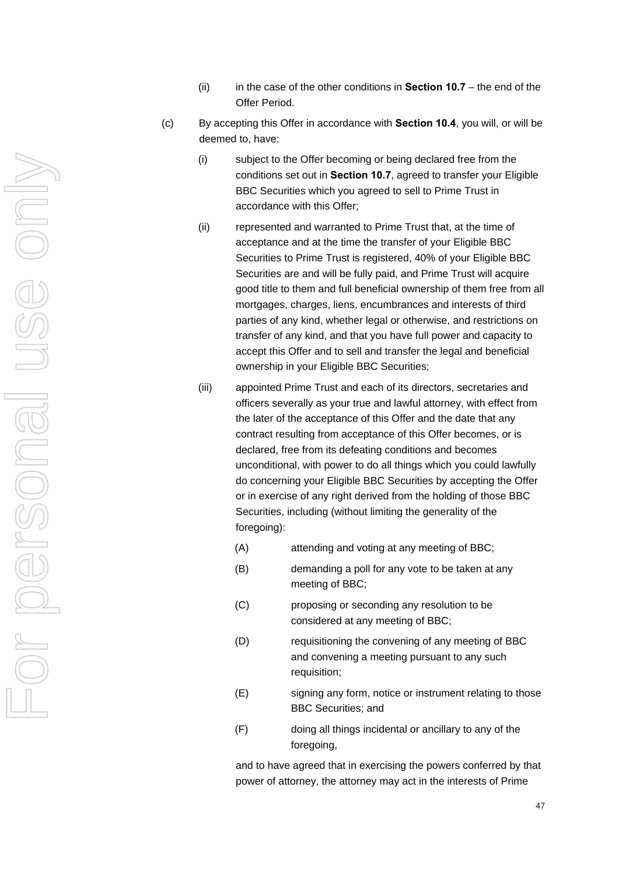- (ii) in the case of the other conditions in **Section [10.7](#page-62-0)** the end of the Offer Period.
- (c) By accepting this Offer in accordance with **Section [10.4](#page-52-1)**, you will, or will be deemed to, have:
	- (i) subject to the Offer becoming or being declared free from the conditions set out in **Section [10.7](#page-62-0)**, agreed to transfer your Eligible BBC Securities which you agreed to sell to Prime Trust in accordance with this Offer;
	- (ii) represented and warranted to Prime Trust that, at the time of acceptance and at the time the transfer of your Eligible BBC Securities to Prime Trust is registered, 40% of your Eligible BBC Securities are and will be fully paid, and Prime Trust will acquire good title to them and full beneficial ownership of them free from all mortgages, charges, liens, encumbrances and interests of third parties of any kind, whether legal or otherwise, and restrictions on transfer of any kind, and that you have full power and capacity to accept this Offer and to sell and transfer the legal and beneficial ownership in your Eligible BBC Securities;
	- (iii) appointed Prime Trust and each of its directors, secretaries and officers severally as your true and lawful attorney, with effect from the later of the acceptance of this Offer and the date that any contract resulting from acceptance of this Offer becomes, or is declared, free from its defeating conditions and becomes unconditional, with power to do all things which you could lawfully do concerning your Eligible BBC Securities by accepting the Offer or in exercise of any right derived from the holding of those BBC Securities, including (without limiting the generality of the foregoing):
		- (A) attending and voting at any meeting of BBC;
		- (B) demanding a poll for any vote to be taken at any meeting of BBC;
		- (C) proposing or seconding any resolution to be considered at any meeting of BBC;
		- (D) requisitioning the convening of any meeting of BBC and convening a meeting pursuant to any such requisition;
		- (E) signing any form, notice or instrument relating to those BBC Securities; and
		- (F) doing all things incidental or ancillary to any of the foregoing,

and to have agreed that in exercising the powers conferred by that power of attorney, the attorney may act in the interests of Prime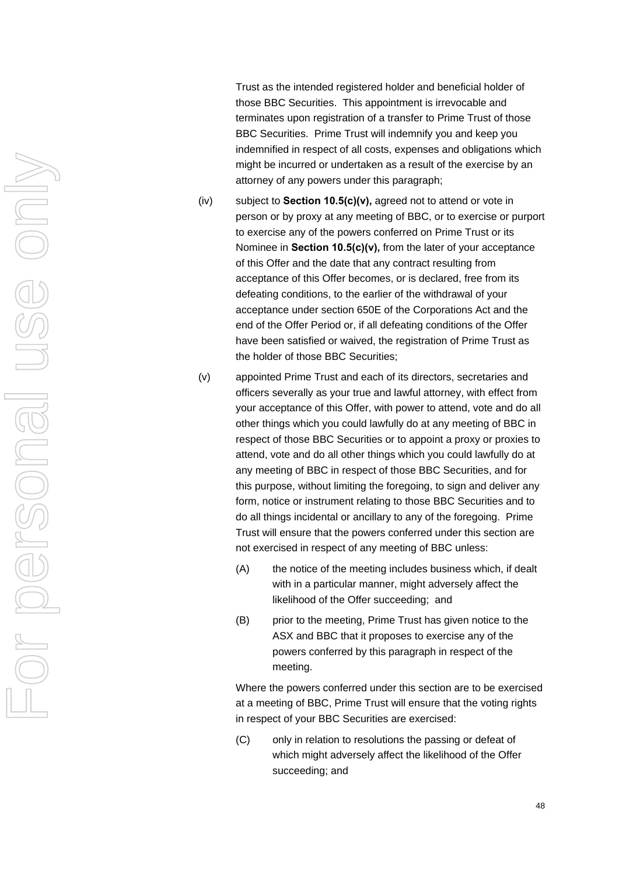Trust as the intended registered holder and beneficial holder of those BBC Securities. This appointment is irrevocable and terminates upon registration of a transfer to Prime Trust of those BBC Securities. Prime Trust will indemnify you and keep you indemnified in respect of all costs, expenses and obligations which might be incurred or undertaken as a result of the exercise by an attorney of any powers under this paragraph;

- (iv) subject to **Section 10.5(c)(v),** agreed not to attend or vote in person or by proxy at any meeting of BBC, or to exercise or purport to exercise any of the powers conferred on Prime Trust or its Nominee in **Section 10.5(c)(v),** from the later of your acceptance of this Offer and the date that any contract resulting from acceptance of this Offer becomes, or is declared, free from its defeating conditions, to the earlier of the withdrawal of your acceptance under section 650E of the Corporations Act and the end of the Offer Period or, if all defeating conditions of the Offer have been satisfied or waived, the registration of Prime Trust as the holder of those BBC Securities;
- (v) appointed Prime Trust and each of its directors, secretaries and officers severally as your true and lawful attorney, with effect from your acceptance of this Offer, with power to attend, vote and do all other things which you could lawfully do at any meeting of BBC in respect of those BBC Securities or to appoint a proxy or proxies to attend, vote and do all other things which you could lawfully do at any meeting of BBC in respect of those BBC Securities, and for this purpose, without limiting the foregoing, to sign and deliver any form, notice or instrument relating to those BBC Securities and to do all things incidental or ancillary to any of the foregoing. Prime Trust will ensure that the powers conferred under this section are not exercised in respect of any meeting of BBC unless:
	- (A) the notice of the meeting includes business which, if dealt with in a particular manner, might adversely affect the likelihood of the Offer succeeding; and
	- (B) prior to the meeting, Prime Trust has given notice to the ASX and BBC that it proposes to exercise any of the powers conferred by this paragraph in respect of the meeting.

Where the powers conferred under this section are to be exercised at a meeting of BBC, Prime Trust will ensure that the voting rights in respect of your BBC Securities are exercised:

(C) only in relation to resolutions the passing or defeat of which might adversely affect the likelihood of the Offer succeeding; and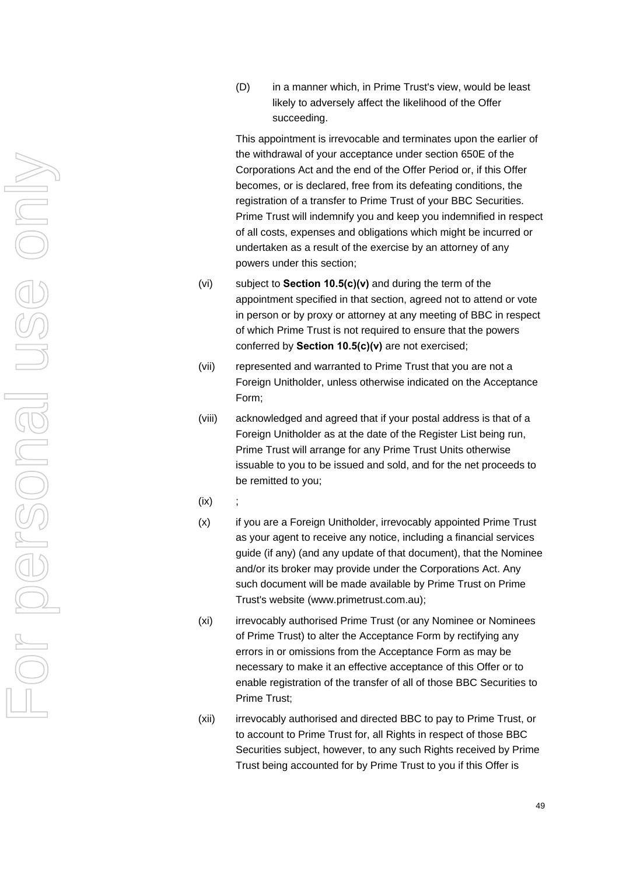(D) in a manner which, in Prime Trust's view, would be least likely to adversely affect the likelihood of the Offer succeeding.

This appointment is irrevocable and terminates upon the earlier of the withdrawal of your acceptance under section 650E of the Corporations Act and the end of the Offer Period or, if this Offer becomes, or is declared, free from its defeating conditions, the registration of a transfer to Prime Trust of your BBC Securities. Prime Trust will indemnify you and keep you indemnified in respect of all costs, expenses and obligations which might be incurred or undertaken as a result of the exercise by an attorney of any powers under this section;

- (vi) subject to **Section 10.5(c)(v)** and during the term of the appointment specified in that section, agreed not to attend or vote in person or by proxy or attorney at any meeting of BBC in respect of which Prime Trust is not required to ensure that the powers conferred by **Section [10.5\(c\)\(v\)](#page-56-0)** are not exercised;
- <span id="page-56-0"></span>(vii) represented and warranted to Prime Trust that you are not a Foreign Unitholder, unless otherwise indicated on the Acceptance Form;
- (viii) acknowledged and agreed that if your postal address is that of a Foreign Unitholder as at the date of the Register List being run, Prime Trust will arrange for any Prime Trust Units otherwise issuable to you to be issued and sold, and for the net proceeds to be remitted to you;
- $(ix)$
- (x) if you are a Foreign Unitholder, irrevocably appointed Prime Trust as your agent to receive any notice, including a financial services guide (if any) (and any update of that document), that the Nominee and/or its broker may provide under the Corporations Act. Any such document will be made available by Prime Trust on Prime Trust's website (www.primetrust.com.au);
- (xi) irrevocably authorised Prime Trust (or any Nominee or Nominees of Prime Trust) to alter the Acceptance Form by rectifying any errors in or omissions from the Acceptance Form as may be necessary to make it an effective acceptance of this Offer or to enable registration of the transfer of all of those BBC Securities to Prime Trust;
- (xii) irrevocably authorised and directed BBC to pay to Prime Trust, or to account to Prime Trust for, all Rights in respect of those BBC Securities subject, however, to any such Rights received by Prime Trust being accounted for by Prime Trust to you if this Offer is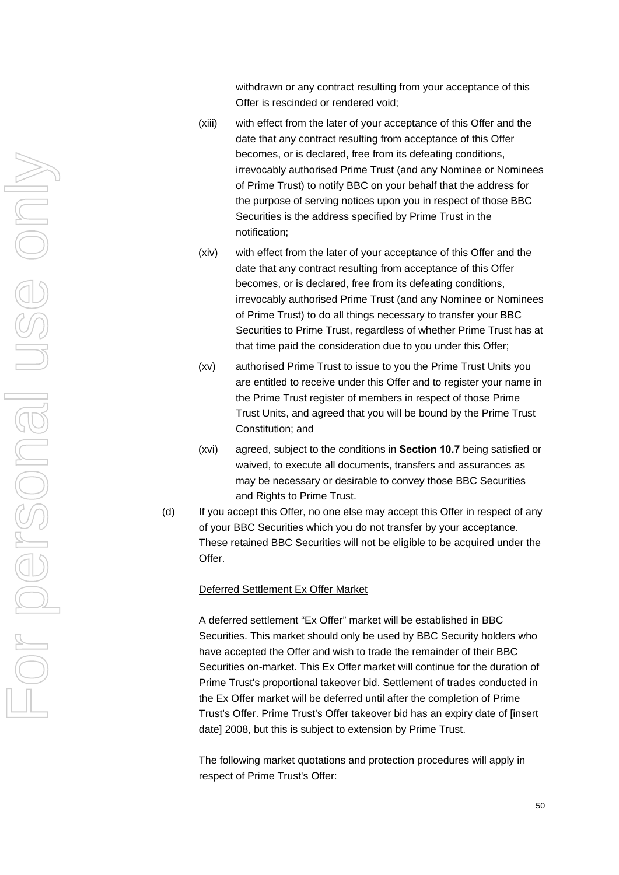withdrawn or any contract resulting from your acceptance of this Offer is rescinded or rendered void;

- (xiii) with effect from the later of your acceptance of this Offer and the date that any contract resulting from acceptance of this Offer becomes, or is declared, free from its defeating conditions, irrevocably authorised Prime Trust (and any Nominee or Nominees of Prime Trust) to notify BBC on your behalf that the address for the purpose of serving notices upon you in respect of those BBC Securities is the address specified by Prime Trust in the notification;
- (xiv) with effect from the later of your acceptance of this Offer and the date that any contract resulting from acceptance of this Offer becomes, or is declared, free from its defeating conditions, irrevocably authorised Prime Trust (and any Nominee or Nominees of Prime Trust) to do all things necessary to transfer your BBC Securities to Prime Trust, regardless of whether Prime Trust has at that time paid the consideration due to you under this Offer;
- (xv) authorised Prime Trust to issue to you the Prime Trust Units you are entitled to receive under this Offer and to register your name in the Prime Trust register of members in respect of those Prime Trust Units, and agreed that you will be bound by the Prime Trust Constitution; and
- (xvi) agreed, subject to the conditions in **Section [10.7](#page-62-0)** being satisfied or waived, to execute all documents, transfers and assurances as may be necessary or desirable to convey those BBC Securities and Rights to Prime Trust.
- (d) If you accept this Offer, no one else may accept this Offer in respect of any of your BBC Securities which you do not transfer by your acceptance. These retained BBC Securities will not be eligible to be acquired under the Offer.

#### Deferred Settlement Ex Offer Market

A deferred settlement "Ex Offer" market will be established in BBC Securities. This market should only be used by BBC Security holders who have accepted the Offer and wish to trade the remainder of their BBC Securities on-market. This Ex Offer market will continue for the duration of Prime Trust's proportional takeover bid. Settlement of trades conducted in the Ex Offer market will be deferred until after the completion of Prime Trust's Offer. Prime Trust's Offer takeover bid has an expiry date of [insert date] 2008, but this is subject to extension by Prime Trust.

The following market quotations and protection procedures will apply in respect of Prime Trust's Offer: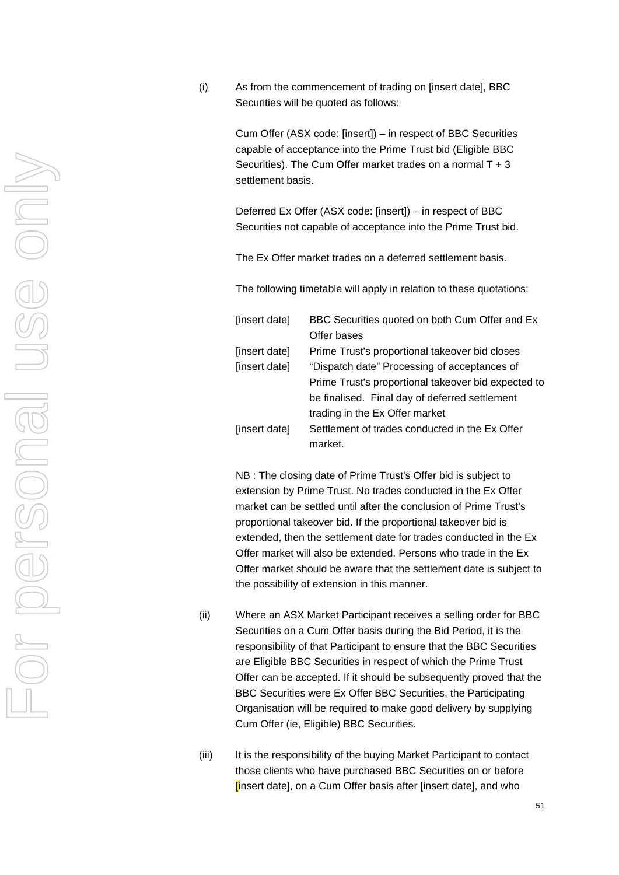(i) As from the commencement of trading on [insert date], BBC Securities will be quoted as follows:

> Cum Offer (ASX code: [insert]) – in respect of BBC Securities capable of acceptance into the Prime Trust bid (Eligible BBC Securities). The Cum Offer market trades on a normal T + 3 settlement basis.

> Deferred Ex Offer (ASX code: [insert]) – in respect of BBC Securities not capable of acceptance into the Prime Trust bid.

The Ex Offer market trades on a deferred settlement basis.

The following timetable will apply in relation to these quotations:

| [insert date] | BBC Securities quoted on both Cum Offer and Ex      |
|---------------|-----------------------------------------------------|
|               | Offer bases                                         |
| [insert date] | Prime Trust's proportional takeover bid closes      |
| [insert date] | "Dispatch date" Processing of acceptances of        |
|               | Prime Trust's proportional takeover bid expected to |
|               | be finalised. Final day of deferred settlement      |
|               | trading in the Ex Offer market                      |
| [insert date] | Settlement of trades conducted in the Ex Offer      |
|               | market.                                             |

NB : The closing date of Prime Trust's Offer bid is subject to extension by Prime Trust. No trades conducted in the Ex Offer market can be settled until after the conclusion of Prime Trust's proportional takeover bid. If the proportional takeover bid is extended, then the settlement date for trades conducted in the Ex Offer market will also be extended. Persons who trade in the Ex Offer market should be aware that the settlement date is subject to the possibility of extension in this manner.

- (ii) Where an ASX Market Participant receives a selling order for BBC Securities on a Cum Offer basis during the Bid Period, it is the responsibility of that Participant to ensure that the BBC Securities are Eligible BBC Securities in respect of which the Prime Trust Offer can be accepted. If it should be subsequently proved that the BBC Securities were Ex Offer BBC Securities, the Participating Organisation will be required to make good delivery by supplying Cum Offer (ie, Eligible) BBC Securities.
- (iii) It is the responsibility of the buying Market Participant to contact those clients who have purchased BBC Securities on or before [insert date], on a Cum Offer basis after [insert date], and who

For personal use only US & ONI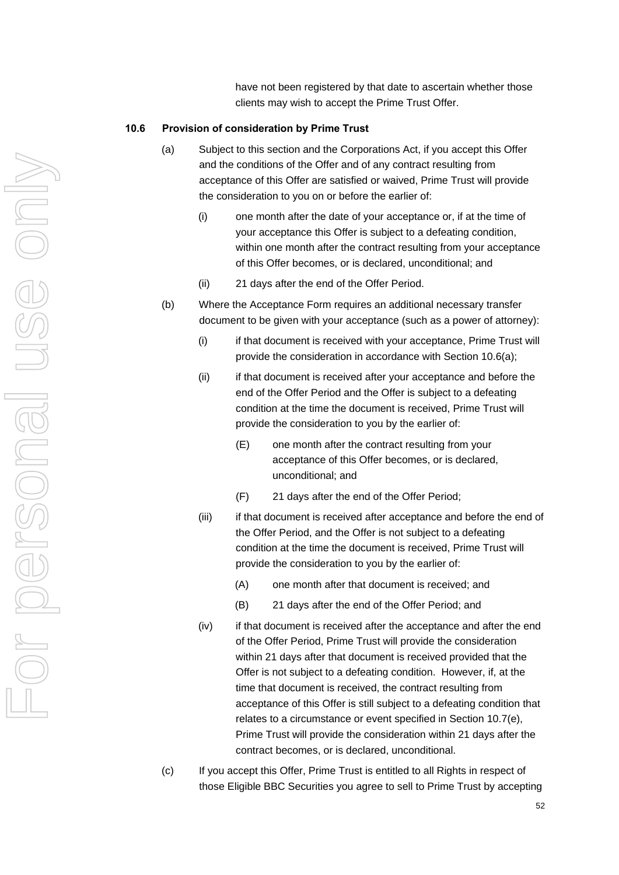have not been registered by that date to ascertain whether those clients may wish to accept the Prime Trust Offer.

#### <span id="page-59-0"></span>**10.6 Provision of consideration by Prime Trust**

- (a) Subject to this section and the Corporations Act, if you accept this Offer and the conditions of the Offer and of any contract resulting from acceptance of this Offer are satisfied or waived, Prime Trust will provide the consideration to you on or before the earlier of:
	- (i) one month after the date of your acceptance or, if at the time of your acceptance this Offer is subject to a defeating condition, within one month after the contract resulting from your acceptance of this Offer becomes, or is declared, unconditional; and
	- (ii) 21 days after the end of the Offer Period.
- (b) Where the Acceptance Form requires an additional necessary transfer document to be given with your acceptance (such as a power of attorney):
	- (i) if that document is received with your acceptance, Prime Trust will provide the consideration in accordance with Section [10.6\(a\);](#page-59-0)
	- (ii) if that document is received after your acceptance and before the end of the Offer Period and the Offer is subject to a defeating condition at the time the document is received, Prime Trust will provide the consideration to you by the earlier of:
		- (E) one month after the contract resulting from your acceptance of this Offer becomes, or is declared, unconditional; and
		- (F) 21 days after the end of the Offer Period;
	- (iii) if that document is received after acceptance and before the end of the Offer Period, and the Offer is not subject to a defeating condition at the time the document is received, Prime Trust will provide the consideration to you by the earlier of:
		- (A) one month after that document is received; and
		- (B) 21 days after the end of the Offer Period; and
	- (iv) if that document is received after the acceptance and after the end of the Offer Period, Prime Trust will provide the consideration within 21 days after that document is received provided that the Offer is not subject to a defeating condition. However, if, at the time that document is received, the contract resulting from acceptance of this Offer is still subject to a defeating condition that relates to a circumstance or event specified in Section [10.7\(e\)](#page-63-0), Prime Trust will provide the consideration within 21 days after the contract becomes, or is declared, unconditional.
- (c) If you accept this Offer, Prime Trust is entitled to all Rights in respect of those Eligible BBC Securities you agree to sell to Prime Trust by accepting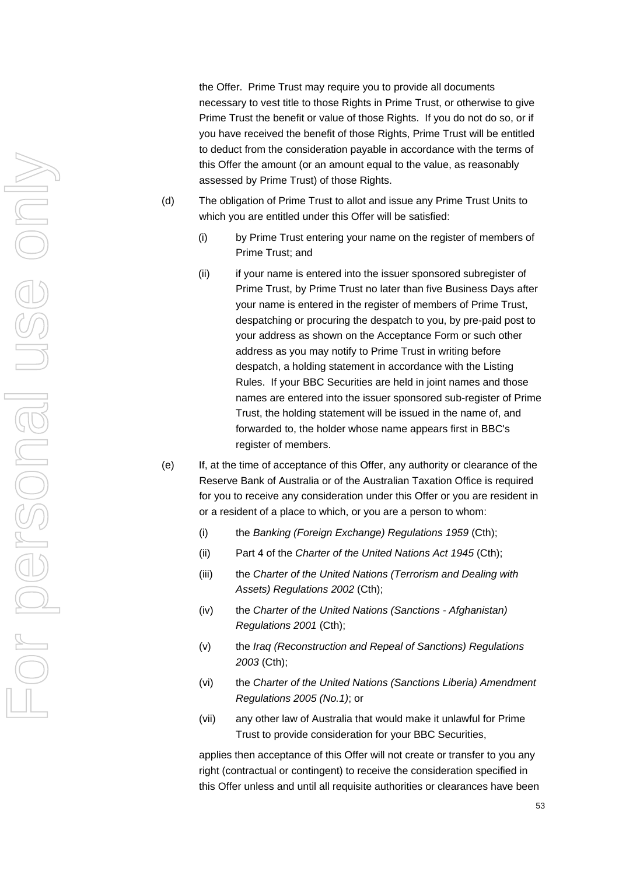the Offer. Prime Trust may require you to provide all documents necessary to vest title to those Rights in Prime Trust, or otherwise to give Prime Trust the benefit or value of those Rights. If you do not do so, or if you have received the benefit of those Rights, Prime Trust will be entitled to deduct from the consideration payable in accordance with the terms of this Offer the amount (or an amount equal to the value, as reasonably assessed by Prime Trust) of those Rights.

- (d) The obligation of Prime Trust to allot and issue any Prime Trust Units to which you are entitled under this Offer will be satisfied:
	- (i) by Prime Trust entering your name on the register of members of Prime Trust; and
	- (ii) if your name is entered into the issuer sponsored subregister of Prime Trust, by Prime Trust no later than five Business Days after your name is entered in the register of members of Prime Trust, despatching or procuring the despatch to you, by pre-paid post to your address as shown on the Acceptance Form or such other address as you may notify to Prime Trust in writing before despatch, a holding statement in accordance with the Listing Rules. If your BBC Securities are held in joint names and those names are entered into the issuer sponsored sub-register of Prime Trust, the holding statement will be issued in the name of, and forwarded to, the holder whose name appears first in BBC's register of members.
- (e) If, at the time of acceptance of this Offer, any authority or clearance of the Reserve Bank of Australia or of the Australian Taxation Office is required for you to receive any consideration under this Offer or you are resident in or a resident of a place to which, or you are a person to whom:
	- (i) the *Banking (Foreign Exchange) Regulations 1959* (Cth);
	- (ii) Part 4 of the *Charter of the United Nations Act 1945* (Cth);
	- (iii) the *Charter of the United Nations (Terrorism and Dealing with Assets) Regulations 2002* (Cth);
	- (iv) the *Charter of the United Nations (Sanctions Afghanistan) Regulations 2001* (Cth);
	- (v) the *Iraq (Reconstruction and Repeal of Sanctions) Regulations 2003* (Cth);
	- (vi) the *Charter of the United Nations (Sanctions Liberia) Amendment Regulations 2005 (No.1)*; or
	- (vii) any other law of Australia that would make it unlawful for Prime Trust to provide consideration for your BBC Securities,

applies then acceptance of this Offer will not create or transfer to you any right (contractual or contingent) to receive the consideration specified in this Offer unless and until all requisite authorities or clearances have been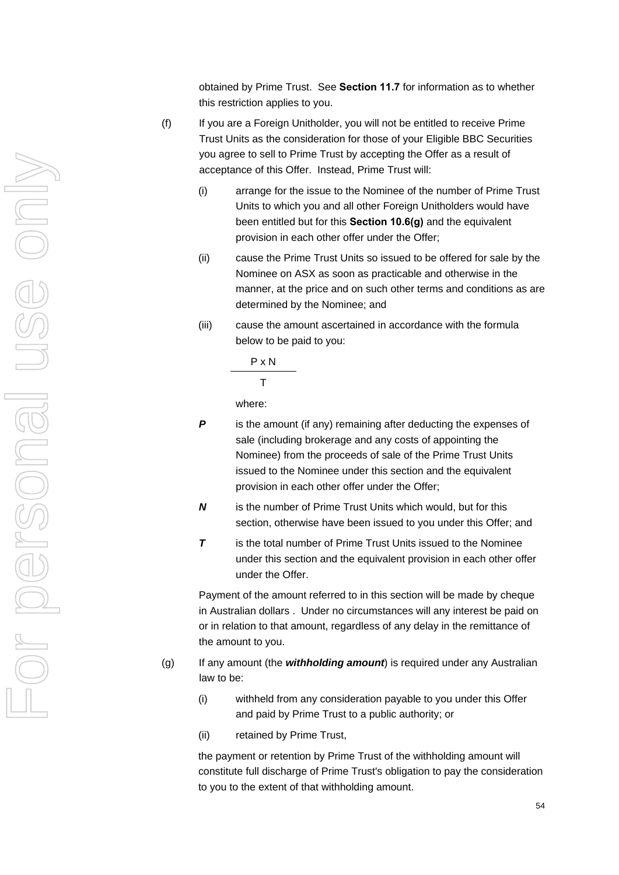obtained by Prime Trust. See **Section [11.7](#page-68-0)** for information as to whether this restriction applies to you.

- (f) If you are a Foreign Unitholder, you will not be entitled to receive Prime Trust Units as the consideration for those of your Eligible BBC Securities you agree to sell to Prime Trust by accepting the Offer as a result of acceptance of this Offer. Instead, Prime Trust will:
	- (i) arrange for the issue to the Nominee of the number of Prime Trust Units to which you and all other Foreign Unitholders would have been entitled but for this **Section 10.6(g)** and the equivalent provision in each other offer under the Offer;
	- (ii) cause the Prime Trust Units so issued to be offered for sale by the Nominee on ASX as soon as practicable and otherwise in the manner, at the price and on such other terms and conditions as are determined by the Nominee; and
	- (iii) cause the amount ascertained in accordance with the formula below to be paid to you:

P x N

T

where:

- **P** is the amount (if any) remaining after deducting the expenses of sale (including brokerage and any costs of appointing the Nominee) from the proceeds of sale of the Prime Trust Units issued to the Nominee under this section and the equivalent provision in each other offer under the Offer;
- *N* is the number of Prime Trust Units which would, but for this section, otherwise have been issued to you under this Offer; and
- *T* is the total number of Prime Trust Units issued to the Nominee under this section and the equivalent provision in each other offer under the Offer.

Payment of the amount referred to in this section will be made by cheque in Australian dollars . Under no circumstances will any interest be paid on or in relation to that amount, regardless of any delay in the remittance of the amount to you.

- (g) If any amount (the *withholding amount*) is required under any Australian law to be:
	- (i) withheld from any consideration payable to you under this Offer and paid by Prime Trust to a public authority; or
	- (ii) retained by Prime Trust,

the payment or retention by Prime Trust of the withholding amount will constitute full discharge of Prime Trust's obligation to pay the consideration to you to the extent of that withholding amount.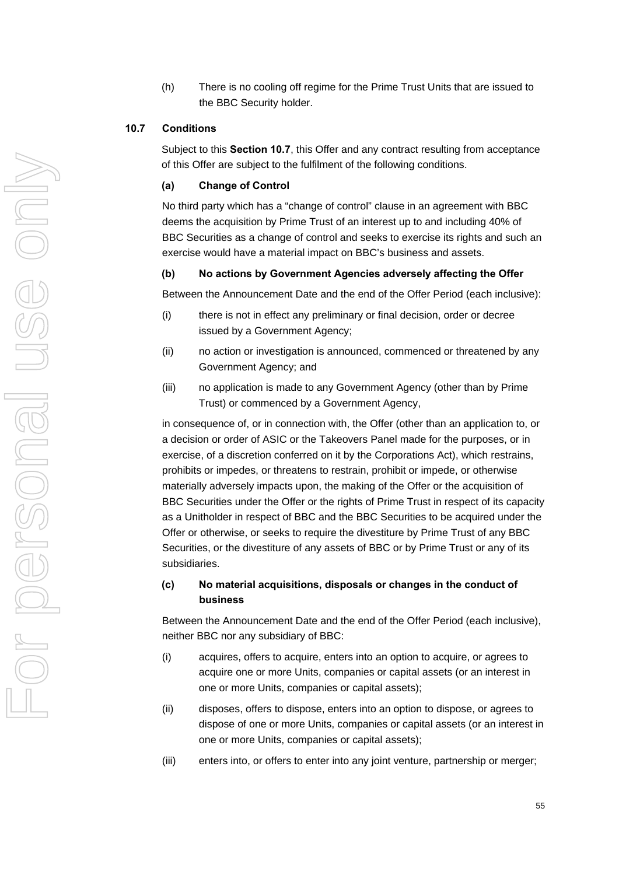(h) There is no cooling off regime for the Prime Trust Units that are issued to the BBC Security holder.

#### <span id="page-62-0"></span>**10.7 Conditions**

Subject to this **Section [10.7](#page-62-0)**, this Offer and any contract resulting from acceptance of this Offer are subject to the fulfilment of the following conditions.

#### **(a) Change of Control**

No third party which has a "change of control" clause in an agreement with BBC deems the acquisition by Prime Trust of an interest up to and including 40% of BBC Securities as a change of control and seeks to exercise its rights and such an exercise would have a material impact on BBC's business and assets.

#### **(b) No actions by Government Agencies adversely affecting the Offer**

Between the Announcement Date and the end of the Offer Period (each inclusive):

- (i) there is not in effect any preliminary or final decision, order or decree issued by a Government Agency;
- (ii) no action or investigation is announced, commenced or threatened by any Government Agency; and
- (iii) no application is made to any Government Agency (other than by Prime Trust) or commenced by a Government Agency,

in consequence of, or in connection with, the Offer (other than an application to, or a decision or order of ASIC or the Takeovers Panel made for the purposes, or in exercise, of a discretion conferred on it by the Corporations Act), which restrains, prohibits or impedes, or threatens to restrain, prohibit or impede, or otherwise materially adversely impacts upon, the making of the Offer or the acquisition of BBC Securities under the Offer or the rights of Prime Trust in respect of its capacity as a Unitholder in respect of BBC and the BBC Securities to be acquired under the Offer or otherwise, or seeks to require the divestiture by Prime Trust of any BBC Securities, or the divestiture of any assets of BBC or by Prime Trust or any of its subsidiaries.

# **(c) No material acquisitions, disposals or changes in the conduct of business**

Between the Announcement Date and the end of the Offer Period (each inclusive), neither BBC nor any subsidiary of BBC:

- (i) acquires, offers to acquire, enters into an option to acquire, or agrees to acquire one or more Units, companies or capital assets (or an interest in one or more Units, companies or capital assets);
- (ii) disposes, offers to dispose, enters into an option to dispose, or agrees to dispose of one or more Units, companies or capital assets (or an interest in one or more Units, companies or capital assets);
- (iii) enters into, or offers to enter into any joint venture, partnership or merger;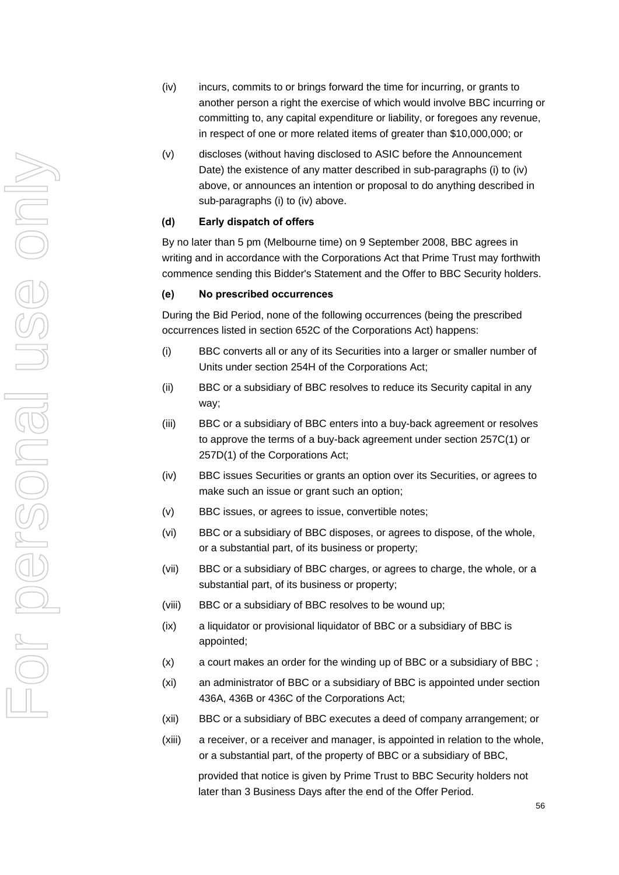- (iv) incurs, commits to or brings forward the time for incurring, or grants to another person a right the exercise of which would involve BBC incurring or committing to, any capital expenditure or liability, or foregoes any revenue, in respect of one or more related items of greater than \$10,000,000; or
- (v) discloses (without having disclosed to ASIC before the Announcement Date) the existence of any matter described in sub-paragraphs (i) to (iv) above, or announces an intention or proposal to do anything described in sub-paragraphs (i) to (iv) above.

#### **(d) Early dispatch of offers**

By no later than 5 pm (Melbourne time) on 9 September 2008, BBC agrees in writing and in accordance with the Corporations Act that Prime Trust may forthwith commence sending this Bidder's Statement and the Offer to BBC Security holders.

#### <span id="page-63-0"></span>**(e) No prescribed occurrences**

During the Bid Period, none of the following occurrences (being the prescribed occurrences listed in section 652C of the Corporations Act) happens:

- (i) BBC converts all or any of its Securities into a larger or smaller number of Units under section 254H of the Corporations Act;
- (ii) BBC or a subsidiary of BBC resolves to reduce its Security capital in any way;
- (iii) BBC or a subsidiary of BBC enters into a buy-back agreement or resolves to approve the terms of a buy-back agreement under section 257C(1) or 257D(1) of the Corporations Act;
- (iv) BBC issues Securities or grants an option over its Securities, or agrees to make such an issue or grant such an option;
- (v) BBC issues, or agrees to issue, convertible notes;
- (vi) BBC or a subsidiary of BBC disposes, or agrees to dispose, of the whole, or a substantial part, of its business or property;
- (vii) BBC or a subsidiary of BBC charges, or agrees to charge, the whole, or a substantial part, of its business or property;
- (viii) BBC or a subsidiary of BBC resolves to be wound up;
- (ix) a liquidator or provisional liquidator of BBC or a subsidiary of BBC is appointed;
- (x) a court makes an order for the winding up of BBC or a subsidiary of BBC ;
- (xi) an administrator of BBC or a subsidiary of BBC is appointed under section 436A, 436B or 436C of the Corporations Act;
- (xii) BBC or a subsidiary of BBC executes a deed of company arrangement; or
- (xiii) a receiver, or a receiver and manager, is appointed in relation to the whole, or a substantial part, of the property of BBC or a subsidiary of BBC,

provided that notice is given by Prime Trust to BBC Security holders not later than 3 Business Days after the end of the Offer Period.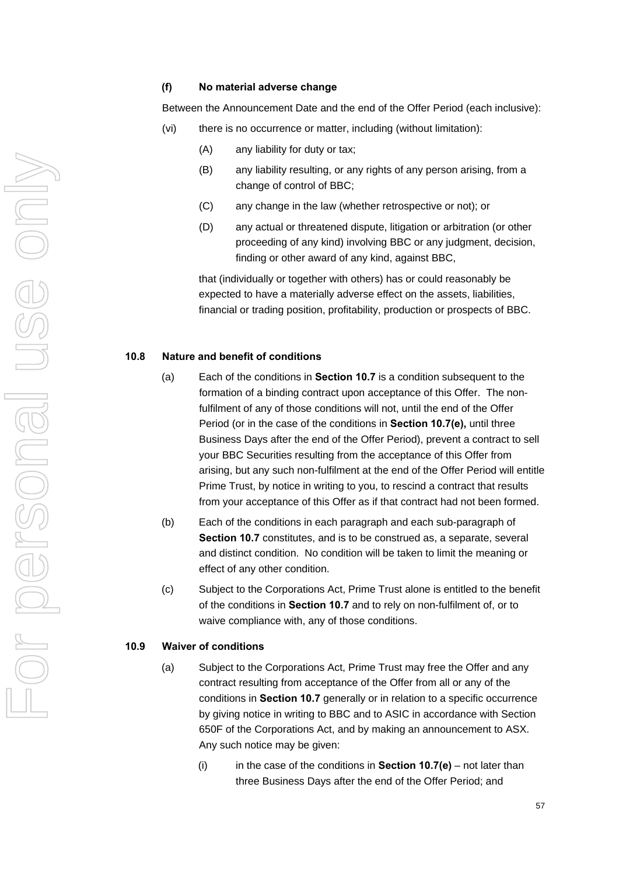#### **(f) No material adverse change**

Between the Announcement Date and the end of the Offer Period (each inclusive):

- (vi) there is no occurrence or matter, including (without limitation):
	- (A) any liability for duty or tax;
	- (B) any liability resulting, or any rights of any person arising, from a change of control of BBC;
	- (C) any change in the law (whether retrospective or not); or
	- (D) any actual or threatened dispute, litigation or arbitration (or other proceeding of any kind) involving BBC or any judgment, decision, finding or other award of any kind, against BBC,

that (individually or together with others) has or could reasonably be expected to have a materially adverse effect on the assets, liabilities, financial or trading position, profitability, production or prospects of BBC.

#### **10.8 Nature and benefit of conditions**

- (a) Each of the conditions in **Section [10.7](#page-62-0)** is a condition subsequent to the formation of a binding contract upon acceptance of this Offer. The nonfulfilment of any of those conditions will not, until the end of the Offer Period (or in the case of the conditions in **Section [10.7\(e\)](#page-63-0),** until three Business Days after the end of the Offer Period), prevent a contract to sell your BBC Securities resulting from the acceptance of this Offer from arising, but any such non-fulfilment at the end of the Offer Period will entitle Prime Trust, by notice in writing to you, to rescind a contract that results from your acceptance of this Offer as if that contract had not been formed.
- (b) Each of the conditions in each paragraph and each sub-paragraph of **Section [10.7](#page-62-0)** constitutes, and is to be construed as, a separate, several and distinct condition. No condition will be taken to limit the meaning or effect of any other condition.
- (c) Subject to the Corporations Act, Prime Trust alone is entitled to the benefit of the conditions in **Section [10.7](#page-62-0)** and to rely on non-fulfilment of, or to waive compliance with, any of those conditions.

#### <span id="page-64-0"></span>**10.9 Waiver of conditions**

- (a) Subject to the Corporations Act, Prime Trust may free the Offer and any contract resulting from acceptance of the Offer from all or any of the conditions in **Section [10.7](#page-62-0)** generally or in relation to a specific occurrence by giving notice in writing to BBC and to ASIC in accordance with Section 650F of the Corporations Act, and by making an announcement to ASX. Any such notice may be given:
	- (i) in the case of the conditions in **Section [10.7\(e\)](#page-63-0)** not later than three Business Days after the end of the Offer Period; and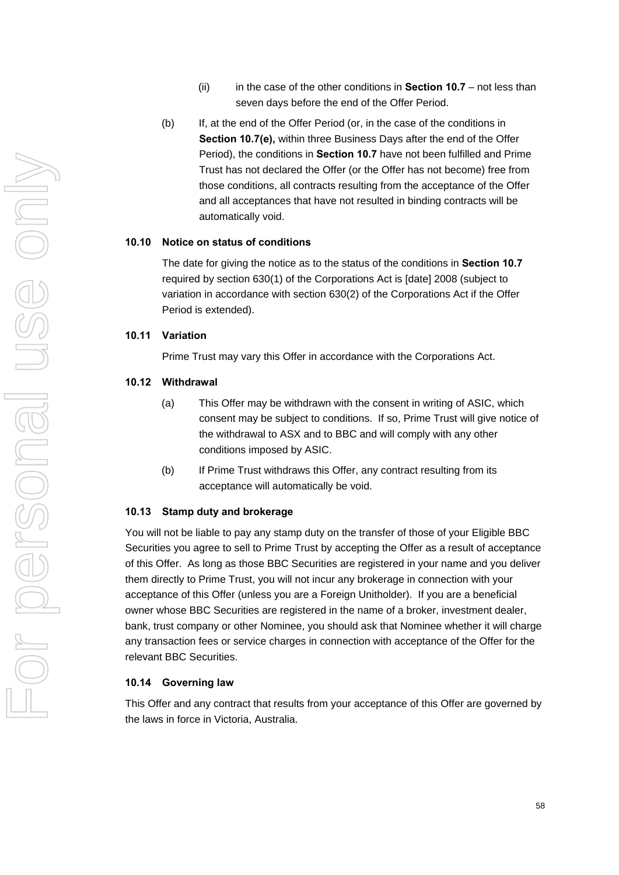- (ii) in the case of the other conditions in **Section [10.7](#page-62-0)** not less than seven days before the end of the Offer Period.
- (b) If, at the end of the Offer Period (or, in the case of the conditions in **Section [10.7\(](#page-62-0)e),** within three Business Days after the end of the Offer Period), the conditions in **Section [10.7](#page-62-0)** have not been fulfilled and Prime Trust has not declared the Offer (or the Offer has not become) free from those conditions, all contracts resulting from the acceptance of the Offer and all acceptances that have not resulted in binding contracts will be automatically void.

#### **10.10 Notice on status of conditions**

The date for giving the notice as to the status of the conditions in **Section [10.7](#page-62-0)** required by section 630(1) of the Corporations Act is [date] 2008 (subject to variation in accordance with section 630(2) of the Corporations Act if the Offer Period is extended).

# **10.11 Variation**

Prime Trust may vary this Offer in accordance with the Corporations Act.

#### **10.12 Withdrawal**

- (a) This Offer may be withdrawn with the consent in writing of ASIC, which consent may be subject to conditions. If so, Prime Trust will give notice of the withdrawal to ASX and to BBC and will comply with any other conditions imposed by ASIC.
- (b) If Prime Trust withdraws this Offer, any contract resulting from its acceptance will automatically be void.

#### **10.13 Stamp duty and brokerage**

You will not be liable to pay any stamp duty on the transfer of those of your Eligible BBC Securities you agree to sell to Prime Trust by accepting the Offer as a result of acceptance of this Offer. As long as those BBC Securities are registered in your name and you deliver them directly to Prime Trust, you will not incur any brokerage in connection with your acceptance of this Offer (unless you are a Foreign Unitholder). If you are a beneficial owner whose BBC Securities are registered in the name of a broker, investment dealer, bank, trust company or other Nominee, you should ask that Nominee whether it will charge any transaction fees or service charges in connection with acceptance of the Offer for the relevant BBC Securities.

# **10.14 Governing law**

This Offer and any contract that results from your acceptance of this Offer are governed by the laws in force in Victoria, Australia.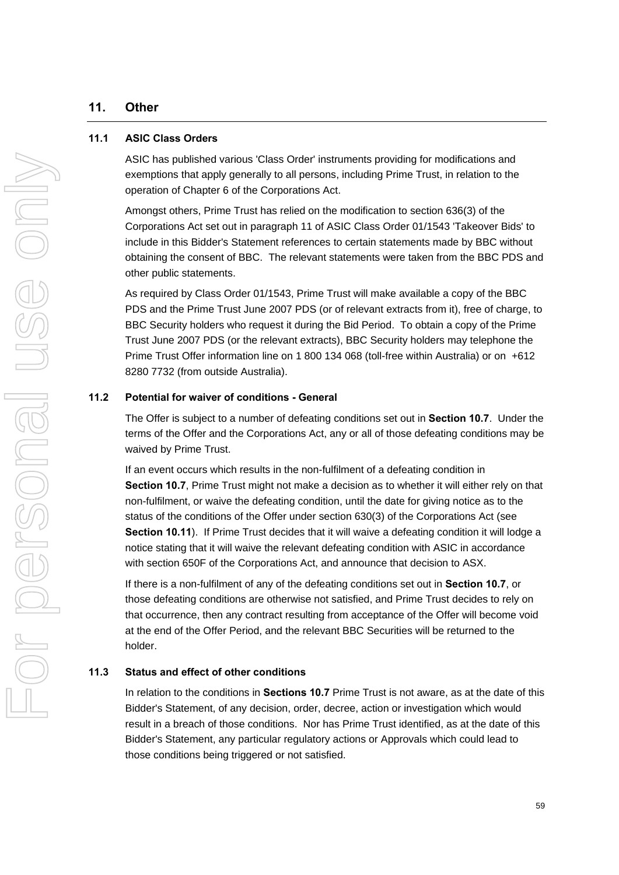# **11. Other**

#### <span id="page-66-0"></span>**11.1 ASIC Class Orders**

ASIC has published various 'Class Order' instruments providing for modifications and exemptions that apply generally to all persons, including Prime Trust, in relation to the operation of Chapter 6 of the Corporations Act.

Amongst others, Prime Trust has relied on the modification to section 636(3) of the Corporations Act set out in paragraph 11 of ASIC Class Order 01/1543 'Takeover Bids' to include in this Bidder's Statement references to certain statements made by BBC without obtaining the consent of BBC. The relevant statements were taken from the BBC PDS and other public statements.

As required by Class Order 01/1543, Prime Trust will make available a copy of the BBC PDS and the Prime Trust June 2007 PDS (or of relevant extracts from it), free of charge, to BBC Security holders who request it during the Bid Period. To obtain a copy of the Prime Trust June 2007 PDS (or the relevant extracts), BBC Security holders may telephone the Prime Trust Offer information line on 1 800 134 068 (toll-free within Australia) or on +612 8280 7732 (from outside Australia).

#### **11.2 Potential for waiver of conditions - General**

The Offer is subject to a number of defeating conditions set out in **Section [10.7](#page-62-0)**. Under the terms of the Offer and the Corporations Act, any or all of those defeating conditions may be waived by Prime Trust.

If an event occurs which results in the non-fulfilment of a defeating condition in **Section [10.7](#page-62-0)**, Prime Trust might not make a decision as to whether it will either rely on that non-fulfilment, or waive the defeating condition, until the date for giving notice as to the status of the conditions of the Offer under section 630(3) of the Corporations Act (see **Section 10.11**). If Prime Trust decides that it will waive a defeating condition it will lodge a notice stating that it will waive the relevant defeating condition with ASIC in accordance with section 650F of the Corporations Act, and announce that decision to ASX.

If there is a non-fulfilment of any of the defeating conditions set out in **Section [10.7](#page-62-0)**, or those defeating conditions are otherwise not satisfied, and Prime Trust decides to rely on that occurrence, then any contract resulting from acceptance of the Offer will become void at the end of the Offer Period, and the relevant BBC Securities will be returned to the holder.

# **11.3 Status and effect of other conditions**

In relation to the conditions in **Sections [10.7](#page-62-0)** Prime Trust is not aware, as at the date of this Bidder's Statement, of any decision, order, decree, action or investigation which would result in a breach of those conditions. Nor has Prime Trust identified, as at the date of this Bidder's Statement, any particular regulatory actions or Approvals which could lead to those conditions being triggered or not satisfied.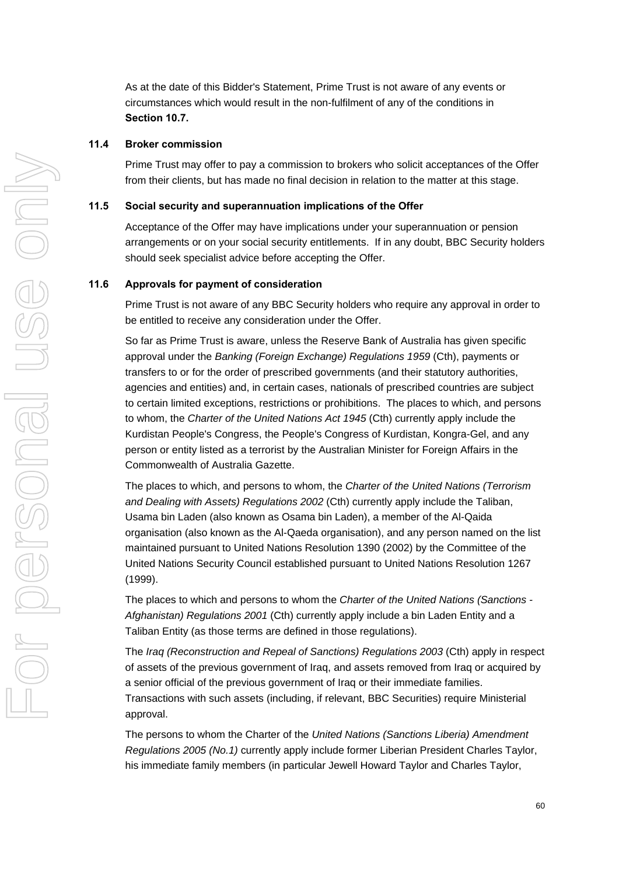As at the date of this Bidder's Statement, Prime Trust is not aware of any events or circumstances which would result in the non-fulfilment of any of the conditions in **Section [10.7.](#page-62-0)** 

# **11.4 Broker commission**

Prime Trust may offer to pay a commission to brokers who solicit acceptances of the Offer from their clients, but has made no final decision in relation to the matter at this stage.

#### **11.5 Social security and superannuation implications of the Offer**

Acceptance of the Offer may have implications under your superannuation or pension arrangements or on your social security entitlements. If in any doubt, BBC Security holders should seek specialist advice before accepting the Offer.

#### **11.6 Approvals for payment of consideration**

Prime Trust is not aware of any BBC Security holders who require any approval in order to be entitled to receive any consideration under the Offer.

So far as Prime Trust is aware, unless the Reserve Bank of Australia has given specific approval under the *Banking (Foreign Exchange) Regulations 1959* (Cth), payments or transfers to or for the order of prescribed governments (and their statutory authorities, agencies and entities) and, in certain cases, nationals of prescribed countries are subject to certain limited exceptions, restrictions or prohibitions. The places to which, and persons to whom, the *Charter of the United Nations Act 1945* (Cth) currently apply include the Kurdistan People's Congress, the People's Congress of Kurdistan, Kongra-Gel, and any person or entity listed as a terrorist by the Australian Minister for Foreign Affairs in the Commonwealth of Australia Gazette.

The places to which, and persons to whom, the *Charter of the United Nations (Terrorism and Dealing with Assets) Regulations 2002* (Cth) currently apply include the Taliban, Usama bin Laden (also known as Osama bin Laden), a member of the Al-Qaida organisation (also known as the Al-Qaeda organisation), and any person named on the list maintained pursuant to United Nations Resolution 1390 (2002) by the Committee of the United Nations Security Council established pursuant to United Nations Resolution 1267 (1999).

The places to which and persons to whom the *Charter of the United Nations (Sanctions - Afghanistan) Regulations 2001* (Cth) currently apply include a bin Laden Entity and a Taliban Entity (as those terms are defined in those regulations).

The *Iraq (Reconstruction and Repeal of Sanctions) Regulations 2003* (Cth) apply in respect of assets of the previous government of Iraq, and assets removed from Iraq or acquired by a senior official of the previous government of Iraq or their immediate families. Transactions with such assets (including, if relevant, BBC Securities) require Ministerial approval.

The persons to whom the Charter of the *United Nations (Sanctions Liberia) Amendment Regulations 2005 (No.1)* currently apply include former Liberian President Charles Taylor, his immediate family members (in particular Jewell Howard Taylor and Charles Taylor,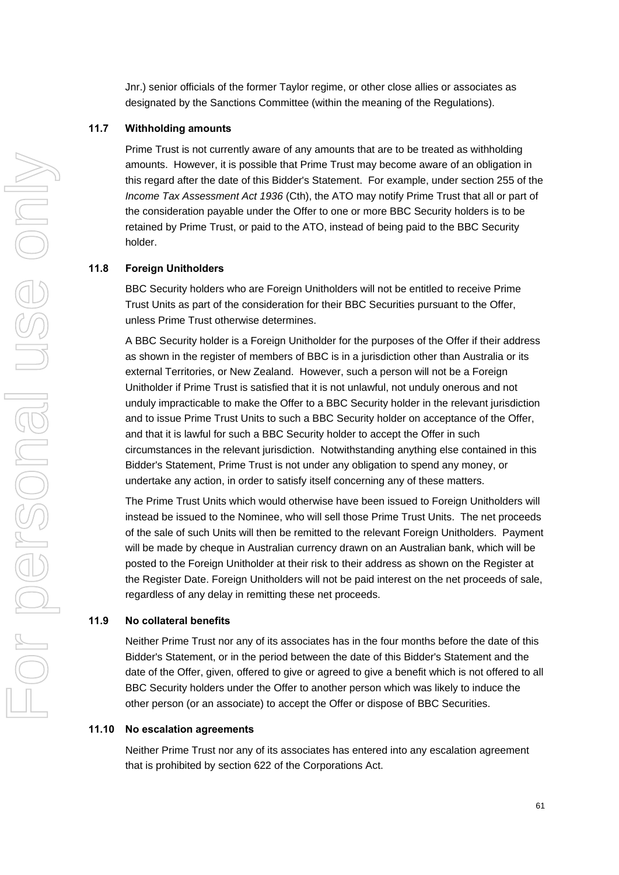Jnr.) senior officials of the former Taylor regime, or other close allies or associates as designated by the Sanctions Committee (within the meaning of the Regulations).

#### <span id="page-68-0"></span>**11.7 Withholding amounts**

Prime Trust is not currently aware of any amounts that are to be treated as withholding amounts. However, it is possible that Prime Trust may become aware of an obligation in this regard after the date of this Bidder's Statement. For example, under section 255 of the *Income Tax Assessment Act 1936* (Cth), the ATO may notify Prime Trust that all or part of the consideration payable under the Offer to one or more BBC Security holders is to be retained by Prime Trust, or paid to the ATO, instead of being paid to the BBC Security holder.

#### **11.8 Foreign Unitholders**

BBC Security holders who are Foreign Unitholders will not be entitled to receive Prime Trust Units as part of the consideration for their BBC Securities pursuant to the Offer, unless Prime Trust otherwise determines.

A BBC Security holder is a Foreign Unitholder for the purposes of the Offer if their address as shown in the register of members of BBC is in a jurisdiction other than Australia or its external Territories, or New Zealand. However, such a person will not be a Foreign Unitholder if Prime Trust is satisfied that it is not unlawful, not unduly onerous and not unduly impracticable to make the Offer to a BBC Security holder in the relevant jurisdiction and to issue Prime Trust Units to such a BBC Security holder on acceptance of the Offer, and that it is lawful for such a BBC Security holder to accept the Offer in such circumstances in the relevant jurisdiction. Notwithstanding anything else contained in this Bidder's Statement, Prime Trust is not under any obligation to spend any money, or undertake any action, in order to satisfy itself concerning any of these matters.

The Prime Trust Units which would otherwise have been issued to Foreign Unitholders will instead be issued to the Nominee, who will sell those Prime Trust Units. The net proceeds of the sale of such Units will then be remitted to the relevant Foreign Unitholders. Payment will be made by cheque in Australian currency drawn on an Australian bank, which will be posted to the Foreign Unitholder at their risk to their address as shown on the Register at the Register Date. Foreign Unitholders will not be paid interest on the net proceeds of sale, regardless of any delay in remitting these net proceeds.

#### **11.9 No collateral benefits**

Neither Prime Trust nor any of its associates has in the four months before the date of this Bidder's Statement, or in the period between the date of this Bidder's Statement and the date of the Offer, given, offered to give or agreed to give a benefit which is not offered to all BBC Security holders under the Offer to another person which was likely to induce the other person (or an associate) to accept the Offer or dispose of BBC Securities.

# **11.10 No escalation agreements**

Neither Prime Trust nor any of its associates has entered into any escalation agreement that is prohibited by section 622 of the Corporations Act.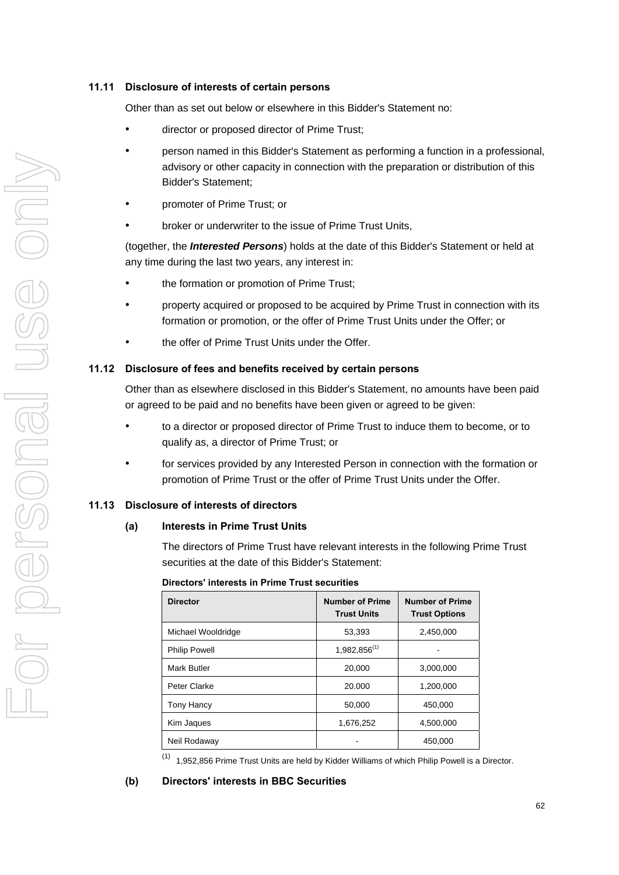# **11.11 Disclosure of interests of certain persons**

Other than as set out below or elsewhere in this Bidder's Statement no:

- director or proposed director of Prime Trust;
- person named in this Bidder's Statement as performing a function in a professional, advisory or other capacity in connection with the preparation or distribution of this Bidder's Statement;
- promoter of Prime Trust; or
- broker or underwriter to the issue of Prime Trust Units,

(together, the *Interested Persons*) holds at the date of this Bidder's Statement or held at any time during the last two years, any interest in:

- the formation or promotion of Prime Trust;
- property acquired or proposed to be acquired by Prime Trust in connection with its formation or promotion, or the offer of Prime Trust Units under the Offer; or
- the offer of Prime Trust Units under the Offer.

# **11.12 Disclosure of fees and benefits received by certain persons**

Other than as elsewhere disclosed in this Bidder's Statement, no amounts have been paid or agreed to be paid and no benefits have been given or agreed to be given:

- to a director or proposed director of Prime Trust to induce them to become, or to qualify as, a director of Prime Trust; or
- for services provided by any Interested Person in connection with the formation or promotion of Prime Trust or the offer of Prime Trust Units under the Offer.

# **11.13 Disclosure of interests of directors**

#### **(a) Interests in Prime Trust Units**

The directors of Prime Trust have relevant interests in the following Prime Trust securities at the date of this Bidder's Statement:

#### **Directors' interests in Prime Trust securities**

| <b>Director</b>      | <b>Number of Prime</b><br><b>Trust Units</b> | <b>Number of Prime</b><br><b>Trust Options</b> |
|----------------------|----------------------------------------------|------------------------------------------------|
| Michael Wooldridge   | 53,393                                       | 2,450,000                                      |
| <b>Philip Powell</b> | 1,982,856(1)                                 |                                                |
| Mark Butler          | 20,000                                       | 3,000,000                                      |
| Peter Clarke         | 20.000                                       | 1,200,000                                      |
| <b>Tony Hancy</b>    | 50,000                                       | 450,000                                        |
| Kim Jaques           | 1,676,252                                    | 4,500,000                                      |
| Neil Rodaway         |                                              | 450,000                                        |

 $(1)$  1,952,856 Prime Trust Units are held by Kidder Williams of which Philip Powell is a Director.

**(b) Directors' interests in BBC Securities**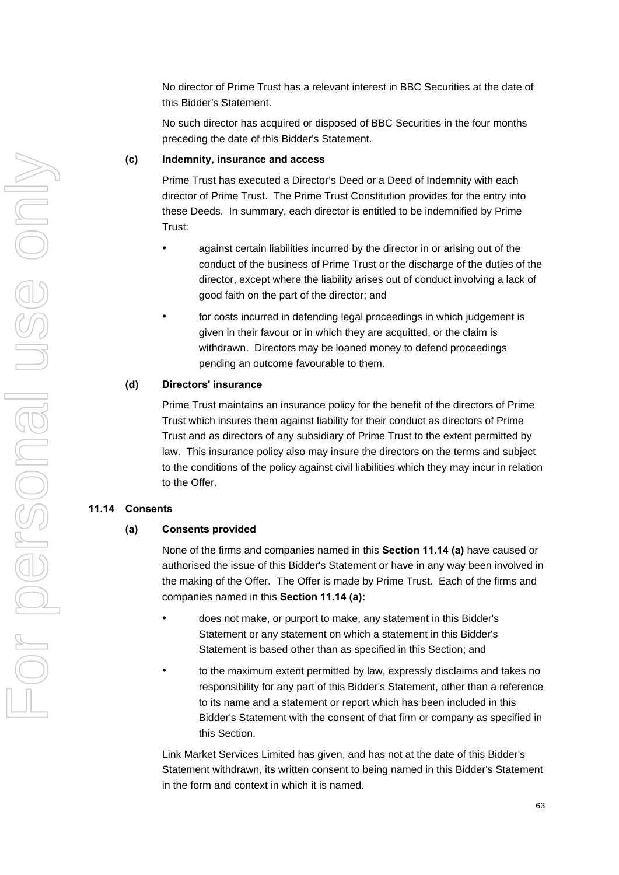No director of Prime Trust has a relevant interest in BBC Securities at the date of this Bidder's Statement.

No such director has acquired or disposed of BBC Securities in the four months preceding the date of this Bidder's Statement.

#### **(c) Indemnity, insurance and access**

Prime Trust has executed a Director's Deed or a Deed of Indemnity with each director of Prime Trust. The Prime Trust Constitution provides for the entry into these Deeds. In summary, each director is entitled to be indemnified by Prime Trust:

- against certain liabilities incurred by the director in or arising out of the conduct of the business of Prime Trust or the discharge of the duties of the director, except where the liability arises out of conduct involving a lack of good faith on the part of the director; and
- for costs incurred in defending legal proceedings in which judgement is given in their favour or in which they are acquitted, or the claim is withdrawn. Directors may be loaned money to defend proceedings pending an outcome favourable to them.

#### **(d) Directors' insurance**

Prime Trust maintains an insurance policy for the benefit of the directors of Prime Trust which insures them against liability for their conduct as directors of Prime Trust and as directors of any subsidiary of Prime Trust to the extent permitted by law. This insurance policy also may insure the directors on the terms and subject to the conditions of the policy against civil liabilities which they may incur in relation to the Offer.

#### <span id="page-70-0"></span>**11.14 Consents**

#### **(a) Consents provided**

None of the firms and companies named in this **Section [11.14](#page-70-0) (a)** have caused or authorised the issue of this Bidder's Statement or have in any way been involved in the making of the Offer. The Offer is made by Prime Trust. Each of the firms and companies named in this **Section [11.14](#page-70-0) (a):** 

- does not make, or purport to make, any statement in this Bidder's Statement or any statement on which a statement in this Bidder's Statement is based other than as specified in this Section; and
- to the maximum extent permitted by law, expressly disclaims and takes no responsibility for any part of this Bidder's Statement, other than a reference to its name and a statement or report which has been included in this Bidder's Statement with the consent of that firm or company as specified in this Section.

Link Market Services Limited has given, and has not at the date of this Bidder's Statement withdrawn, its written consent to being named in this Bidder's Statement in the form and context in which it is named.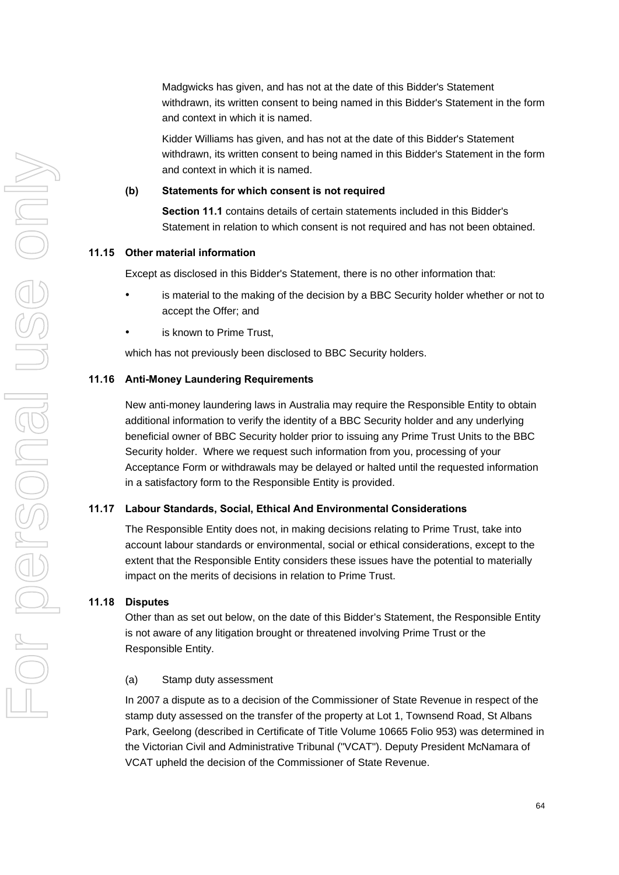Madgwicks has given, and has not at the date of this Bidder's Statement withdrawn, its written consent to being named in this Bidder's Statement in the form and context in which it is named.

Kidder Williams has given, and has not at the date of this Bidder's Statement withdrawn, its written consent to being named in this Bidder's Statement in the form and context in which it is named.

#### **(b) Statements for which consent is not required**

**Section [11.1](#page-66-0)** contains details of certain statements included in this Bidder's Statement in relation to which consent is not required and has not been obtained.

#### **11.15 Other material information**

Except as disclosed in this Bidder's Statement, there is no other information that:

- is material to the making of the decision by a BBC Security holder whether or not to accept the Offer; and
- is known to Prime Trust.

which has not previously been disclosed to BBC Security holders.

#### **11.16 Anti-Money Laundering Requirements**

New anti-money laundering laws in Australia may require the Responsible Entity to obtain additional information to verify the identity of a BBC Security holder and any underlying beneficial owner of BBC Security holder prior to issuing any Prime Trust Units to the BBC Security holder. Where we request such information from you, processing of your Acceptance Form or withdrawals may be delayed or halted until the requested information in a satisfactory form to the Responsible Entity is provided.

#### **11.17 Labour Standards, Social, Ethical And Environmental Considerations**

The Responsible Entity does not, in making decisions relating to Prime Trust, take into account labour standards or environmental, social or ethical considerations, except to the extent that the Responsible Entity considers these issues have the potential to materially impact on the merits of decisions in relation to Prime Trust.

#### **11.18 Disputes**

Other than as set out below, on the date of this Bidder's Statement, the Responsible Entity is not aware of any litigation brought or threatened involving Prime Trust or the Responsible Entity.

#### (a) Stamp duty assessment

In 2007 a dispute as to a decision of the Commissioner of State Revenue in respect of the stamp duty assessed on the transfer of the property at Lot 1, Townsend Road, St Albans Park, Geelong (described in Certificate of Title Volume 10665 Folio 953) was determined in the Victorian Civil and Administrative Tribunal ("VCAT"). Deputy President McNamara of VCAT upheld the decision of the Commissioner of State Revenue.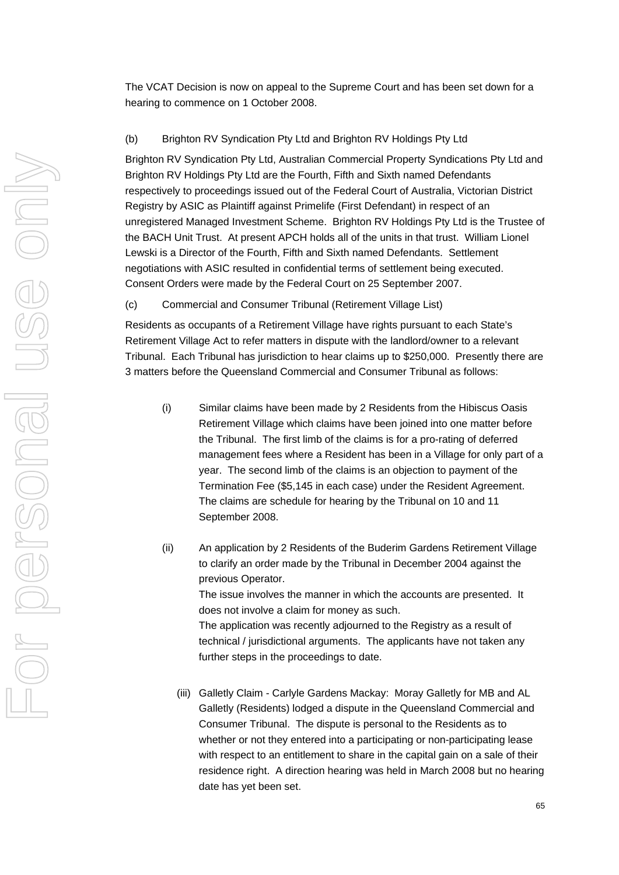The VCAT Decision is now on appeal to the Supreme Court and has been set down for a hearing to commence on 1 October 2008.

## (b) Brighton RV Syndication Pty Ltd and Brighton RV Holdings Pty Ltd

Brighton RV Syndication Pty Ltd, Australian Commercial Property Syndications Pty Ltd and Brighton RV Holdings Pty Ltd are the Fourth, Fifth and Sixth named Defendants respectively to proceedings issued out of the Federal Court of Australia, Victorian District Registry by ASIC as Plaintiff against Primelife (First Defendant) in respect of an unregistered Managed Investment Scheme. Brighton RV Holdings Pty Ltd is the Trustee of the BACH Unit Trust. At present APCH holds all of the units in that trust. William Lionel Lewski is a Director of the Fourth, Fifth and Sixth named Defendants. Settlement negotiations with ASIC resulted in confidential terms of settlement being executed. Consent Orders were made by the Federal Court on 25 September 2007.

(c) Commercial and Consumer Tribunal (Retirement Village List)

Residents as occupants of a Retirement Village have rights pursuant to each State's Retirement Village Act to refer matters in dispute with the landlord/owner to a relevant Tribunal. Each Tribunal has jurisdiction to hear claims up to \$250,000. Presently there are 3 matters before the Queensland Commercial and Consumer Tribunal as follows:

- (i) Similar claims have been made by 2 Residents from the Hibiscus Oasis Retirement Village which claims have been joined into one matter before the Tribunal. The first limb of the claims is for a pro-rating of deferred management fees where a Resident has been in a Village for only part of a year. The second limb of the claims is an objection to payment of the Termination Fee (\$5,145 in each case) under the Resident Agreement. The claims are schedule for hearing by the Tribunal on 10 and 11 September 2008.
- (ii) An application by 2 Residents of the Buderim Gardens Retirement Village to clarify an order made by the Tribunal in December 2004 against the previous Operator. The issue involves the manner in which the accounts are presented. It does not involve a claim for money as such. The application was recently adjourned to the Registry as a result of technical / jurisdictional arguments. The applicants have not taken any further steps in the proceedings to date.
	- (iii) Galletly Claim Carlyle Gardens Mackay: Moray Galletly for MB and AL Galletly (Residents) lodged a dispute in the Queensland Commercial and Consumer Tribunal. The dispute is personal to the Residents as to whether or not they entered into a participating or non-participating lease with respect to an entitlement to share in the capital gain on a sale of their residence right. A direction hearing was held in March 2008 but no hearing date has yet been set.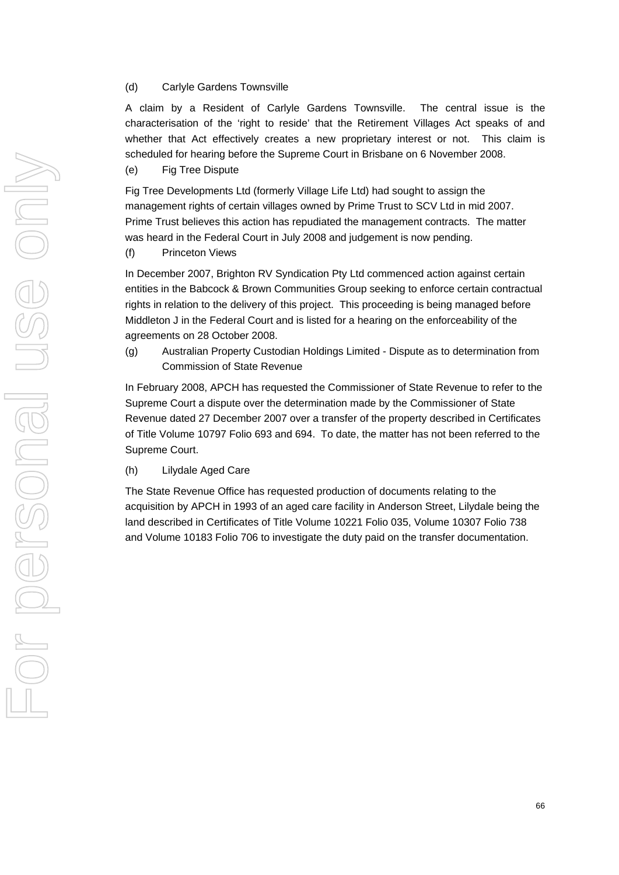#### (d) Carlyle Gardens Townsville

A claim by a Resident of Carlyle Gardens Townsville. The central issue is the characterisation of the 'right to reside' that the Retirement Villages Act speaks of and whether that Act effectively creates a new proprietary interest or not. This claim is scheduled for hearing before the Supreme Court in Brisbane on 6 November 2008.

(e) Fig Tree Dispute

Fig Tree Developments Ltd (formerly Village Life Ltd) had sought to assign the management rights of certain villages owned by Prime Trust to SCV Ltd in mid 2007. Prime Trust believes this action has repudiated the management contracts. The matter was heard in the Federal Court in July 2008 and judgement is now pending.

(f) Princeton Views

In December 2007, Brighton RV Syndication Pty Ltd commenced action against certain entities in the Babcock & Brown Communities Group seeking to enforce certain contractual rights in relation to the delivery of this project. This proceeding is being managed before Middleton J in the Federal Court and is listed for a hearing on the enforceability of the agreements on 28 October 2008.

(g) Australian Property Custodian Holdings Limited - Dispute as to determination from Commission of State Revenue

In February 2008, APCH has requested the Commissioner of State Revenue to refer to the Supreme Court a dispute over the determination made by the Commissioner of State Revenue dated 27 December 2007 over a transfer of the property described in Certificates of Title Volume 10797 Folio 693 and 694. To date, the matter has not been referred to the Supreme Court.

(h) Lilydale Aged Care

The State Revenue Office has requested production of documents relating to the acquisition by APCH in 1993 of an aged care facility in Anderson Street, Lilydale being the land described in Certificates of Title Volume 10221 Folio 035, Volume 10307 Folio 738 and Volume 10183 Folio 706 to investigate the duty paid on the transfer documentation.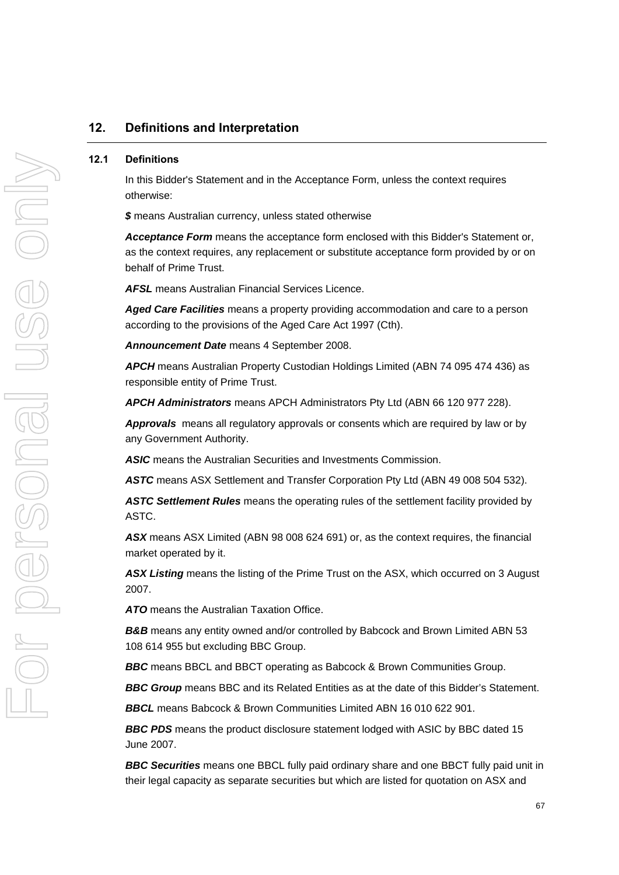## **12. Definitions and Interpretation**

#### **12.1 Definitions**

In this Bidder's Statement and in the Acceptance Form, unless the context requires otherwise:

*\$* means Australian currency, unless stated otherwise

*Acceptance Form* means the acceptance form enclosed with this Bidder's Statement or, as the context requires, any replacement or substitute acceptance form provided by or on behalf of Prime Trust.

*AFSL* means Australian Financial Services Licence.

*Aged Care Facilities* means a property providing accommodation and care to a person according to the provisions of the Aged Care Act 1997 (Cth).

*Announcement Date* means 4 September 2008.

*APCH* means Australian Property Custodian Holdings Limited (ABN 74 095 474 436) as responsible entity of Prime Trust.

*APCH Administrators* means APCH Administrators Pty Ltd (ABN 66 120 977 228).

*Approvals* means all regulatory approvals or consents which are required by law or by any Government Authority.

*ASIC* means the Australian Securities and Investments Commission.

*ASTC* means ASX Settlement and Transfer Corporation Pty Ltd (ABN 49 008 504 532).

*ASTC Settlement Rules* means the operating rules of the settlement facility provided by ASTC.

*ASX* means ASX Limited (ABN 98 008 624 691) or, as the context requires, the financial market operated by it.

*ASX Listing* means the listing of the Prime Trust on the ASX, which occurred on 3 August 2007.

*ATO* means the Australian Taxation Office.

**B&B** means any entity owned and/or controlled by Babcock and Brown Limited ABN 53 108 614 955 but excluding BBC Group.

*BBC* means BBCL and BBCT operating as Babcock & Brown Communities Group.

**BBC Group** means BBC and its Related Entities as at the date of this Bidder's Statement.

*BBCL* means Babcock & Brown Communities Limited ABN 16 010 622 901.

**BBC PDS** means the product disclosure statement lodged with ASIC by BBC dated 15 June 2007.

*BBC Securities* means one BBCL fully paid ordinary share and one BBCT fully paid unit in their legal capacity as separate securities but which are listed for quotation on ASX and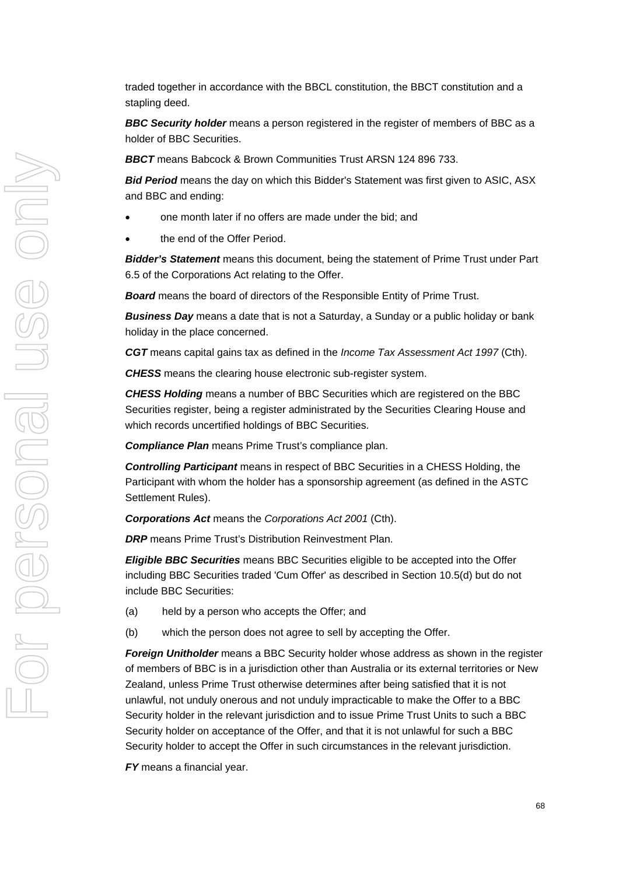traded together in accordance with the BBCL constitution, the BBCT constitution and a stapling deed.

*BBC Security holder* means a person registered in the register of members of BBC as a holder of BBC Securities.

*BBCT* means Babcock & Brown Communities Trust ARSN 124 896 733.

*Bid Period* means the day on which this Bidder's Statement was first given to ASIC, ASX and BBC and ending:

- one month later if no offers are made under the bid; and
- the end of the Offer Period.

*Bidder's Statement* means this document, being the statement of Prime Trust under Part 6.5 of the Corporations Act relating to the Offer.

*Board* means the board of directors of the Responsible Entity of Prime Trust.

*Business Day* means a date that is not a Saturday, a Sunday or a public holiday or bank holiday in the place concerned.

*CGT* means capital gains tax as defined in the *Income Tax Assessment Act 1997* (Cth).

*CHESS* means the clearing house electronic sub-register system.

*CHESS Holding* means a number of BBC Securities which are registered on the BBC Securities register, being a register administrated by the Securities Clearing House and which records uncertified holdings of BBC Securities.

*Compliance Plan* means Prime Trust's compliance plan.

*Controlling Participant* means in respect of BBC Securities in a CHESS Holding, the Participant with whom the holder has a sponsorship agreement (as defined in the ASTC Settlement Rules).

*Corporations Act* means the *Corporations Act 2001* (Cth).

*DRP* means Prime Trust's Distribution Reinvestment Plan.

*Eligible BBC Securities* means BBC Securities eligible to be accepted into the Offer including BBC Securities traded 'Cum Offer' as described in Section [10.5\(d\)](#page-53-0) but do not include BBC Securities:

- (a) held by a person who accepts the Offer; and
- (b) which the person does not agree to sell by accepting the Offer.

*Foreign Unitholder* means a BBC Security holder whose address as shown in the register of members of BBC is in a jurisdiction other than Australia or its external territories or New Zealand, unless Prime Trust otherwise determines after being satisfied that it is not unlawful, not unduly onerous and not unduly impracticable to make the Offer to a BBC Security holder in the relevant jurisdiction and to issue Prime Trust Units to such a BBC Security holder on acceptance of the Offer, and that it is not unlawful for such a BBC Security holder to accept the Offer in such circumstances in the relevant jurisdiction.

*FY* means a financial year.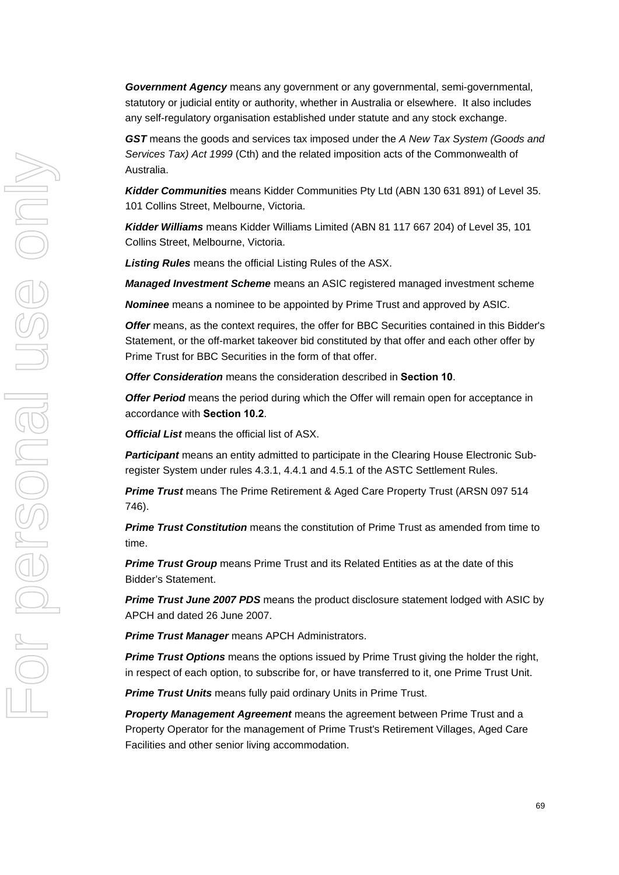*Government Agency* means any government or any governmental, semi-governmental, statutory or judicial entity or authority, whether in Australia or elsewhere. It also includes any self-regulatory organisation established under statute and any stock exchange.

*GST* means the goods and services tax imposed under the *A New Tax System (Goods and Services Tax) Act 1999* (Cth) and the related imposition acts of the Commonwealth of Australia.

*Kidder Communities* means Kidder Communities Pty Ltd (ABN 130 631 891) of Level 35. 101 Collins Street, Melbourne, Victoria.

*Kidder Williams* means Kidder Williams Limited (ABN 81 117 667 204) of Level 35, 101 Collins Street, Melbourne, Victoria.

*Listing Rules* means the official Listing Rules of the ASX.

*Managed Investment Scheme* means an ASIC registered managed investment scheme

*Nominee* means a nominee to be appointed by Prime Trust and approved by ASIC.

**Offer** means, as the context requires, the offer for BBC Securities contained in this Bidder's Statement, or the off-market takeover bid constituted by that offer and each other offer by Prime Trust for BBC Securities in the form of that offer.

*Offer Consideration* means the consideration described in **Section [10](#page-50-0)**.

*Offer Period* means the period during which the Offer will remain open for acceptance in accordance with **Section [10.2](#page-51-0)**.

*Official List* means the official list of ASX.

*Participant* means an entity admitted to participate in the Clearing House Electronic Subregister System under rules 4.3.1, 4.4.1 and 4.5.1 of the ASTC Settlement Rules.

*Prime Trust* means The Prime Retirement & Aged Care Property Trust (ARSN 097 514 746).

*Prime Trust Constitution* means the constitution of Prime Trust as amended from time to time.

**Prime Trust Group** means Prime Trust and its Related Entities as at the date of this Bidder's Statement.

*Prime Trust June 2007 PDS* means the product disclosure statement lodged with ASIC by APCH and dated 26 June 2007.

*Prime Trust Manager* means APCH Administrators.

*Prime Trust Options* means the options issued by Prime Trust giving the holder the right, in respect of each option, to subscribe for, or have transferred to it, one Prime Trust Unit.

*Prime Trust Units* means fully paid ordinary Units in Prime Trust.

*Property Management Agreement* means the agreement between Prime Trust and a Property Operator for the management of Prime Trust's Retirement Villages, Aged Care Facilities and other senior living accommodation.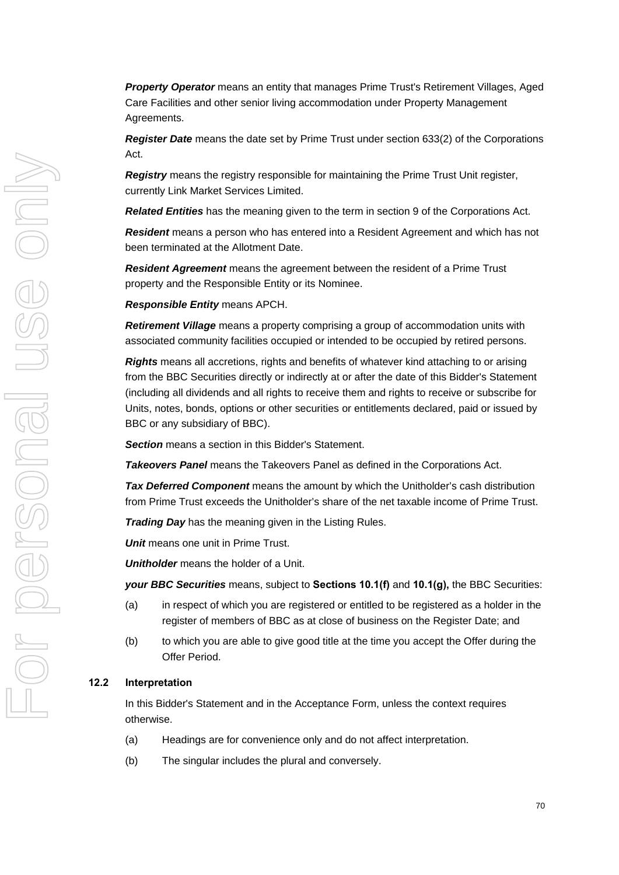*Property Operator* means an entity that manages Prime Trust's Retirement Villages, Aged Care Facilities and other senior living accommodation under Property Management Agreements.

*Register Date* means the date set by Prime Trust under section 633(2) of the Corporations Act.

*Registry* means the registry responsible for maintaining the Prime Trust Unit register, currently Link Market Services Limited.

*Related Entities* has the meaning given to the term in section 9 of the Corporations Act.

*Resident* means a person who has entered into a Resident Agreement and which has not been terminated at the Allotment Date.

*Resident Agreement* means the agreement between the resident of a Prime Trust property and the Responsible Entity or its Nominee.

*Responsible Entity* means APCH.

*Retirement Village* means a property comprising a group of accommodation units with associated community facilities occupied or intended to be occupied by retired persons.

*Rights* means all accretions, rights and benefits of whatever kind attaching to or arising from the BBC Securities directly or indirectly at or after the date of this Bidder's Statement (including all dividends and all rights to receive them and rights to receive or subscribe for Units, notes, bonds, options or other securities or entitlements declared, paid or issued by BBC or any subsidiary of BBC).

*Section* means a section in this Bidder's Statement.

*Takeovers Panel* means the Takeovers Panel as defined in the Corporations Act.

*Tax Deferred Component* means the amount by which the Unitholder's cash distribution from Prime Trust exceeds the Unitholder's share of the net taxable income of Prime Trust.

*Trading Day* has the meaning given in the Listing Rules.

*Unit* means one unit in Prime Trust.

*Unitholder* means the holder of a Unit.

*your BBC Securities* means, subject to **Sections [10.1\(f\)](#page-50-1)** and **[10.1\(g\),](#page-51-1)** the BBC Securities:

- (a) in respect of which you are registered or entitled to be registered as a holder in the register of members of BBC as at close of business on the Register Date; and
- (b) to which you are able to give good title at the time you accept the Offer during the Offer Period.

#### **12.2 Interpretation**

In this Bidder's Statement and in the Acceptance Form, unless the context requires otherwise.

- (a) Headings are for convenience only and do not affect interpretation.
- (b) The singular includes the plural and conversely.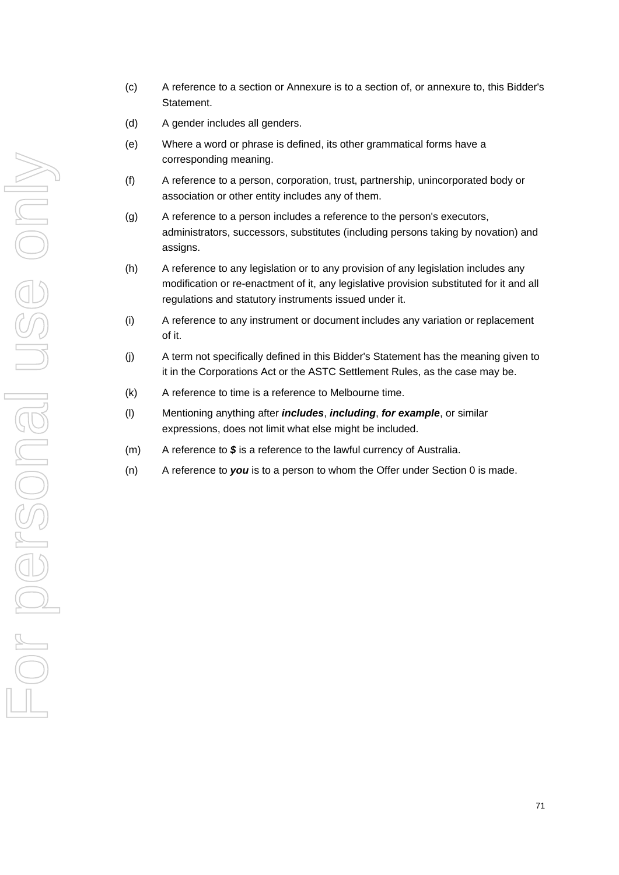- (c) A reference to a section or Annexure is to a section of, or annexure to, this Bidder's Statement.
- (d) A gender includes all genders.
- (e) Where a word or phrase is defined, its other grammatical forms have a corresponding meaning.
- (f) A reference to a person, corporation, trust, partnership, unincorporated body or association or other entity includes any of them.
- (g) A reference to a person includes a reference to the person's executors, administrators, successors, substitutes (including persons taking by novation) and assigns.
- (h) A reference to any legislation or to any provision of any legislation includes any modification or re-enactment of it, any legislative provision substituted for it and all regulations and statutory instruments issued under it.
- (i) A reference to any instrument or document includes any variation or replacement of it.
- (j) A term not specifically defined in this Bidder's Statement has the meaning given to it in the Corporations Act or the ASTC Settlement Rules, as the case may be.
- (k) A reference to time is a reference to Melbourne time.
- (l) Mentioning anything after *includes*, *including*, *for example*, or similar expressions, does not limit what else might be included.
- (m) A reference to *\$* is a reference to the lawful currency of Australia.
- (n) A reference to *you* is to a person to whom the Offer under Section [0](#page-50-1) is made.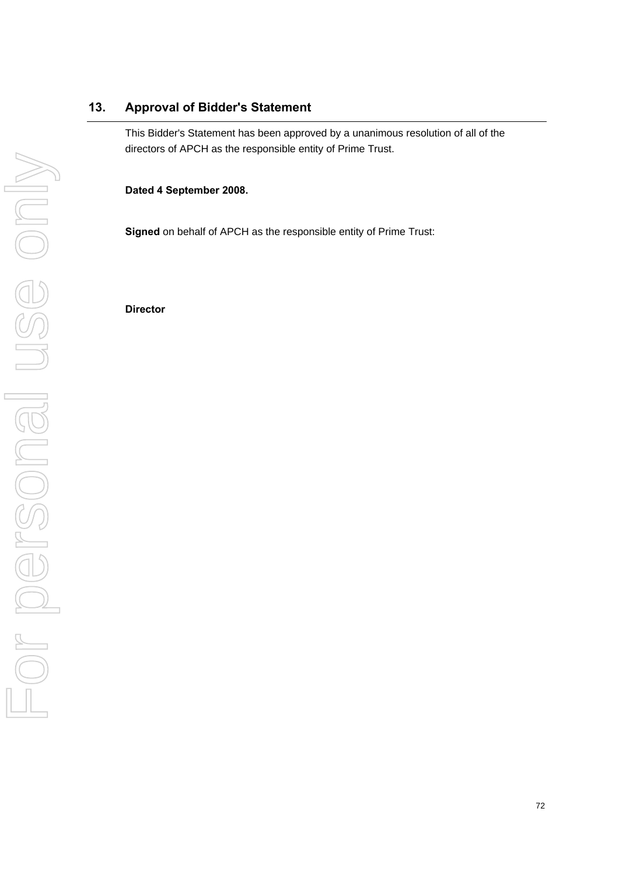# **13. Approval of Bidder's Statement**

This Bidder's Statement has been approved by a unanimous resolution of all of the directors of APCH as the responsible entity of Prime Trust.

**Dated 4 September 2008.** 

**Signed** on behalf of APCH as the responsible entity of Prime Trust:

**Director**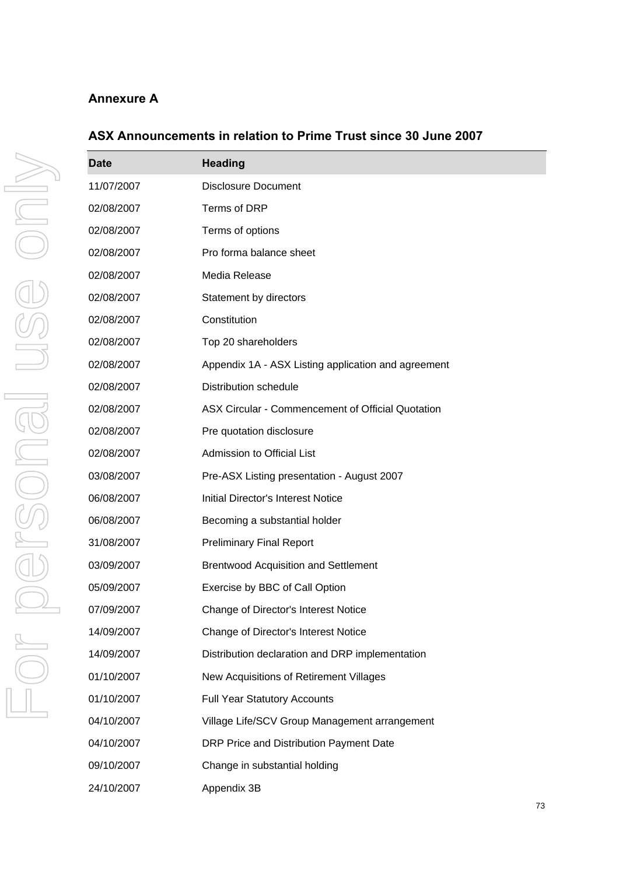# **Annexure A**

| <b>Date</b> | <b>Heading</b>                                      |
|-------------|-----------------------------------------------------|
| 11/07/2007  | <b>Disclosure Document</b>                          |
| 02/08/2007  | Terms of DRP                                        |
| 02/08/2007  | Terms of options                                    |
| 02/08/2007  | Pro forma balance sheet                             |
| 02/08/2007  | Media Release                                       |
| 02/08/2007  | Statement by directors                              |
| 02/08/2007  | Constitution                                        |
| 02/08/2007  | Top 20 shareholders                                 |
| 02/08/2007  | Appendix 1A - ASX Listing application and agreement |
| 02/08/2007  | <b>Distribution schedule</b>                        |
| 02/08/2007  | ASX Circular - Commencement of Official Quotation   |
| 02/08/2007  | Pre quotation disclosure                            |
| 02/08/2007  | Admission to Official List                          |
| 03/08/2007  | Pre-ASX Listing presentation - August 2007          |
| 06/08/2007  | <b>Initial Director's Interest Notice</b>           |
| 06/08/2007  | Becoming a substantial holder                       |
| 31/08/2007  | <b>Preliminary Final Report</b>                     |
| 03/09/2007  | <b>Brentwood Acquisition and Settlement</b>         |
| 05/09/2007  | Exercise by BBC of Call Option                      |
| 07/09/2007  | Change of Director's Interest Notice                |
| 14/09/2007  | Change of Director's Interest Notice                |
| 14/09/2007  | Distribution declaration and DRP implementation     |
| 01/10/2007  | New Acquisitions of Retirement Villages             |
| 01/10/2007  | <b>Full Year Statutory Accounts</b>                 |
| 04/10/2007  | Village Life/SCV Group Management arrangement       |
| 04/10/2007  | DRP Price and Distribution Payment Date             |
| 09/10/2007  | Change in substantial holding                       |
| 24/10/2007  | Appendix 3B                                         |

# **ASX Announcements in relation to Prime Trust since 30 June 2007**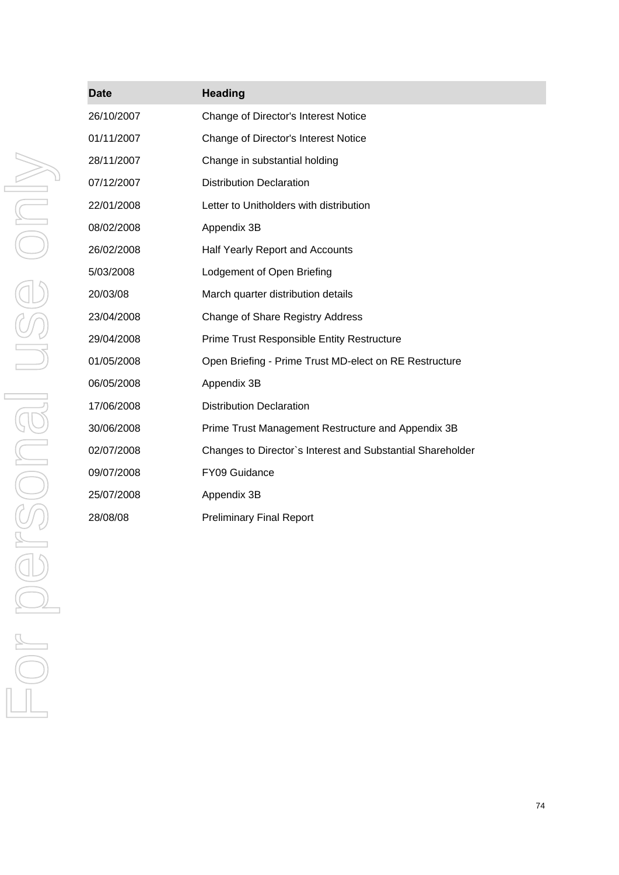| <b>Date</b> | <b>Heading</b>                                             |
|-------------|------------------------------------------------------------|
| 26/10/2007  | Change of Director's Interest Notice                       |
| 01/11/2007  | Change of Director's Interest Notice                       |
| 28/11/2007  | Change in substantial holding                              |
| 07/12/2007  | <b>Distribution Declaration</b>                            |
| 22/01/2008  | Letter to Unitholders with distribution                    |
| 08/02/2008  | Appendix 3B                                                |
| 26/02/2008  | Half Yearly Report and Accounts                            |
| 5/03/2008   | Lodgement of Open Briefing                                 |
| 20/03/08    | March quarter distribution details                         |
| 23/04/2008  | Change of Share Registry Address                           |
| 29/04/2008  | Prime Trust Responsible Entity Restructure                 |
| 01/05/2008  | Open Briefing - Prime Trust MD-elect on RE Restructure     |
| 06/05/2008  | Appendix 3B                                                |
| 17/06/2008  | <b>Distribution Declaration</b>                            |
| 30/06/2008  | Prime Trust Management Restructure and Appendix 3B         |
| 02/07/2008  | Changes to Director's Interest and Substantial Shareholder |
| 09/07/2008  | FY09 Guidance                                              |
| 25/07/2008  | Appendix 3B                                                |
| 28/08/08    | <b>Preliminary Final Report</b>                            |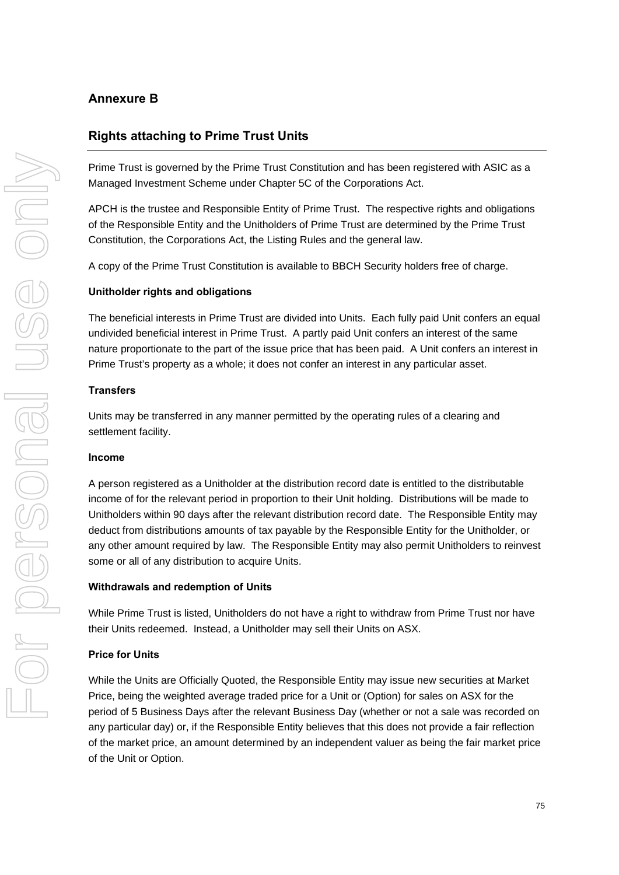## **Annexure B**

## **Rights attaching to Prime Trust Units**

Prime Trust is governed by the Prime Trust Constitution and has been registered with ASIC as a Managed Investment Scheme under Chapter 5C of the Corporations Act.

APCH is the trustee and Responsible Entity of Prime Trust. The respective rights and obligations of the Responsible Entity and the Unitholders of Prime Trust are determined by the Prime Trust Constitution, the Corporations Act, the Listing Rules and the general law.

A copy of the Prime Trust Constitution is available to BBCH Security holders free of charge.

#### **Unitholder rights and obligations**

The beneficial interests in Prime Trust are divided into Units. Each fully paid Unit confers an equal undivided beneficial interest in Prime Trust. A partly paid Unit confers an interest of the same nature proportionate to the part of the issue price that has been paid. A Unit confers an interest in Prime Trust's property as a whole; it does not confer an interest in any particular asset.

#### **Transfers**

Units may be transferred in any manner permitted by the operating rules of a clearing and settlement facility.

#### **Income**

A person registered as a Unitholder at the distribution record date is entitled to the distributable income of for the relevant period in proportion to their Unit holding. Distributions will be made to Unitholders within 90 days after the relevant distribution record date. The Responsible Entity may deduct from distributions amounts of tax payable by the Responsible Entity for the Unitholder, or any other amount required by law. The Responsible Entity may also permit Unitholders to reinvest some or all of any distribution to acquire Units.

#### **Withdrawals and redemption of Units**

While Prime Trust is listed, Unitholders do not have a right to withdraw from Prime Trust nor have their Units redeemed. Instead, a Unitholder may sell their Units on ASX.

#### **Price for Units**

While the Units are Officially Quoted, the Responsible Entity may issue new securities at Market Price, being the weighted average traded price for a Unit or (Option) for sales on ASX for the period of 5 Business Days after the relevant Business Day (whether or not a sale was recorded on any particular day) or, if the Responsible Entity believes that this does not provide a fair reflection of the market price, an amount determined by an independent valuer as being the fair market price of the Unit or Option.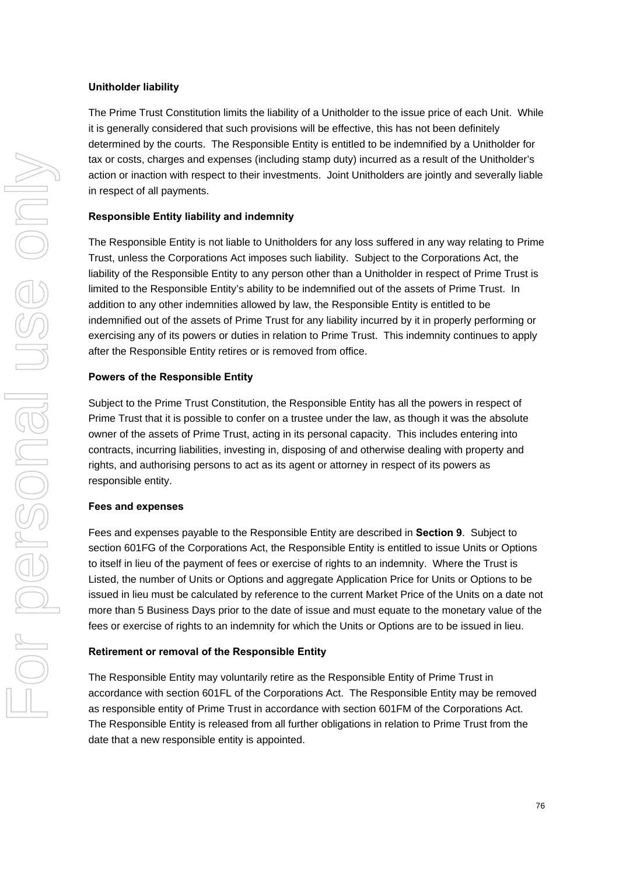#### **Unitholder liability**

The Prime Trust Constitution limits the liability of a Unitholder to the issue price of each Unit. While it is generally considered that such provisions will be effective, this has not been definitely determined by the courts. The Responsible Entity is entitled to be indemnified by a Unitholder for tax or costs, charges and expenses (including stamp duty) incurred as a result of the Unitholder's action or inaction with respect to their investments. Joint Unitholders are jointly and severally liable in respect of all payments.

## **Responsible Entity liability and indemnity**

The Responsible Entity is not liable to Unitholders for any loss suffered in any way relating to Prime Trust, unless the Corporations Act imposes such liability. Subject to the Corporations Act, the liability of the Responsible Entity to any person other than a Unitholder in respect of Prime Trust is limited to the Responsible Entity's ability to be indemnified out of the assets of Prime Trust. In addition to any other indemnities allowed by law, the Responsible Entity is entitled to be indemnified out of the assets of Prime Trust for any liability incurred by it in properly performing or exercising any of its powers or duties in relation to Prime Trust. This indemnity continues to apply after the Responsible Entity retires or is removed from office.

## **Powers of the Responsible Entity**

Subject to the Prime Trust Constitution, the Responsible Entity has all the powers in respect of Prime Trust that it is possible to confer on a trustee under the law, as though it was the absolute owner of the assets of Prime Trust, acting in its personal capacity. This includes entering into contracts, incurring liabilities, investing in, disposing of and otherwise dealing with property and rights, and authorising persons to act as its agent or attorney in respect of its powers as responsible entity.

## **Fees and expenses**

Fees and expenses payable to the Responsible Entity are described in **Section 9**. Subject to section 601FG of the Corporations Act, the Responsible Entity is entitled to issue Units or Options to itself in lieu of the payment of fees or exercise of rights to an indemnity. Where the Trust is Listed, the number of Units or Options and aggregate Application Price for Units or Options to be issued in lieu must be calculated by reference to the current Market Price of the Units on a date not more than 5 Business Days prior to the date of issue and must equate to the monetary value of the fees or exercise of rights to an indemnity for which the Units or Options are to be issued in lieu.

## **Retirement or removal of the Responsible Entity**

The Responsible Entity may voluntarily retire as the Responsible Entity of Prime Trust in accordance with section 601FL of the Corporations Act. The Responsible Entity may be removed as responsible entity of Prime Trust in accordance with section 601FM of the Corporations Act. The Responsible Entity is released from all further obligations in relation to Prime Trust from the date that a new responsible entity is appointed.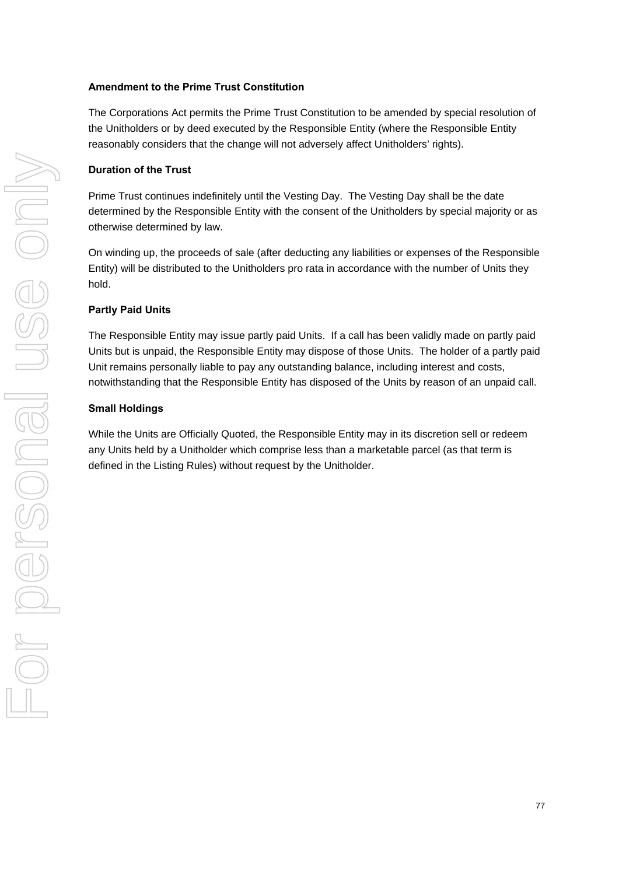## **Amendment to the Prime Trust Constitution**

The Corporations Act permits the Prime Trust Constitution to be amended by special resolution of the Unitholders or by deed executed by the Responsible Entity (where the Responsible Entity reasonably considers that the change will not adversely affect Unitholders' rights).

## **Duration of the Trust**

Prime Trust continues indefinitely until the Vesting Day. The Vesting Day shall be the date determined by the Responsible Entity with the consent of the Unitholders by special majority or as otherwise determined by law.

On winding up, the proceeds of sale (after deducting any liabilities or expenses of the Responsible Entity) will be distributed to the Unitholders pro rata in accordance with the number of Units they hold.

## **Partly Paid Units**

The Responsible Entity may issue partly paid Units. If a call has been validly made on partly paid Units but is unpaid, the Responsible Entity may dispose of those Units. The holder of a partly paid Unit remains personally liable to pay any outstanding balance, including interest and costs, notwithstanding that the Responsible Entity has disposed of the Units by reason of an unpaid call.

## **Small Holdings**

While the Units are Officially Quoted, the Responsible Entity may in its discretion sell or redeem any Units held by a Unitholder which comprise less than a marketable parcel (as that term is defined in the Listing Rules) without request by the Unitholder.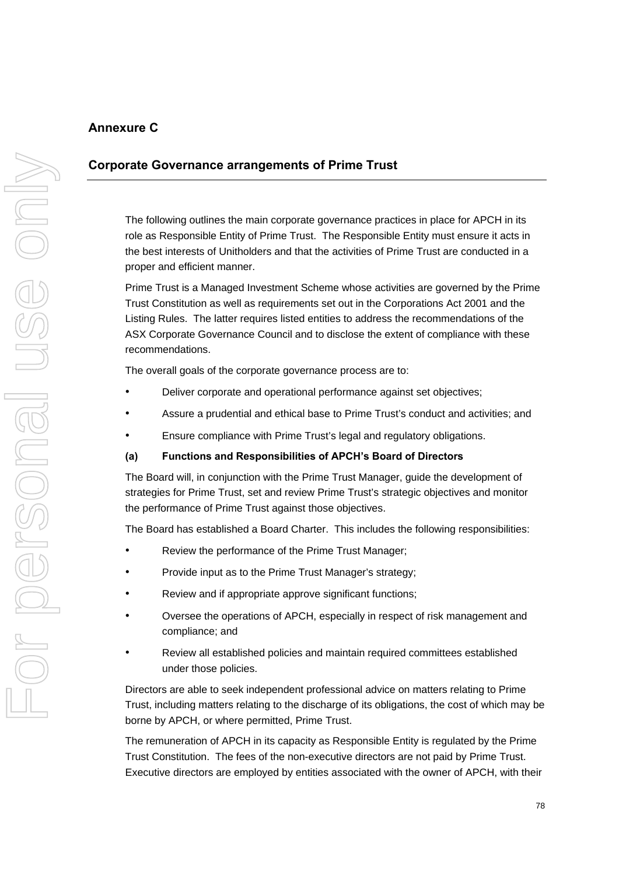# **Annexure C**

## **Corporate Governance arrangements of Prime Trust**

The following outlines the main corporate governance practices in place for APCH in its role as Responsible Entity of Prime Trust. The Responsible Entity must ensure it acts in the best interests of Unitholders and that the activities of Prime Trust are conducted in a proper and efficient manner.

Prime Trust is a Managed Investment Scheme whose activities are governed by the Prime Trust Constitution as well as requirements set out in the Corporations Act 2001 and the Listing Rules. The latter requires listed entities to address the recommendations of the ASX Corporate Governance Council and to disclose the extent of compliance with these recommendations.

The overall goals of the corporate governance process are to:

- Deliver corporate and operational performance against set objectives;
- Assure a prudential and ethical base to Prime Trust's conduct and activities; and
- Ensure compliance with Prime Trust's legal and regulatory obligations.

## **(a) Functions and Responsibilities of APCH's Board of Directors**

The Board will, in conjunction with the Prime Trust Manager, guide the development of strategies for Prime Trust, set and review Prime Trust's strategic objectives and monitor the performance of Prime Trust against those objectives.

The Board has established a Board Charter. This includes the following responsibilities:

- Review the performance of the Prime Trust Manager;
- Provide input as to the Prime Trust Manager's strategy;
- Review and if appropriate approve significant functions;
- Oversee the operations of APCH, especially in respect of risk management and compliance; and
- Review all established policies and maintain required committees established under those policies.

Directors are able to seek independent professional advice on matters relating to Prime Trust, including matters relating to the discharge of its obligations, the cost of which may be borne by APCH, or where permitted, Prime Trust.

The remuneration of APCH in its capacity as Responsible Entity is regulated by the Prime Trust Constitution. The fees of the non-executive directors are not paid by Prime Trust. Executive directors are employed by entities associated with the owner of APCH, with their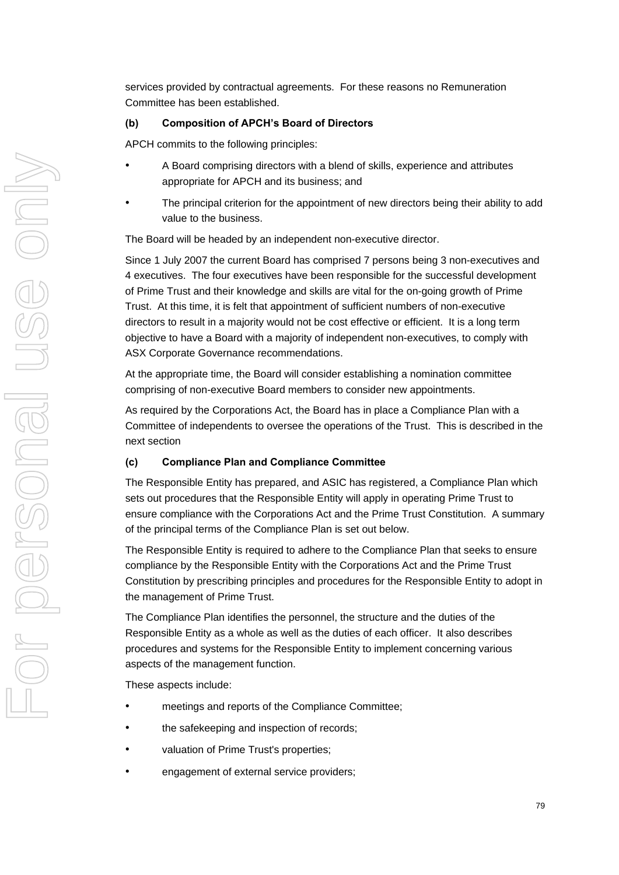services provided by contractual agreements. For these reasons no Remuneration Committee has been established.

## **(b) Composition of APCH's Board of Directors**

APCH commits to the following principles:

- A Board comprising directors with a blend of skills, experience and attributes appropriate for APCH and its business; and
- The principal criterion for the appointment of new directors being their ability to add value to the business.

The Board will be headed by an independent non-executive director.

Since 1 July 2007 the current Board has comprised 7 persons being 3 non-executives and 4 executives. The four executives have been responsible for the successful development of Prime Trust and their knowledge and skills are vital for the on-going growth of Prime Trust. At this time, it is felt that appointment of sufficient numbers of non-executive directors to result in a majority would not be cost effective or efficient. It is a long term objective to have a Board with a majority of independent non-executives, to comply with ASX Corporate Governance recommendations.

At the appropriate time, the Board will consider establishing a nomination committee comprising of non-executive Board members to consider new appointments.

As required by the Corporations Act, the Board has in place a Compliance Plan with a Committee of independents to oversee the operations of the Trust. This is described in the next section

## **(c) Compliance Plan and Compliance Committee**

The Responsible Entity has prepared, and ASIC has registered, a Compliance Plan which sets out procedures that the Responsible Entity will apply in operating Prime Trust to ensure compliance with the Corporations Act and the Prime Trust Constitution. A summary of the principal terms of the Compliance Plan is set out below.

The Responsible Entity is required to adhere to the Compliance Plan that seeks to ensure compliance by the Responsible Entity with the Corporations Act and the Prime Trust Constitution by prescribing principles and procedures for the Responsible Entity to adopt in the management of Prime Trust.

The Compliance Plan identifies the personnel, the structure and the duties of the Responsible Entity as a whole as well as the duties of each officer. It also describes procedures and systems for the Responsible Entity to implement concerning various aspects of the management function.

These aspects include:

- meetings and reports of the Compliance Committee;
- the safekeeping and inspection of records;
- valuation of Prime Trust's properties;
- engagement of external service providers;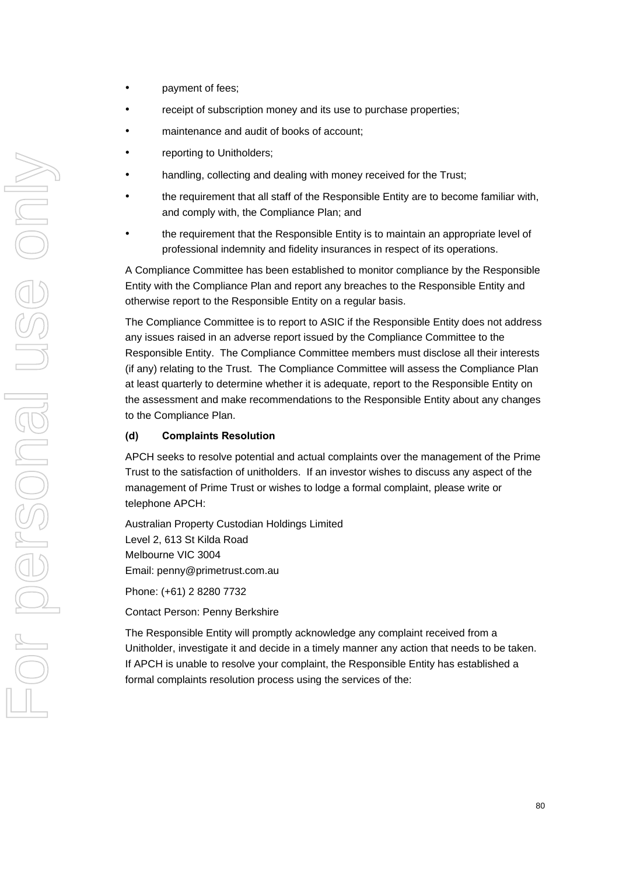- payment of fees;
- receipt of subscription money and its use to purchase properties;
- maintenance and audit of books of account;
- reporting to Unitholders;
- handling, collecting and dealing with money received for the Trust;
- the requirement that all staff of the Responsible Entity are to become familiar with, and comply with, the Compliance Plan; and
- the requirement that the Responsible Entity is to maintain an appropriate level of professional indemnity and fidelity insurances in respect of its operations.

A Compliance Committee has been established to monitor compliance by the Responsible Entity with the Compliance Plan and report any breaches to the Responsible Entity and otherwise report to the Responsible Entity on a regular basis.

The Compliance Committee is to report to ASIC if the Responsible Entity does not address any issues raised in an adverse report issued by the Compliance Committee to the Responsible Entity. The Compliance Committee members must disclose all their interests (if any) relating to the Trust. The Compliance Committee will assess the Compliance Plan at least quarterly to determine whether it is adequate, report to the Responsible Entity on the assessment and make recommendations to the Responsible Entity about any changes to the Compliance Plan.

#### **(d) Complaints Resolution**

APCH seeks to resolve potential and actual complaints over the management of the Prime Trust to the satisfaction of unitholders. If an investor wishes to discuss any aspect of the management of Prime Trust or wishes to lodge a formal complaint, please write or telephone APCH:

Australian Property Custodian Holdings Limited Level 2, 613 St Kilda Road Melbourne VIC 3004 Email: penny@primetrust.com.au

Phone: (+61) 2 8280 7732

Contact Person: Penny Berkshire

The Responsible Entity will promptly acknowledge any complaint received from a Unitholder, investigate it and decide in a timely manner any action that needs to be taken. If APCH is unable to resolve your complaint, the Responsible Entity has established a formal complaints resolution process using the services of the: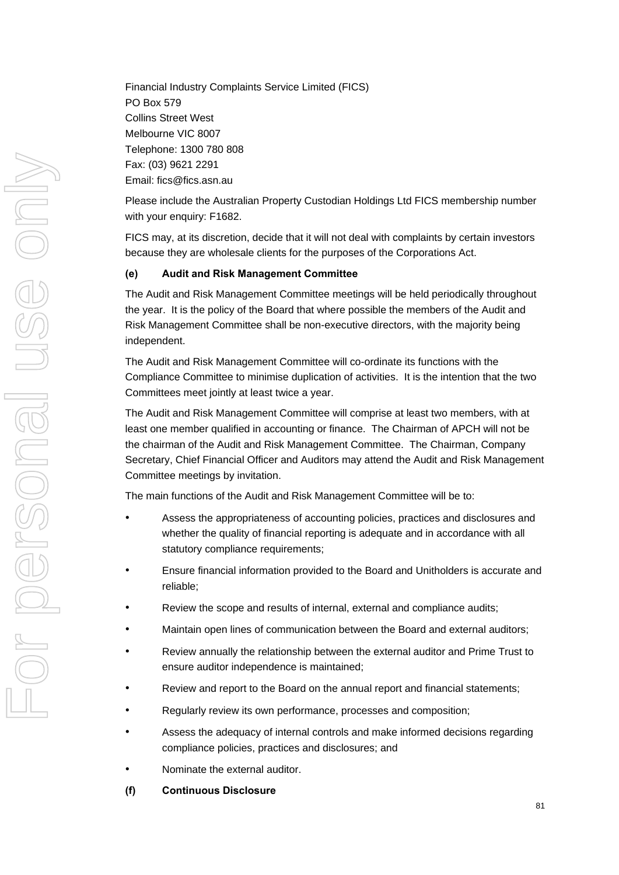Financial Industry Complaints Service Limited (FICS) PO Box 579 Collins Street West Melbourne VIC 8007 Telephone: 1300 780 808 Fax: (03) 9621 2291 Email: fics@fics.asn.au

Please include the Australian Property Custodian Holdings Ltd FICS membership number with your enquiry: F1682.

FICS may, at its discretion, decide that it will not deal with complaints by certain investors because they are wholesale clients for the purposes of the Corporations Act.

## **(e) Audit and Risk Management Committee**

The Audit and Risk Management Committee meetings will be held periodically throughout the year. It is the policy of the Board that where possible the members of the Audit and Risk Management Committee shall be non-executive directors, with the majority being independent.

The Audit and Risk Management Committee will co-ordinate its functions with the Compliance Committee to minimise duplication of activities. It is the intention that the two Committees meet jointly at least twice a year.

The Audit and Risk Management Committee will comprise at least two members, with at least one member qualified in accounting or finance. The Chairman of APCH will not be the chairman of the Audit and Risk Management Committee. The Chairman, Company Secretary, Chief Financial Officer and Auditors may attend the Audit and Risk Management Committee meetings by invitation.

The main functions of the Audit and Risk Management Committee will be to:

- Assess the appropriateness of accounting policies, practices and disclosures and whether the quality of financial reporting is adequate and in accordance with all statutory compliance requirements;
- Ensure financial information provided to the Board and Unitholders is accurate and reliable;
- Review the scope and results of internal, external and compliance audits;
- Maintain open lines of communication between the Board and external auditors;
- Review annually the relationship between the external auditor and Prime Trust to ensure auditor independence is maintained;
- Review and report to the Board on the annual report and financial statements;
- Regularly review its own performance, processes and composition;
- Assess the adequacy of internal controls and make informed decisions regarding compliance policies, practices and disclosures; and
- Nominate the external auditor.
- **(f) Continuous Disclosure**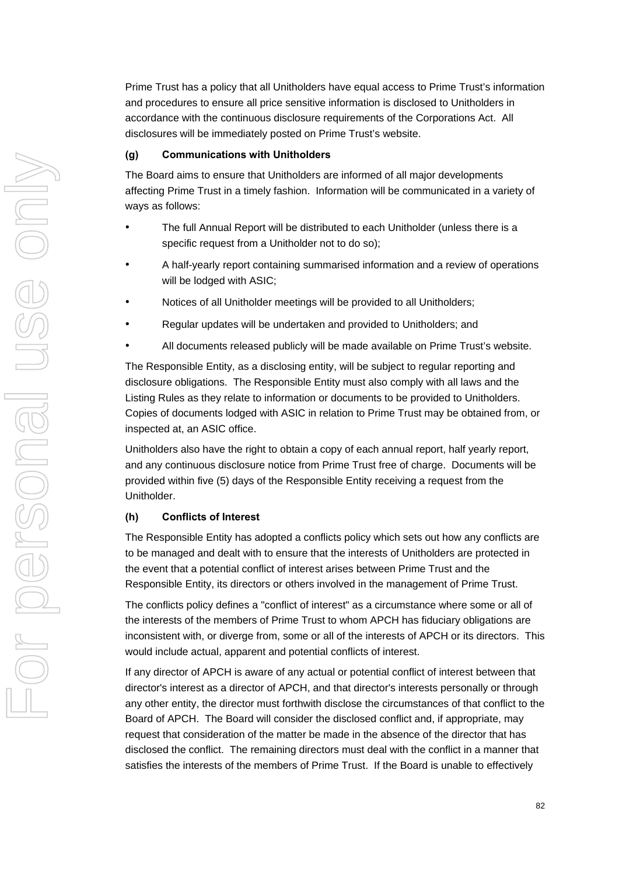Prime Trust has a policy that all Unitholders have equal access to Prime Trust's information and procedures to ensure all price sensitive information is disclosed to Unitholders in accordance with the continuous disclosure requirements of the Corporations Act. All disclosures will be immediately posted on Prime Trust's website.

## **(g) Communications with Unitholders**

The Board aims to ensure that Unitholders are informed of all major developments affecting Prime Trust in a timely fashion. Information will be communicated in a variety of ways as follows:

- The full Annual Report will be distributed to each Unitholder (unless there is a specific request from a Unitholder not to do so);
- A half-yearly report containing summarised information and a review of operations will be lodged with ASIC;
- Notices of all Unitholder meetings will be provided to all Unitholders;
- Regular updates will be undertaken and provided to Unitholders; and
- All documents released publicly will be made available on Prime Trust's website.

The Responsible Entity, as a disclosing entity, will be subject to regular reporting and disclosure obligations. The Responsible Entity must also comply with all laws and the Listing Rules as they relate to information or documents to be provided to Unitholders. Copies of documents lodged with ASIC in relation to Prime Trust may be obtained from, or inspected at, an ASIC office.

Unitholders also have the right to obtain a copy of each annual report, half yearly report, and any continuous disclosure notice from Prime Trust free of charge. Documents will be provided within five (5) days of the Responsible Entity receiving a request from the Unitholder.

## **(h) Conflicts of Interest**

The Responsible Entity has adopted a conflicts policy which sets out how any conflicts are to be managed and dealt with to ensure that the interests of Unitholders are protected in the event that a potential conflict of interest arises between Prime Trust and the Responsible Entity, its directors or others involved in the management of Prime Trust.

The conflicts policy defines a "conflict of interest" as a circumstance where some or all of the interests of the members of Prime Trust to whom APCH has fiduciary obligations are inconsistent with, or diverge from, some or all of the interests of APCH or its directors. This would include actual, apparent and potential conflicts of interest.

If any director of APCH is aware of any actual or potential conflict of interest between that director's interest as a director of APCH, and that director's interests personally or through any other entity, the director must forthwith disclose the circumstances of that conflict to the Board of APCH. The Board will consider the disclosed conflict and, if appropriate, may request that consideration of the matter be made in the absence of the director that has disclosed the conflict. The remaining directors must deal with the conflict in a manner that satisfies the interests of the members of Prime Trust. If the Board is unable to effectively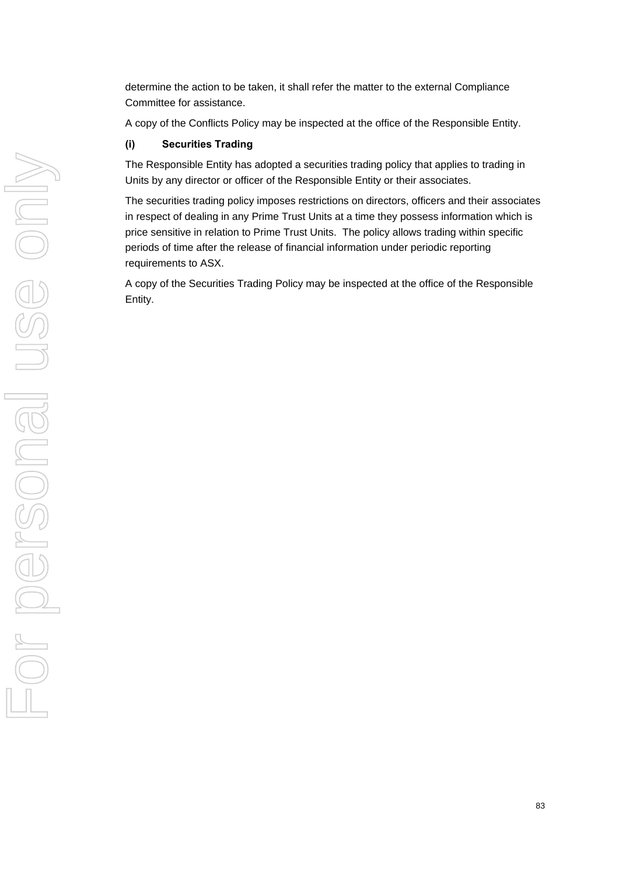determine the action to be taken, it shall refer the matter to the external Compliance Committee for assistance.

A copy of the Conflicts Policy may be inspected at the office of the Responsible Entity.

## **(i) Securities Trading**

The Responsible Entity has adopted a securities trading policy that applies to trading in Units by any director or officer of the Responsible Entity or their associates.

The securities trading policy imposes restrictions on directors, officers and their associates in respect of dealing in any Prime Trust Units at a time they possess information which is price sensitive in relation to Prime Trust Units. The policy allows trading within specific periods of time after the release of financial information under periodic reporting requirements to ASX.

A copy of the Securities Trading Policy may be inspected at the office of the Responsible Entity.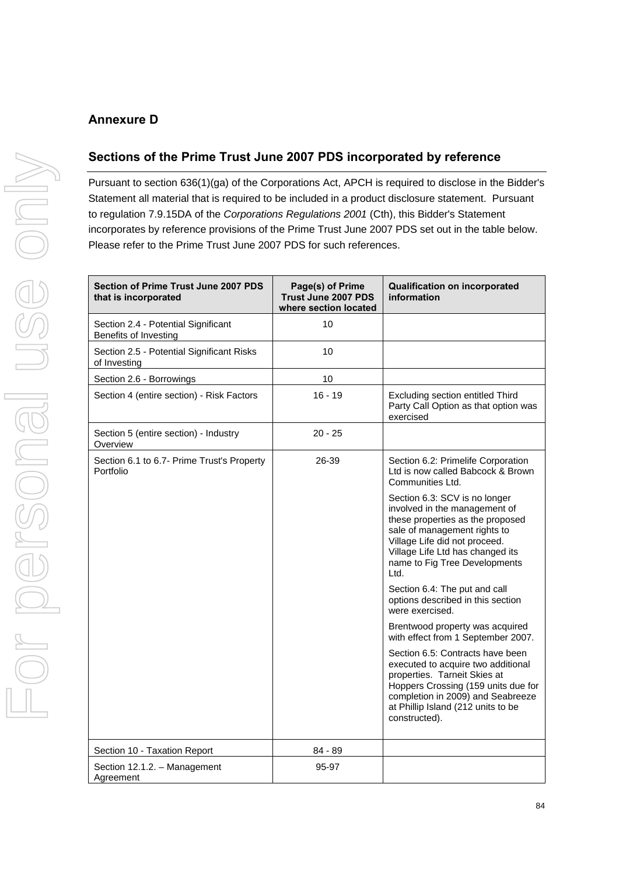# **Annexure D**

## **Sections of the Prime Trust June 2007 PDS incorporated by reference**

Pursuant to section 636(1)(ga) of the Corporations Act, APCH is required to disclose in the Bidder's Statement all material that is required to be included in a product disclosure statement. Pursuant to regulation 7.9.15DA of the *Corporations Regulations 2001* (Cth), this Bidder's Statement incorporates by reference provisions of the Prime Trust June 2007 PDS set out in the table below. Please refer to the Prime Trust June 2007 PDS for such references.

| <b>Section of Prime Trust June 2007 PDS</b><br>that is incorporated | Page(s) of Prime<br><b>Trust June 2007 PDS</b><br>where section located | <b>Qualification on incorporated</b><br>information                                                                                                                                                                                              |
|---------------------------------------------------------------------|-------------------------------------------------------------------------|--------------------------------------------------------------------------------------------------------------------------------------------------------------------------------------------------------------------------------------------------|
| Section 2.4 - Potential Significant<br>Benefits of Investing        | 10                                                                      |                                                                                                                                                                                                                                                  |
| Section 2.5 - Potential Significant Risks<br>of Investing           | 10                                                                      |                                                                                                                                                                                                                                                  |
| Section 2.6 - Borrowings                                            | 10                                                                      |                                                                                                                                                                                                                                                  |
| Section 4 (entire section) - Risk Factors                           | $16 - 19$                                                               | Excluding section entitled Third<br>Party Call Option as that option was<br>exercised                                                                                                                                                            |
| Section 5 (entire section) - Industry<br>Overview                   | $20 - 25$                                                               |                                                                                                                                                                                                                                                  |
| Section 6.1 to 6.7- Prime Trust's Property<br>Portfolio             | 26-39                                                                   | Section 6.2: Primelife Corporation<br>Ltd is now called Babcock & Brown<br>Communities Ltd.                                                                                                                                                      |
|                                                                     |                                                                         | Section 6.3: SCV is no longer<br>involved in the management of<br>these properties as the proposed<br>sale of management rights to<br>Village Life did not proceed.<br>Village Life Ltd has changed its<br>name to Fig Tree Developments<br>Ltd. |
|                                                                     |                                                                         | Section 6.4: The put and call<br>options described in this section<br>were exercised.                                                                                                                                                            |
|                                                                     |                                                                         | Brentwood property was acquired<br>with effect from 1 September 2007.                                                                                                                                                                            |
|                                                                     |                                                                         | Section 6.5: Contracts have been<br>executed to acquire two additional<br>properties. Tarneit Skies at<br>Hoppers Crossing (159 units due for<br>completion in 2009) and Seabreeze<br>at Phillip Island (212 units to be<br>constructed).        |
| Section 10 - Taxation Report                                        | 84 - 89                                                                 |                                                                                                                                                                                                                                                  |
| Section 12.1.2. - Management<br>Agreement                           | 95-97                                                                   |                                                                                                                                                                                                                                                  |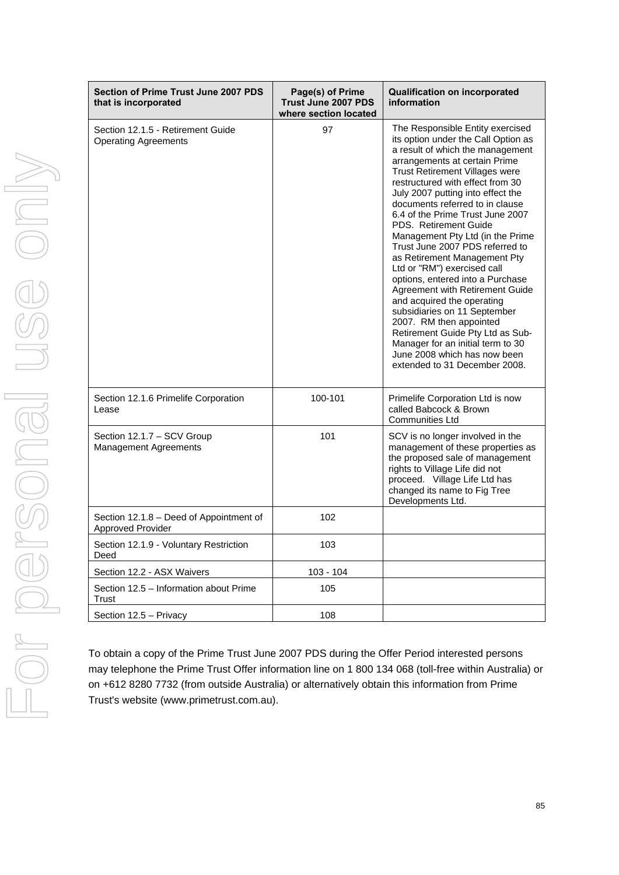| <b>Section of Prime Trust June 2007 PDS</b><br>that is incorporated | Page(s) of Prime<br><b>Trust June 2007 PDS</b><br>where section located | <b>Qualification on incorporated</b><br>information                                                                                                                                                                                                                                                                                                                                                                                                                                                                                                                                                                                                                                                                                                                                                            |
|---------------------------------------------------------------------|-------------------------------------------------------------------------|----------------------------------------------------------------------------------------------------------------------------------------------------------------------------------------------------------------------------------------------------------------------------------------------------------------------------------------------------------------------------------------------------------------------------------------------------------------------------------------------------------------------------------------------------------------------------------------------------------------------------------------------------------------------------------------------------------------------------------------------------------------------------------------------------------------|
| Section 12.1.5 - Retirement Guide<br><b>Operating Agreements</b>    | 97                                                                      | The Responsible Entity exercised<br>its option under the Call Option as<br>a result of which the management<br>arrangements at certain Prime<br><b>Trust Retirement Villages were</b><br>restructured with effect from 30<br>July 2007 putting into effect the<br>documents referred to in clause<br>6.4 of the Prime Trust June 2007<br>PDS. Retirement Guide<br>Management Pty Ltd (in the Prime<br>Trust June 2007 PDS referred to<br>as Retirement Management Pty<br>Ltd or "RM") exercised call<br>options, entered into a Purchase<br>Agreement with Retirement Guide<br>and acquired the operating<br>subsidiaries on 11 September<br>2007. RM then appointed<br>Retirement Guide Pty Ltd as Sub-<br>Manager for an initial term to 30<br>June 2008 which has now been<br>extended to 31 December 2008. |
| Section 12.1.6 Primelife Corporation<br>Lease                       | 100-101                                                                 | Primelife Corporation Ltd is now<br>called Babcock & Brown<br><b>Communities Ltd</b>                                                                                                                                                                                                                                                                                                                                                                                                                                                                                                                                                                                                                                                                                                                           |
| Section 12.1.7 - SCV Group<br><b>Management Agreements</b>          | 101                                                                     | SCV is no longer involved in the<br>management of these properties as<br>the proposed sale of management<br>rights to Village Life did not<br>proceed. Village Life Ltd has<br>changed its name to Fig Tree<br>Developments Ltd.                                                                                                                                                                                                                                                                                                                                                                                                                                                                                                                                                                               |
| Section 12.1.8 - Deed of Appointment of<br><b>Approved Provider</b> | 102                                                                     |                                                                                                                                                                                                                                                                                                                                                                                                                                                                                                                                                                                                                                                                                                                                                                                                                |
| Section 12.1.9 - Voluntary Restriction<br>Deed                      | 103                                                                     |                                                                                                                                                                                                                                                                                                                                                                                                                                                                                                                                                                                                                                                                                                                                                                                                                |
| Section 12.2 - ASX Waivers                                          | 103 - 104                                                               |                                                                                                                                                                                                                                                                                                                                                                                                                                                                                                                                                                                                                                                                                                                                                                                                                |
| Section 12.5 - Information about Prime<br>Trust                     | 105                                                                     |                                                                                                                                                                                                                                                                                                                                                                                                                                                                                                                                                                                                                                                                                                                                                                                                                |
| Section 12.5 - Privacy                                              | 108                                                                     |                                                                                                                                                                                                                                                                                                                                                                                                                                                                                                                                                                                                                                                                                                                                                                                                                |

To obtain a copy of the Prime Trust June 2007 PDS during the Offer Period interested persons may telephone the Prime Trust Offer information line on 1 800 134 068 (toll-free within Australia) or on +612 8280 7732 (from outside Australia) or alternatively obtain this information from Prime Trust's website (www.primetrust.com.au).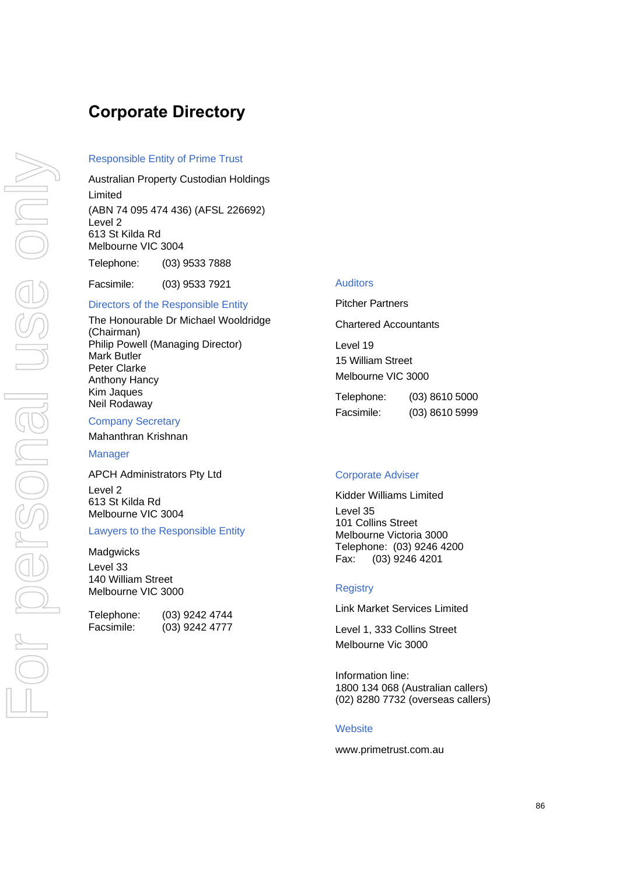# **Corporate Directory**

#### Responsible Entity of Prime Trust

Australian Property Custodian Holdings Limited (ABN 74 095 474 436) (AFSL 226692) Level 2 613 St Kilda Rd Melbourne VIC 3004 Telephone: (03) 9533 7888

Facsimile: (03) 9533 7921

# Directors of the Responsible Entity

The Honourable Dr Michael Wooldridge (Chairman) Philip Powell (Managing Director) Mark Butler Peter Clarke Anthony Hancy Kim Jaques Neil Rodaway

#### Company Secretary

Mahanthran Krishnan

**Manager** 

APCH Administrators Pty Ltd Level 2 613 St Kilda Rd Melbourne VIC 3004

## Lawyers to the Responsible Entity

**Madgwicks** 

Level 33 140 William Street Melbourne VIC 3000

| Telephone: | (03) 9242 4744   |
|------------|------------------|
| Facsimile: | $(03)$ 9242 4777 |

#### Auditors

Pitcher Partners Chartered Accountants Level 19 15 William Street Melbourne VIC 3000

Telephone: (03) 8610 5000 Facsimile: (03) 8610 5999

#### Corporate Adviser

Kidder Williams Limited Level 35 101 Collins Street Melbourne Victoria 3000 Telephone: (03) 9246 4200 Fax: (03) 9246 4201

#### **Registry**

Link Market Services Limited

Level 1, 333 Collins Street Melbourne Vic 3000

Information line: 1800 134 068 (Australian callers) (02) 8280 7732 (overseas callers)

#### **Website**

www.primetrust.com.au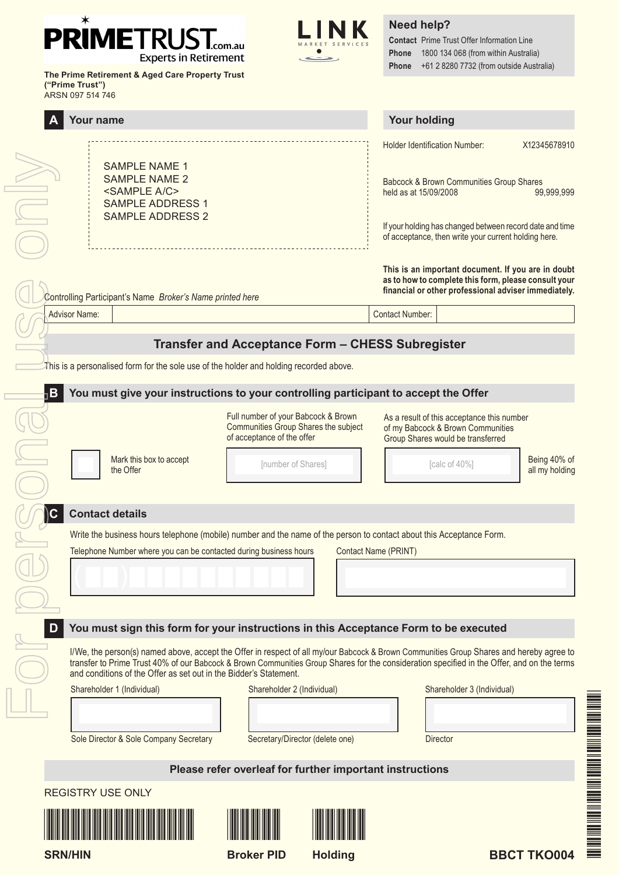### $\ast$ **PRIMETRUS** .com.au **Experts in Retirement**

**The Prime Retirement & Aged Care Property Trust** 

**("Prime Trust")**



**Need help?**

**Contact** Prime Trust Offer Information Line **Phone** 1800 134 068 (from within Australia) **Phone** +61 2 8280 7732 (from outside Australia)

| ARSN 097 514 746                                                                                                                                                                                                                                                                                                                                                                                                                                   |                                                                                                                                                                         |  |  |  |
|----------------------------------------------------------------------------------------------------------------------------------------------------------------------------------------------------------------------------------------------------------------------------------------------------------------------------------------------------------------------------------------------------------------------------------------------------|-------------------------------------------------------------------------------------------------------------------------------------------------------------------------|--|--|--|
| Your name                                                                                                                                                                                                                                                                                                                                                                                                                                          | <b>Your holding</b>                                                                                                                                                     |  |  |  |
| <b>SAMPLE NAME 1</b><br><b>SAMPLE NAME 2</b><br><sample a="" c=""></sample>                                                                                                                                                                                                                                                                                                                                                                        | <b>Holder Identification Number:</b><br>X12345678910<br>Babcock & Brown Communities Group Shares<br>held as at 15/09/2008<br>99,999,999                                 |  |  |  |
| <b>SAMPLE ADDRESS 1</b><br><b>SAMPLE ADDRESS 2</b>                                                                                                                                                                                                                                                                                                                                                                                                 | If your holding has changed between record date and time<br>of acceptance, then write your current holding here.                                                        |  |  |  |
| Controlling Participant's Name Broker's Name printed here                                                                                                                                                                                                                                                                                                                                                                                          | This is an important document. If you are in doubt<br>as to how to complete this form, please consult your<br>financial or other professional adviser immediately.      |  |  |  |
| <b>Advisor Name:</b>                                                                                                                                                                                                                                                                                                                                                                                                                               | <b>Contact Number:</b>                                                                                                                                                  |  |  |  |
| Transfer and Acceptance Form - CHESS Subregister<br>This is a personalised form for the sole use of the holder and holding recorded above.                                                                                                                                                                                                                                                                                                         |                                                                                                                                                                         |  |  |  |
| $\neg$ B<br>You must give your instructions to your controlling participant to accept the Offer                                                                                                                                                                                                                                                                                                                                                    |                                                                                                                                                                         |  |  |  |
| Full number of your Babcock & Brown<br>Communities Group Shares the subject<br>of acceptance of the offer<br>Mark this box to accept<br>[number of Shares]<br>the Offer                                                                                                                                                                                                                                                                            | As a result of this acceptance this number<br>of my Babcock & Brown Communities<br>Group Shares would be transferred<br>Being 40% of<br>[calc of 40%]<br>all my holding |  |  |  |
| <b>Contact details</b><br>Write the business hours telephone (mobile) number and the name of the person to contact about this Acceptance Form.                                                                                                                                                                                                                                                                                                     |                                                                                                                                                                         |  |  |  |
| Telephone Number where you can be contacted during business hours                                                                                                                                                                                                                                                                                                                                                                                  | Contact Name (PRINT)                                                                                                                                                    |  |  |  |
| You must sign this form for your instructions in this Acceptance Form to be executed<br>I/We, the person(s) named above, accept the Offer in respect of all my/our Babcock & Brown Communities Group Shares and hereby agree to<br>transfer to Prime Trust 40% of our Babcock & Brown Communities Group Shares for the consideration specified in the Offer, and on the terms<br>and conditions of the Offer as set out in the Bidder's Statement. |                                                                                                                                                                         |  |  |  |
| Shareholder 1 (Individual)<br>Shareholder 2 (Individual)                                                                                                                                                                                                                                                                                                                                                                                           | Shareholder 3 (Individual)                                                                                                                                              |  |  |  |
| Sole Director & Sole Company Secretary<br>Secretary/Director (delete one)                                                                                                                                                                                                                                                                                                                                                                          | Director                                                                                                                                                                |  |  |  |
| Please refer overleaf for further important instructions                                                                                                                                                                                                                                                                                                                                                                                           |                                                                                                                                                                         |  |  |  |
| <b>REGISTRY USE ONLY</b>                                                                                                                                                                                                                                                                                                                                                                                                                           |                                                                                                                                                                         |  |  |  |
|                                                                                                                                                                                                                                                                                                                                                                                                                                                    |                                                                                                                                                                         |  |  |  |

**SRN/HIN**

**Broker PID**



**BBCT TKO004**

Fabric Theodor Second Second Second Second Second Second Second Second Second Second Second Second Second Second Second Second Second Second Second Second Second Second Second Second Second Second Second Second Second Seco

THE MANUFACTURE OF THE MANUFACTURE OF THE MANUFACTURE OF THE MANUFACTURE OF THE MANUFACTURE OF THE MANUFACTURE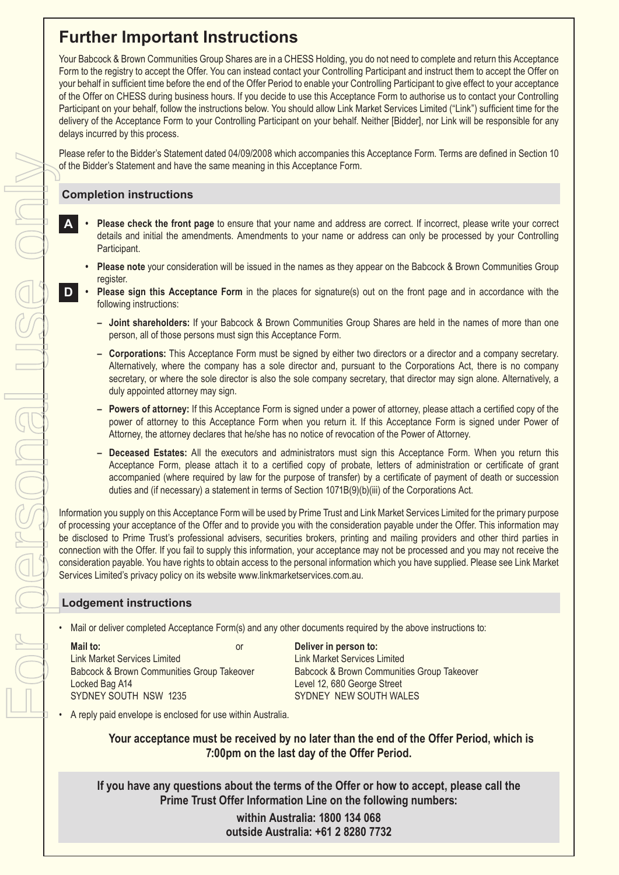# **Further Important Instructions**

Your Babcock & Brown Communities Group Shares are in a CHESS Holding, you do not need to complete and return this Acceptance Form to the registry to accept the Offer. You can instead contact your Controlling Participant and instruct them to accept the Offer on your behalf in sufficient time before the end of the Offer Period to enable your Controlling Participant to give effect to your acceptance of the Offer on CHESS during business hours. If you decide to use this Acceptance Form to authorise us to contact your Controlling Participant on your behalf, follow the instructions below. You should allow Link Market Services Limited ("Link") sufficient time for the delivery of the Acceptance Form to your Controlling Participant on your behalf. Neither [Bidder], nor Link will be responsible for any delays incurred by this process.

Please refer to the Bidder's Statement dated 04/09/2008 which accompanies this Acceptance Form. Terms are defined in Section 10 of the Bidder's Statement and have the same meaning in this Acceptance Form.

## **Completion instructions**

- **A • Please check the front page** to ensure that your name and address are correct. If incorrect, please write your correct details and initial the amendments. Amendments to your name or address can only be processed by your Controlling Participant.
	- **• Please note** your consideration will be issued in the names as they appear on the Babcock & Brown Communities Group register.
- **D • Please sign this Acceptance Form** in the places for signature(s) out on the front page and in accordance with the following instructions:
	- **– Joint shareholders:** If your Babcock & Brown Communities Group Shares are held in the names of more than one person, all of those persons must sign this Acceptance Form.
	- **– Corporations:** This Acceptance Form must be signed by either two directors or a director and a company secretary. Alternatively, where the company has a sole director and, pursuant to the Corporations Act, there is no company secretary, or where the sole director is also the sole company secretary, that director may sign alone. Alternatively, a duly appointed attorney may sign.
	- **– Powers of attorney:** If this Acceptance Form is signed under a power of attorney, please attach a certified copy of the power of attorney to this Acceptance Form when you return it. If this Acceptance Form is signed under Power of Attorney, the attorney declares that he/she has no notice of revocation of the Power of Attorney.
	- **– Deceased Estates:** All the executors and administrators must sign this Acceptance Form. When you return this Acceptance Form, please attach it to a certified copy of probate, letters of administration or certificate of grant accompanied (where required by law for the purpose of transfer) by a certificate of payment of death or succession duties and (if necessary) a statement in terms of Section 1071B(9)(b)(iii) of the Corporations Act.

Information you supply on this Acceptance Form will be used by Prime Trust and Link Market Services Limited for the primary purpose of processing your acceptance of the Offer and to provide you with the consideration payable under the Offer. This information may be disclosed to Prime Trust's professional advisers, securities brokers, printing and mailing providers and other third parties in connection with the Offer. If you fail to supply this information, your acceptance may not be processed and you may not receive the consideration payable. You have rights to obtain access to the personal information which you have supplied. Please see Link Market Services Limited's privacy policy on its website www.linkmarketservices.com.au.

## **Lodgement instructions**

• Mail or deliver completed Acceptance Form(s) and any other documents required by the above instructions to:

| Mail to:                                   | or | Deliver in person to:                      |
|--------------------------------------------|----|--------------------------------------------|
| Link Market Services Limited               |    | Link Market Services Limited               |
| Babcock & Brown Communities Group Takeover |    | Babcock & Brown Communities Group Takeover |
| Locked Bag A14                             |    | Level 12, 680 George Street                |
| SYDNEY SOUTH NSW 1235                      |    | SYDNEY NEW SOUTH WALES                     |

SYDNEY NEW SOUTH WALES

• A reply paid envelope is enclosed for use within Australia.

**Your acceptance must be received by no later than the end of the Offer Period, which is 7:00pm on the last day of the Offer Period.**

**If you have any questions about the terms of the Offer or how to accept, please call the Prime Trust Offer Information Line on the following numbers:**

> **within Australia: 1800 134 068 outside Australia: +61 2 8280 7732**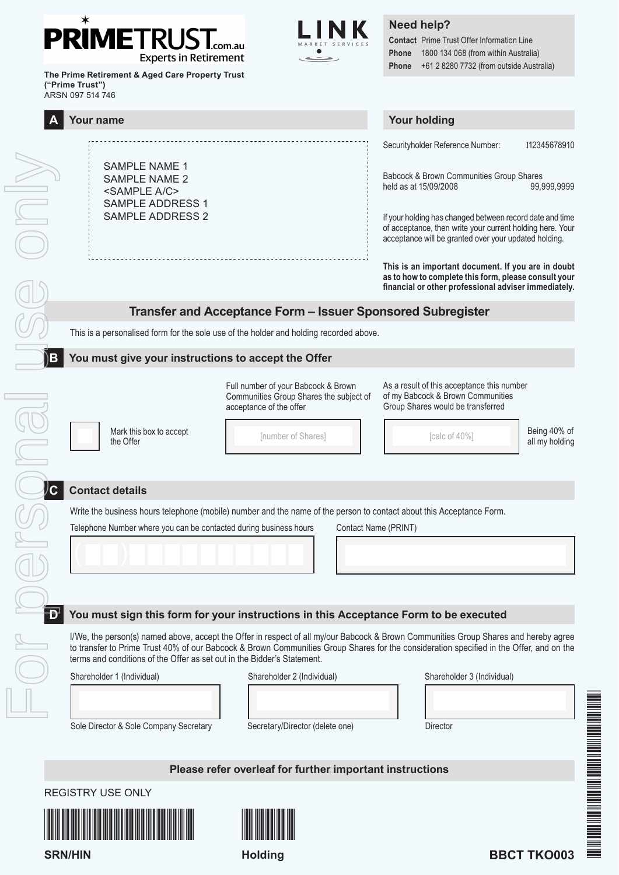#### $\ast$ **PRIMETRUS** .com.au **Experts in Retirement**



# **Need help?**

**Contact** Prime Trust Offer Information Line **Phone** 1800 134 068 (from within Australia) **Phone** +61 2 8280 7732 (from outside Australia)

| The Prime Retirement & Aged Care Property Trust<br>("Prime Trust")<br>ARSN 097 514 746                  |                                                                                                                      |                                                                                                                                                                                                                                                                                 |                                |
|---------------------------------------------------------------------------------------------------------|----------------------------------------------------------------------------------------------------------------------|---------------------------------------------------------------------------------------------------------------------------------------------------------------------------------------------------------------------------------------------------------------------------------|--------------------------------|
| <b>Your name</b>                                                                                        |                                                                                                                      | <b>Your holding</b>                                                                                                                                                                                                                                                             |                                |
| <b>SAMPLE NAME 1</b><br><b>SAMPLE NAME 2</b><br><sample a="" c=""><br/><b>SAMPLE ADDRESS 1</b></sample> |                                                                                                                      | Securityholder Reference Number:<br>Babcock & Brown Communities Group Shares<br>held as at 15/09/2008                                                                                                                                                                           | I12345678910<br>99,999,9999    |
| <b>SAMPLE ADDRESS 2</b>                                                                                 |                                                                                                                      | If your holding has changed between record date and time<br>of acceptance, then write your current holding here. Your<br>acceptance will be granted over your updated holding.                                                                                                  |                                |
|                                                                                                         |                                                                                                                      | This is an important document. If you are in doubt<br>as to how to complete this form, please consult your<br>financial or other professional adviser immediately.                                                                                                              |                                |
|                                                                                                         | Transfer and Acceptance Form - Issuer Sponsored Subregister                                                          |                                                                                                                                                                                                                                                                                 |                                |
|                                                                                                         | This is a personalised form for the sole use of the holder and holding recorded above.                               |                                                                                                                                                                                                                                                                                 |                                |
| You must give your instructions to accept the Offer<br>$\mathbf{B}$                                     |                                                                                                                      |                                                                                                                                                                                                                                                                                 |                                |
|                                                                                                         | Full number of your Babcock & Brown<br>Communities Group Shares the subject of<br>acceptance of the offer            | As a result of this acceptance this number<br>of my Babcock & Brown Communities<br>Group Shares would be transferred                                                                                                                                                            |                                |
| Mark this box to accept<br>the Offer                                                                    | [number of Shares]                                                                                                   | [calc of 40%]                                                                                                                                                                                                                                                                   | Being 40% of<br>all my holding |
| $\mathcal{C}$<br><b>Contact details</b>                                                                 |                                                                                                                      |                                                                                                                                                                                                                                                                                 |                                |
|                                                                                                         | Write the business hours telephone (mobile) number and the name of the person to contact about this Acceptance Form. |                                                                                                                                                                                                                                                                                 |                                |
| Telephone Number where you can be contacted during business hours<br>Contact Name (PRINT)               |                                                                                                                      |                                                                                                                                                                                                                                                                                 |                                |
|                                                                                                         |                                                                                                                      |                                                                                                                                                                                                                                                                                 |                                |
|                                                                                                         |                                                                                                                      |                                                                                                                                                                                                                                                                                 |                                |
| You must sign this form for your instructions in this Acceptance Form to be executed                    |                                                                                                                      |                                                                                                                                                                                                                                                                                 |                                |
| terms and conditions of the Offer as set out in the Bidder's Statement.                                 |                                                                                                                      | I/We, the person(s) named above, accept the Offer in respect of all my/our Babcock & Brown Communities Group Shares and hereby agree<br>to transfer to Prime Trust 40% of our Babcock & Brown Communities Group Shares for the consideration specified in the Offer, and on the |                                |
| Shareholder 1 (Individual)                                                                              | Shareholder 2 (Individual)                                                                                           | Shareholder 3 (Individual)                                                                                                                                                                                                                                                      |                                |
|                                                                                                         |                                                                                                                      |                                                                                                                                                                                                                                                                                 |                                |
| Sole Director & Sole Company Secretary                                                                  | Secretary/Director (delete one)                                                                                      | Director                                                                                                                                                                                                                                                                        |                                |
|                                                                                                         |                                                                                                                      |                                                                                                                                                                                                                                                                                 |                                |
|                                                                                                         | Please refer overleaf for further important instructions                                                             |                                                                                                                                                                                                                                                                                 |                                |
|                                                                                                         |                                                                                                                      |                                                                                                                                                                                                                                                                                 |                                |

REGISTRY USE ONLY

**SRN/HIN**





**Holding**



Fabric Theory and the China of the China of the China of the China of the China of the China of the China of t

DE AN DIE DIE AN DIE VAN DIE BEGIN VAN DIE HETELOOG